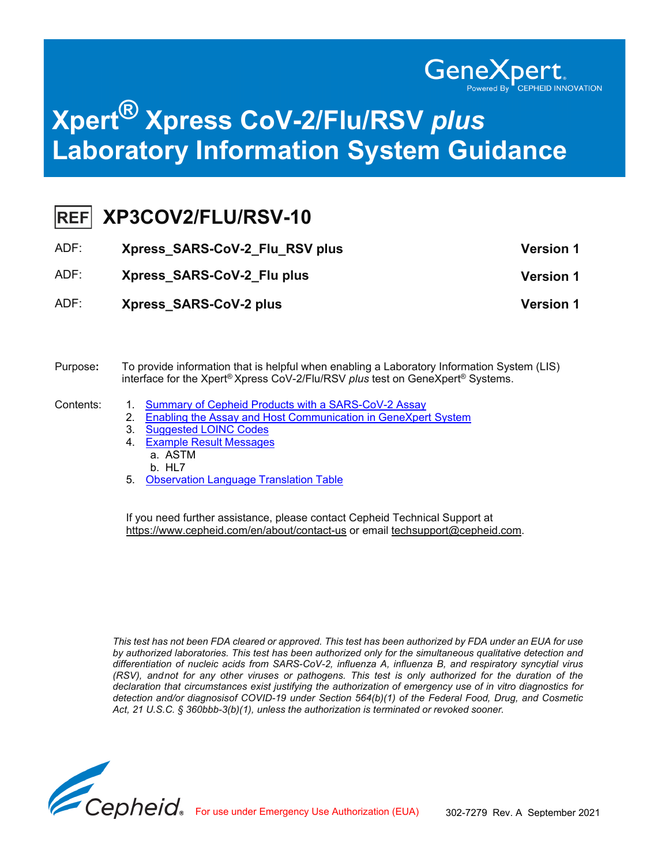

# **Xpert® Xpress CoV-2/Flu/RSV** *plus* **Laboratory Information System Guidance**

|  | REF XP3COV2/FLU/RSV-10 |
|--|------------------------|
|--|------------------------|

| ADF: | Xpress SARS-CoV-2 Flu RSV plus | <b>Version 1</b> |
|------|--------------------------------|------------------|
| ADF: | Xpress SARS-CoV-2 Flu plus     | <b>Version 1</b> |
| ADF: | <b>Xpress SARS-CoV-2 plus</b>  | <b>Version 1</b> |

#### Purpose**:** To provide information that is helpful when enabling a Laboratory Information System (LIS) interface for the Xpert® Xpress CoV-2/Flu/RSV *plus* test on GeneXpert® Systems.

- Contents: 1. [Summary of Cepheid Products with a SARS-CoV-2 Assay](#page-1-0)
	- 2. Enabling the Assay and Host [Communication](#page-2-0) in GeneXpert System
	- 3. Suggested [LOINC Codes](#page-3-0)
	- 4. Example Result [Messages](#page-4-0) a. ASTM b. HL7
	- 5. [Observation](#page-45-0) Language Translation Table

If you need further assistance, please contact Cepheid Technical Support at <https://www.cepheid.com/en/about/contact-us> or email [techsupport@cepheid.com.](mailto:techsupport@cepheid.com)

*This test has not been FDA cleared or approved. This test has been authorized by FDA under an EUA for use by authorized laboratories. This test has been authorized only for the simultaneous qualitative detection and differentiation of nucleic acids from SARS-CoV-2, influenza A, influenza B, and respiratory syncytial virus (RSV), andnot for any other viruses or pathogens. This test is only authorized for the duration of the declaration that circumstances exist justifying the authorization of emergency use of in vitro diagnostics for detection and/or diagnosisof COVID-19 under Section 564(b)(1) of the Federal Food, Drug, and Cosmetic Act, 21 U.S.C. § 360bbb-3(b)(1), unless the authorization is terminated or revoked sooner.*

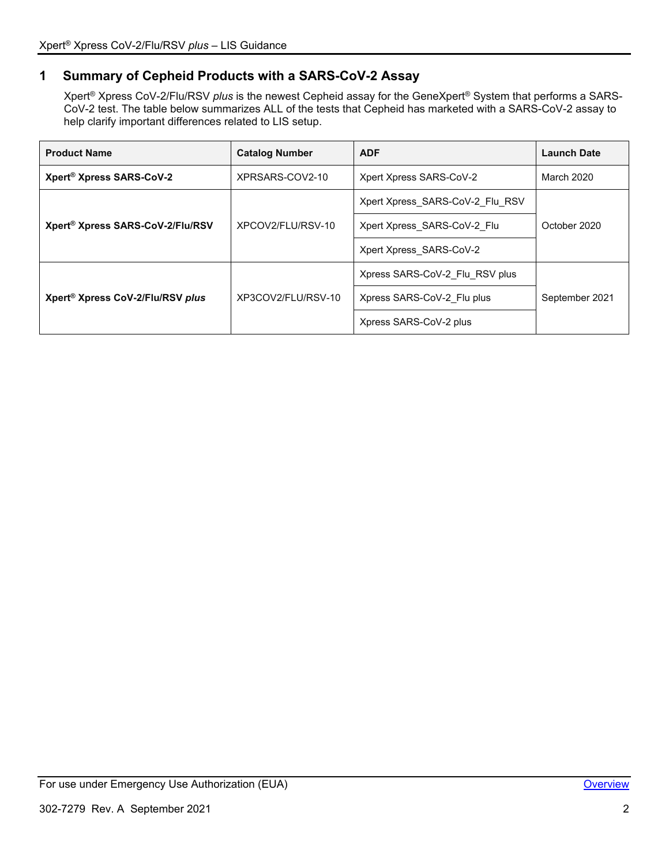# <span id="page-1-0"></span>**1 Summary of Cepheid Products with a SARS-CoV-2 Assay**

Xpert® Xpress CoV-2/Flu/RSV *plus* is the newest Cepheid assay for the GeneXpert® System that performs a SARS-CoV-2 test. The table below summarizes ALL of the tests that Cepheid has marketed with a SARS-CoV-2 assay to help clarify important differences related to LIS setup.

| <b>Product Name</b>                          | <b>Catalog Number</b> | <b>ADF</b>                      | <b>Launch Date</b> |
|----------------------------------------------|-----------------------|---------------------------------|--------------------|
| Xpert <sup>®</sup> Xpress SARS-CoV-2         | XPRSARS-COV2-10       | Xpert Xpress SARS-CoV-2         | March 2020         |
|                                              |                       | Xpert Xpress SARS-CoV-2 Flu RSV |                    |
| Xpert® Xpress SARS-CoV-2/Flu/RSV             | XPCOV2/FLU/RSV-10     | Xpert Xpress_SARS-CoV-2 Flu     | October 2020       |
|                                              |                       | Xpert Xpress SARS-CoV-2         |                    |
|                                              |                       | Xpress SARS-CoV-2 Flu RSV plus  |                    |
| Xpert <sup>®</sup> Xpress CoV-2/Flu/RSV plus | XP3COV2/FLU/RSV-10    | Xpress SARS-CoV-2 Flu plus      | September 2021     |
|                                              |                       | Xpress SARS-CoV-2 plus          |                    |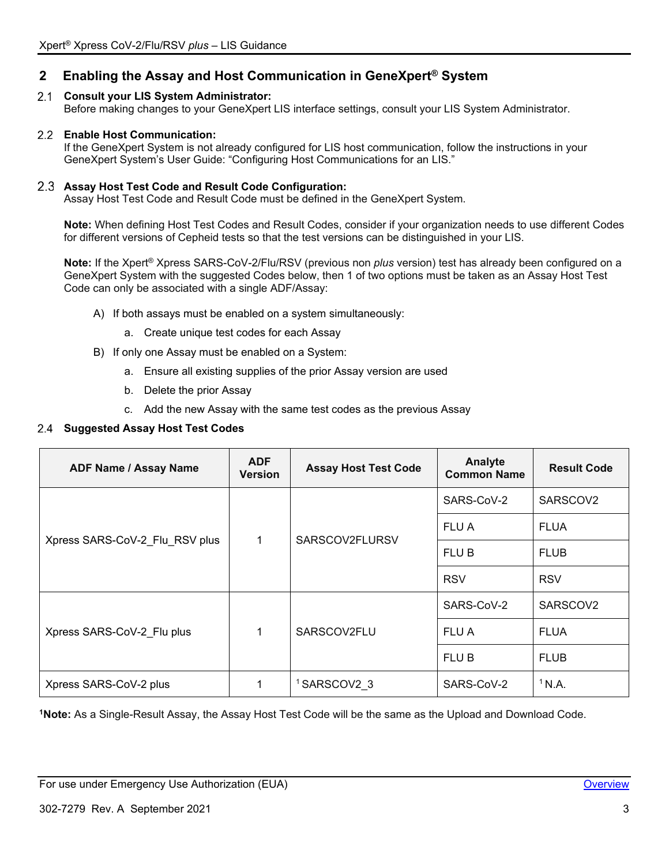# <span id="page-2-0"></span>**2 Enabling the Assay and Host Communication in GeneXpert® System**

# **Consult your LIS System Administrator:**

Before making changes to your GeneXpert LIS interface settings, consult your LIS System Administrator.

# **Enable Host Communication:**

If the GeneXpert System is not already configured for LIS host communication, follow the instructions in your GeneXpert System's User Guide: "Configuring Host Communications for an LIS."

# **Assay Host Test Code and Result Code Configuration:**

Assay Host Test Code and Result Code must be defined in the GeneXpert System.

**Note:** When defining Host Test Codes and Result Codes, consider if your organization needs to use different Codes for different versions of Cepheid tests so that the test versions can be distinguished in your LIS.

**Note:** If the Xpert® Xpress SARS-CoV-2/Flu/RSV (previous non *plus* version) test has already been configured on a GeneXpert System with the suggested Codes below, then 1 of two options must be taken as an Assay Host Test Code can only be associated with a single ADF/Assay:

- A) If both assays must be enabled on a system simultaneously:
	- a. Create unique test codes for each Assay
- B) If only one Assay must be enabled on a System:
	- a. Ensure all existing supplies of the prior Assay version are used
	- b. Delete the prior Assay
	- c. Add the new Assay with the same test codes as the previous Assay

# **Suggested Assay Host Test Codes**

| <b>ADF Name / Assay Name</b>   | <b>ADF</b><br><b>Version</b> | <b>Assay Host Test Code</b> | Analyte<br><b>Common Name</b> | <b>Result Code</b> |
|--------------------------------|------------------------------|-----------------------------|-------------------------------|--------------------|
|                                |                              |                             | SARS-CoV-2                    | SARSCOV2           |
|                                | 1                            | SARSCOV2FLURSV              | FLU A                         | <b>FLUA</b>        |
| Xpress SARS-CoV-2_Flu_RSV plus |                              |                             | FLU B                         | <b>FLUB</b>        |
|                                |                              |                             | <b>RSV</b>                    | <b>RSV</b>         |
|                                |                              |                             | SARS-CoV-2                    | SARSCOV2           |
| Xpress SARS-CoV-2 Flu plus     | 1                            | SARSCOV2FLU                 | FLU A                         | <b>FLUA</b>        |
|                                |                              |                             | FLU B                         | <b>FLUB</b>        |
| Xpress SARS-CoV-2 plus         | 1                            | <sup>1</sup> SARSCOV2 3     | SARS-CoV-2                    | $1$ N.A.           |

**1Note:** As a Single-Result Assay, the Assay Host Test Code will be the same as the Upload and Download Code.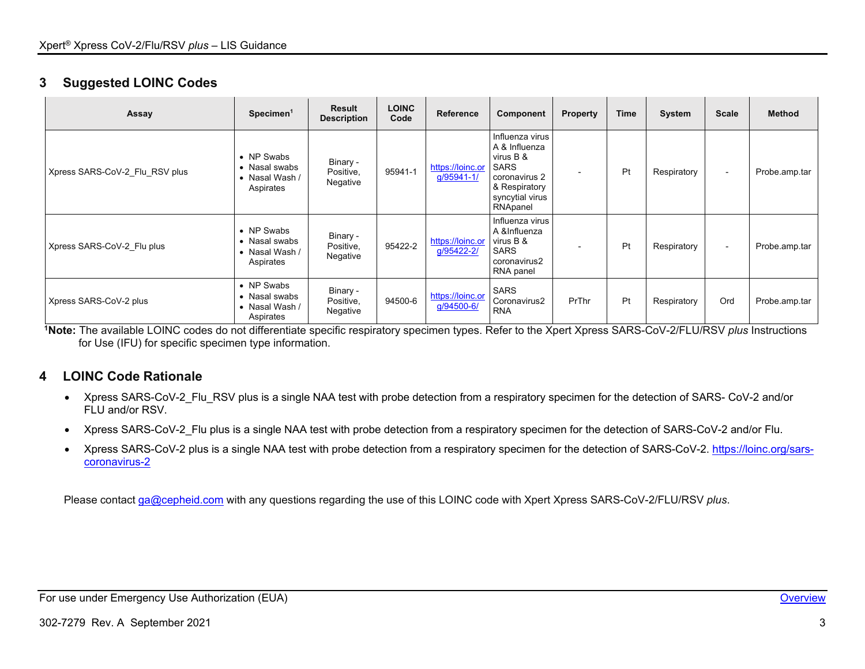# **3 Suggested LOINC Codes**

| Assay                          | Specimen <sup>1</sup>                                                | <b>Result</b><br><b>Description</b> | <b>LOINC</b><br>Code | <b>Reference</b>               | Component                                                                                                                     | <b>Property</b> | <b>Time</b> | System      | <b>Scale</b> | <b>Method</b> |
|--------------------------------|----------------------------------------------------------------------|-------------------------------------|----------------------|--------------------------------|-------------------------------------------------------------------------------------------------------------------------------|-----------------|-------------|-------------|--------------|---------------|
| Xpress SARS-CoV-2 Flu RSV plus | • NP Swabs<br>• Nasal swabs<br>• Nasal Wash /<br>Aspirates           | Binary -<br>Positive,<br>Negative   | 95941-1              | https://loinc.or<br>g/95941-1/ | Influenza virus<br>A & Influenza<br>virus B &<br><b>SARS</b><br>coronavirus 2<br>& Respiratory<br>syncytial virus<br>RNApanel |                 | Pt          | Respiratory | $\sim$       | Probe.amp.tar |
| Xpress SARS-CoV-2 Flu plus     | • NP Swabs<br>• Nasal swabs<br>• Nasal Wash /<br>Aspirates           | Binary -<br>Positive,<br>Negative   | 95422-2              | https://loinc.or<br>g/95422-2/ | Influenza virus<br>A &Influenza<br>virus B &<br><b>SARS</b><br>coronavirus2<br>RNA panel                                      |                 | Pt          | Respiratory | $\sim$       | Probe.amp.tar |
| Xpress SARS-CoV-2 plus         | • NP Swabs<br>$\bullet\,$ Nasal swabs<br>• Nasal Wash /<br>Aspirates | Binary -<br>Positive,<br>Negative   | 94500-6              | https://loinc.or<br>g/94500-6/ | <b>SARS</b><br>Coronavirus2<br><b>RNA</b>                                                                                     | PrThr           | Pt          | Respiratory | Ord          | Probe.amp.tar |

<span id="page-3-0"></span>**1Note:** The available LOINC codes do not differentiate specific respiratory specimen types. Refer to the Xpert Xpress SARS-CoV-2/FLU/RSV *plus* Instructions for Use (IFU) for specific specimen type information.

# **4 LOINC Code Rationale**

- Xpress SARS-CoV-2\_Flu\_RSV plus is a single NAA test with probe detection from a respiratory specimen for the detection of SARS- CoV-2 and/or FLU and/or RSV.
- Xpress SARS-CoV-2\_Flu plus is a single NAA test with probe detection from a respiratory specimen for the detection of SARS-CoV-2 and/or Flu.
- Xpress SARS-CoV-2 plus is a single NAA test with probe detection from a respiratory specimen for the detection of SARS-CoV-2. [https://loinc.org/sars](https://loinc.org/sars-coronavirus-2/)[coronavirus-2](https://loinc.org/sars-coronavirus-2/)

Please contact [ga@cepheid.com](mailto:ga@cepheid.com) with any questions regarding the use of this LOINC code with Xpert Xpress SARS-CoV-2/FLU/RSV *plus*.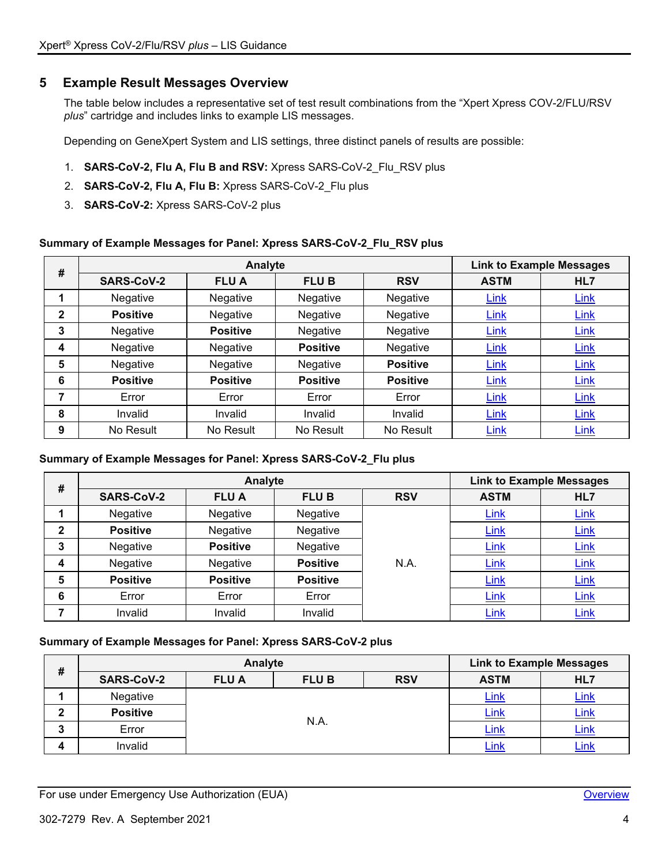# <span id="page-4-1"></span><span id="page-4-0"></span>**5 Example Result Messages Overview**

The table below includes a representative set of test result combinations from the "Xpert Xpress COV-2/FLU/RSV *plus*" cartridge and includes links to example LIS messages.

Depending on GeneXpert System and LIS settings, three distinct panels of results are possible:

- 1. **SARS-CoV-2, Flu A, Flu B and RSV:** Xpress SARS-CoV-2\_Flu\_RSV plus
- 2. **SARS-CoV-2, Flu A, Flu B:** Xpress SARS-CoV-2\_Flu plus
- 3. **SARS-CoV-2:** Xpress SARS-CoV-2 plus

### **Summary of Example Messages for Panel: Xpress SARS-CoV-2\_Flu\_RSV plus**

| #            |                   | Analyte         |                 |                 |             | <b>Link to Example Messages</b> |
|--------------|-------------------|-----------------|-----------------|-----------------|-------------|---------------------------------|
|              | <b>SARS-CoV-2</b> | <b>FLUA</b>     | <b>FLUB</b>     | <b>RSV</b>      | <b>ASTM</b> | HL7                             |
|              | Negative          | Negative        | Negative        | Negative        | Link        | Link                            |
| $\mathbf{2}$ | <b>Positive</b>   | Negative        | Negative        | Negative        | <b>Link</b> | Link                            |
| 3            | Negative          | <b>Positive</b> | Negative        | Negative        | Link        | <b>Link</b>                     |
| 4            | Negative          | Negative        | <b>Positive</b> | Negative        | Link        | Link                            |
| 5            | Negative          | Negative        | Negative        | <b>Positive</b> | Link        | Link                            |
| 6            | <b>Positive</b>   | <b>Positive</b> | <b>Positive</b> | <b>Positive</b> | Link        | <b>Link</b>                     |
| 7            | Error             | Error           | Error           | Error           | <b>Link</b> | <b>Link</b>                     |
| 8            | Invalid           | Invalid         | Invalid         | Invalid         | Link        | Link                            |
| 9            | No Result         | No Result       | No Result       | No Result       | Link        | Link                            |

#### **Summary of Example Messages for Panel: Xpress SARS-CoV-2\_Flu plus**

| #            |                   | Analyte         |                 |            | <b>Link to Example Messages</b> |             |
|--------------|-------------------|-----------------|-----------------|------------|---------------------------------|-------------|
|              | <b>SARS-CoV-2</b> | <b>FLUA</b>     | <b>FLUB</b>     | <b>RSV</b> | <b>ASTM</b>                     | HL7         |
|              | Negative          | Negative        | Negative        |            | <b>Link</b>                     | <b>Link</b> |
| $\mathbf{2}$ | <b>Positive</b>   | Negative        | Negative        |            | <b>Link</b>                     | <b>Link</b> |
| 3            | Negative          | <b>Positive</b> | Negative        |            | <b>Link</b>                     | <b>Link</b> |
| 4            | Negative          | Negative        | <b>Positive</b> | N.A.       | Link                            | <b>Link</b> |
| 5            | <b>Positive</b>   | <b>Positive</b> | <b>Positive</b> |            | <b>Link</b>                     | Link        |
| 6            | Error             | Error           | Error           |            | Link                            | Link        |
|              | Invalid           | Invalid         | Invalid         |            | Link                            | Link        |

#### **Summary of Example Messages for Panel: Xpress SARS-CoV-2 plus**

| # |                   | Analyte     |             |            | <b>Link to Example Messages</b> |      |
|---|-------------------|-------------|-------------|------------|---------------------------------|------|
|   | <b>SARS-CoV-2</b> | <b>FLUA</b> | <b>FLUB</b> | <b>RSV</b> | <b>ASTM</b>                     | HL7  |
|   | Negative          |             |             |            | Link                            | Link |
|   | <b>Positive</b>   |             |             |            | <u>Link</u>                     | Link |
| a | Error             |             | N.A.        |            | Link                            | Link |
| л | Invalid           |             |             |            | $\mathsf{Link}$                 | Link |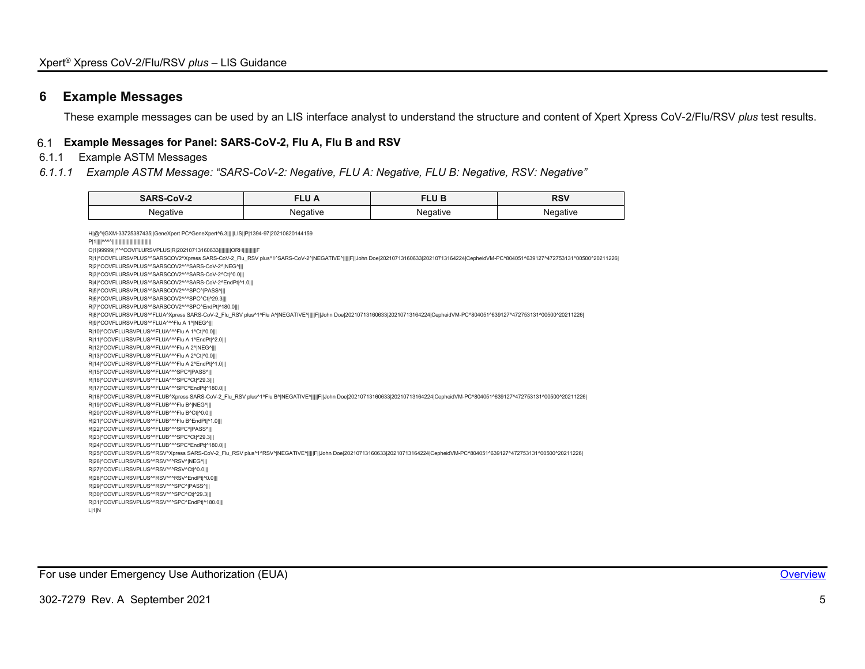# **6 Example Messages**

These example messages can be used by an LIS interface analyst to understand the structure and content of Xpert Xpress CoV-2/Flu/RSV *plus* test results.

### **Example Messages for Panel: SARS-CoV-2, Flu A, Flu B and RSV**

# 6.1.1 Example ASTM Messages

#### *6.1.1.1 Example ASTM Message: "SARS-CoV-2: Negative, FLU A: Negative, FLU B: Negative, RSV: Negative"*

| <b>SARS-CoV-2</b> | <b>FLU A</b> | <b>FLUB</b> | <b>RSV</b> |
|-------------------|--------------|-------------|------------|
| Negative          | Negative     | Negative    | Negative   |
|                   |              |             |            |

<span id="page-5-0"></span>

| H @^\ GXM-33725387435  GeneXpert PC^GeneXpert^6.3     LIS  P 1394-97 20210820144159                                                                                                   |
|---------------------------------------------------------------------------------------------------------------------------------------------------------------------------------------|
|                                                                                                                                                                                       |
| O 1 99999  ^^^COVFLURSVPLUS R 20210713160633         ORH         F                                                                                                                    |
| R 1 ^COVFLURSVPLUS^^SARSCOV2^Xpress SARS-CoV-2_Flu_RSV plus^1^SARS-CoV-2^ NEGATIVE^     F  John Doe 20210713160633 20210713164224 CepheidVM-PC^804051^639127^472753131^00500^20211226 |
| R 2 ^COVFLURSVPLUS^^SARSCOV2^^^SARS-CoV-2^ NEG^                                                                                                                                       |
| RI3I^COVFLURSVPLUS^^SARSCOV2^^^SARS-CoV-2^Ct ^0.0                                                                                                                                     |
| R 4 ^COVFLURSVPLUS^^SARSCOV2^^^SARS-CoV-2^EndPt ^1.0                                                                                                                                  |
| RI5I^COVFLURSVPLUS^^SARSCOV2^^^SPC^ PASS^                                                                                                                                             |
| RI6I^COVFLURSVPLUS^^SARSCOV2^^^SPC^Ct ^29.3                                                                                                                                           |
| R 7 ^COVFLURSVPLUS^^SARSCOV2^^^SPC^EndPt ^180.0                                                                                                                                       |
| R 8 ^COVFLURSVPLUS^^FLUA^Xpress SARS-CoV-2_Flu_RSV plus^1^Flu A^ NEGATIVE^     F  John Doe 20210713160633 20210713164224 CepheidVM-PC^804051^639127^472753131^00500^20211226          |
| RI9I^COVFLURSVPLUS^^FLUA^^^Flu A 1^ NEG^                                                                                                                                              |
| R 10 ^COVFLURSVPLUS^^FLUA^^^Flu A 1^Ct ^0.0                                                                                                                                           |
| R 11 ^COVFLURSVPLUS^^FLUA^^^Flu A 1^EndPt ^2.0                                                                                                                                        |
| R 12 ^COVFLURSVPLUS^^FLUA^^^Flu A 2^ NEG^                                                                                                                                             |
| R 13 ^COVFLURSVPLUS^^FLUA^^^Flu A 2^Ct ^0.0                                                                                                                                           |
| R 14 ^COVFLURSVPLUS^^FLUA^^^Flu A 2^EndPt ^1.0                                                                                                                                        |
| R 15 ^COVFLURSVPLUS^^FLUA^^^SPC^ PASS^                                                                                                                                                |
| R 16 ^COVFLURSVPLUS^^FLUA^^^SPC^Ct ^29.3                                                                                                                                              |
| R 17 ^COVFLURSVPLUS^^FLUA^^^SPC^EndPt ^180.0                                                                                                                                          |
| R 18 ^COVFLURSVPLUS^^FLUB^Xpress SARS-CoV-2_Flu_RSV plus^1^Flu B^ NEGATIVE^    F  John Doe 20210713160633 20210713164224 CepheidVM-PC^804051^639127^472753131^00500^20211226          |
| R 19 ^COVFLURSVPLUS^^FLUB^^^Flu B^ NEG^                                                                                                                                               |
| R 20 ^COVFLURSVPLUS^^FLUB^^^Flu B^Ct ^0.0                                                                                                                                             |
| R 21 ^COVFLURSVPLUS^^FLUB^^^Flu B^EndPt ^1.0                                                                                                                                          |
| R 22 ^COVFLURSVPLUS^^FLUB^^^SPC^ PASS^                                                                                                                                                |
| R 23 ^COVFLURSVPLUS^^FLUB^^^SPC^Ct ^29.3                                                                                                                                              |
| R 24 ^COVFLURSVPLUS^^FLUB^^^SPC^EndPt ^180.0                                                                                                                                          |
| R 25 ^COVFLURSVPLUS^^RSV^Xpress SARS-CoV-2_Flu_RSV plus^1^RSV^ NEGATIVE^     F  John Doe 20210713160633 20210713164224 CepheidVM-PC^804051^639127^472753131^00500^20211226            |
| R 26 ^COVFLURSVPLUS^^RSV^^^RSV^ NEG^                                                                                                                                                  |
| R 27 ^COVFLURSVPLUS^^RSV^^^RSV^Ct ^0.0                                                                                                                                                |
| R 28 ^COVFLURSVPLUS^^RSV^^^RSV^EndPt ^0.0                                                                                                                                             |
| R 29 ^COVFLURSVPLUS^^RSV^^^SPC^ PASS^                                                                                                                                                 |
| R 30 ^COVFLURSVPLUS^^RSV^^^SPC^Ct ^29.3                                                                                                                                               |
| R 31 ^COVFLURSVPLUS^^RSV^^^SPC^EndPt ^180.0                                                                                                                                           |
| L 1 N                                                                                                                                                                                 |

For use under Emergency Use Authorization (EUA) **[Overview](#page-4-1) Container and Container and Container Container and Container and Container and Container and Container and Container and Container and Container and Container an**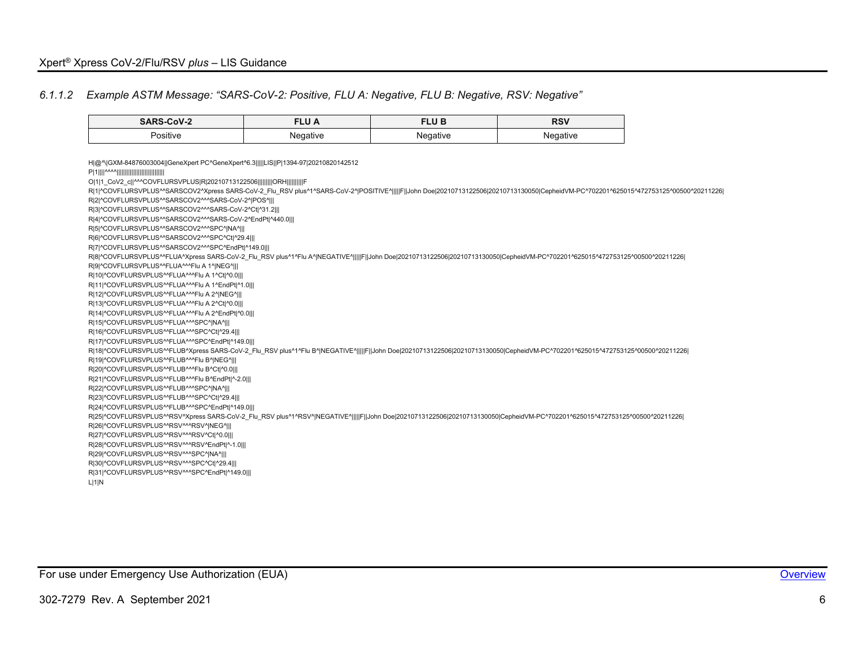### *6.1.1.2 Example ASTM Message: "SARS-CoV-2: Positive, FLU A: Negative, FLU B: Negative, RSV: Negative"*

<span id="page-6-0"></span>

| <b>SARS-CoV-2</b>                                                                                                                                                                                                                                                                                                                                                                                                                                                                                                                                                                                                                                                                                                                                                                                                                                                                                                                                                                                                                                                                                                                                                                                                                                                                                                                                                                                                                                                                                                                                                                                                                                                                                                                                                                                                                                                                                                                                                                                                                                                                                                                                                                                                                                                                               | <b>FLUA</b> | <b>FLUB</b> | <b>RSV</b> |  |
|-------------------------------------------------------------------------------------------------------------------------------------------------------------------------------------------------------------------------------------------------------------------------------------------------------------------------------------------------------------------------------------------------------------------------------------------------------------------------------------------------------------------------------------------------------------------------------------------------------------------------------------------------------------------------------------------------------------------------------------------------------------------------------------------------------------------------------------------------------------------------------------------------------------------------------------------------------------------------------------------------------------------------------------------------------------------------------------------------------------------------------------------------------------------------------------------------------------------------------------------------------------------------------------------------------------------------------------------------------------------------------------------------------------------------------------------------------------------------------------------------------------------------------------------------------------------------------------------------------------------------------------------------------------------------------------------------------------------------------------------------------------------------------------------------------------------------------------------------------------------------------------------------------------------------------------------------------------------------------------------------------------------------------------------------------------------------------------------------------------------------------------------------------------------------------------------------------------------------------------------------------------------------------------------------|-------------|-------------|------------|--|
| Positive                                                                                                                                                                                                                                                                                                                                                                                                                                                                                                                                                                                                                                                                                                                                                                                                                                                                                                                                                                                                                                                                                                                                                                                                                                                                                                                                                                                                                                                                                                                                                                                                                                                                                                                                                                                                                                                                                                                                                                                                                                                                                                                                                                                                                                                                                        | Negative    | Negative    | Negative   |  |
| H @^\ GXM-84876003004  GeneXpert PC^GeneXpert^6.3     LIS  P 1394-97 20210820142512<br>0 1 1 CoV2 c  ^^^COVFLURSVPLUS R 20210713122506         ORH          F<br>R 1 ^COVFLURSVPLUS^^SARSCOV2^Xpress SARS-CoV-2 Flu RSV plus^1^SARS-CoV-2^ POSITIVE^     F  John Doe 20210713122506 20210713130050 CepheidVM-PC^702201^625015^472753125^00500^20211226<br>RI2I^COVFLURSVPLUS^^SARSCOV2^^^SARS-CoV-2^IPOS^III<br>R 3 ^COVFLURSVPLUS^^SARSCOV2^^^SARS-CoV-2^Ct ^31.2   <br>R 4 ^COVFLURSVPLUS^^SARSCOV2^^^SARS-CoV-2^EndPt ^440.0   <br>RI5I^COVFLURSVPLUS^^SARSCOV2^^^SPC^INA^III<br>R 6 ^COVFLURSVPLUS^^SARSCOV2^^^SPC^Ct ^29.4   <br>R 7 ^COVFLURSVPLUS^^SARSCOV2^^^SPC^EndPt ^149.0   <br>R 8 ^COVFLURSVPLUS^^FLUA^Xpress SARS-CoV-2_Flu_RSV plus^1^Flu A^ NEGATIVE^     F  John Doe 20210713122506 20210713130050 CepheidVM-PC^702201^625015^472753125^00500^20211226 <br>RI9I^COVFLURSVPLUS^^FLUA^^^Flu A 1^INEG^III<br>R 10 ^COVFLURSVPLUS^^FLUA^^^Flu A 1^Ct ^0.0   <br>R 11 ^COVFLURSVPLUS^^FLUA^^^Flu A 1^EndPt ^1.0   <br>R 12 ^COVFLURSVPLUS^^FLUA^^^Flu A 2^ NEG^   <br>R 13 ^COVFLURSVPLUS^^FLUA^^^Flu A 2^Ct ^0.0   <br>R 14 ^COVFLURSVPLUS^^FLUA^^^Flu A 2^EndPt ^0.0   <br>RI15I^COVFLURSVPLUS^^FLUA^^^SPC^ NA^   <br>R 16 ^COVFLURSVPLUS^^FLUA^^^SPC^Ct ^29.4   <br>R 17 ^COVFLURSVPLUS^^FLUA^^^SPC^EndPt ^149.0   <br>R 18 ^COVFLURSVPLUS^^FLUB^Xpress SARS-CoV-2 Flu RSV plus^1^Flu B^ NEGATIVE^     F  John Doe 20210713122506 20210713130050 CepheidVM-PC^702201^625015^472753125^00500^20211226 <br>RI19I^COVFLURSVPLUS^^FLUB^^^Flu B^INEG^III<br>R 20 ^COVFLURSVPLUS^^FLUB^^^Flu B^Ct ^0.0   <br>R 21 ^COVFLURSVPLUS^^FLUB^^^Flu B^EndPt ^-2.0   <br>R 22 ^COVFLURSVPLUS^^FLUB^^^SPC^ NA^   <br>R 23 ^COVFLURSVPLUS^^FLUB^^^SPC^Ct ^29.4   <br>R 24 ^COVFLURSVPLUS^^FLUB^^^SPC^EndPt ^149.0   <br>R 25 ^COVFLURSVPLUS^^RSV^Xpress SARS-CoV-2 Flu RSV plus^1^RSV^ NEGATIVE^     F  John Doe 20210713122506 20210713130050 CepheidVM-PC^702201^625015^472753125^00500^20211226 <br>R 26 ^COVFLURSVPLUS^^RSV^^^RSV^ NEG^   <br>R 27 ^COVFLURSVPLUS^^RSV^^^RSV^Ct ^0.0   <br>R 28 ^COVFLURSVPLUS^^RSV^^^RSV^EndPt ^-1.0   <br>R 29 ^COVFLURSVPLUS^^RSV^^^SPC^ NA^   <br>R 30 ^COVFLURSVPLUS^^RSV^^^SPC^Ct ^29.4   <br>R 31 ^COVFLURSVPLUS^^RSV^^^SPC^EndPt ^149.0   <br>L 1 N |             |             |            |  |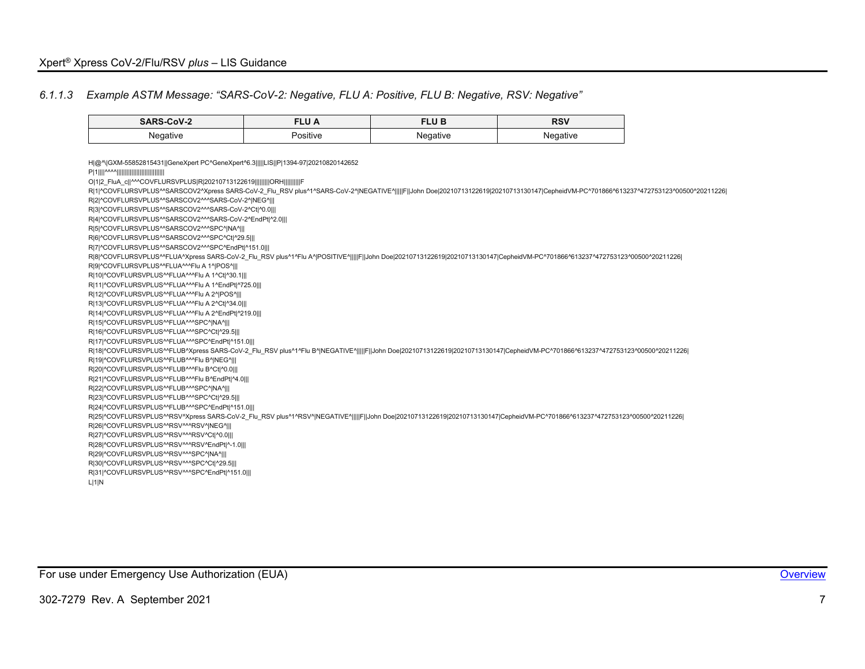$\sim$ 

### *6.1.1.3 Example ASTM Message: "SARS-CoV-2: Negative, FLU A: Positive, FLU B: Negative, RSV: Negative"*

<span id="page-7-0"></span>

| SARS-CoV-2                                                                                                                                                                                                                                                      | <b>FLU A</b> | <b>FLUB</b> | <b>RSV</b> |
|-----------------------------------------------------------------------------------------------------------------------------------------------------------------------------------------------------------------------------------------------------------------|--------------|-------------|------------|
| Negative                                                                                                                                                                                                                                                        | Positive     | Negative    | Negative   |
| H @^\ GXM-55852815431  GeneXpert PC^GeneXpert^6.3     LIS  P 1394-97 20210820142652                                                                                                                                                                             |              |             |            |
|                                                                                                                                                                                                                                                                 |              |             |            |
| 0 1 2 FluA c  ^^^COVFLURSVPLUS R 20210713122619         ORH          F<br>R 1 ^COVFLURSVPLUS^^SARSCOV2^Xpress SARS-CoV-2 Flu RSV plus^1^SARS-CoV-2^ NEGATIVE^     F  John Doe 20210713122619 20210713130147 CepheidVM-PC^701866^613237^472753123^00500^20211226 |              |             |            |
| R 2 ^COVFLURSVPLUS^^SARSCOV2^^^SARS-CoV-2^ NEG^                                                                                                                                                                                                                 |              |             |            |
| R 3 ^COVFLURSVPLUS^^SARSCOV2^^^SARS-CoV-2^Ct ^0.0                                                                                                                                                                                                               |              |             |            |
| RI4I^COVFLURSVPLUS^^SARSCOV2^^^SARS-CoV-2^EndPt ^2.0                                                                                                                                                                                                            |              |             |            |
| R 5 ^COVFLURSVPLUS^^SARSCOV2^^^SPC^ NA^                                                                                                                                                                                                                         |              |             |            |
| RI6I^COVFLURSVPLUS^^SARSCOV2^^^SPC^CtI^29.5                                                                                                                                                                                                                     |              |             |            |
| R 7 ^COVFLURSVPLUS^^SARSCOV2^^^SPC^EndPt ^151.0                                                                                                                                                                                                                 |              |             |            |
| R 8 ^COVFLURSVPLUS^^FLUA^Xpress SARS-CoV-2_Flu_RSV plus^1^Flu A^ POSITIVE^     F  John Doe 20210713122619 20210713130147 CepheidVM-PC^701866^613237^472753123^00500^20211226                                                                                    |              |             |            |
| RI9I^COVFLURSVPLUS^^FLUA^^^Flu A 1^IPOS^III                                                                                                                                                                                                                     |              |             |            |
| R 10 ^COVFLURSVPLUS^^FLUA^^^Flu A 1^Ct ^30.1                                                                                                                                                                                                                    |              |             |            |
| R 11 ^COVFLURSVPLUS^^FLUA^^^Flu A 1^EndPt ^725.0                                                                                                                                                                                                                |              |             |            |
| R 12 ^COVFLURSVPLUS^^FLUA^^^Flu A 2^ POS^                                                                                                                                                                                                                       |              |             |            |
| R 13 ^COVFLURSVPLUS^^FLUA^^^Flu A 2^Ct ^34.0                                                                                                                                                                                                                    |              |             |            |
| R 14 ^COVFLURSVPLUS^^FLUA^^^Flu A 2^EndPt ^219.0                                                                                                                                                                                                                |              |             |            |
| R 15 ^COVFLURSVPLUS^^FLUA^^^SPC^ NA^                                                                                                                                                                                                                            |              |             |            |
| R 16 ^COVFLURSVPLUS^^FLUA^^^SPC^Ct ^29.5                                                                                                                                                                                                                        |              |             |            |
| R 17 ^COVFLURSVPLUS^^FLUA^^^SPC^EndPt ^151.0                                                                                                                                                                                                                    |              |             |            |
| R 18 ^COVFLURSVPLUS^^FLUB^Xpress SARS-CoV-2 Flu RSV plus^1^Flu B^ NEGATIVE^     F  John Doe 20210713122619 20210713130147 CepheidVM-PC^701866^613237^472753123^00500^20211226                                                                                   |              |             |            |
| R 19 ^COVFLURSVPLUS^^FLUB^^^Flu B^ NEG^   <br>R 20 ^COVFLURSVPLUS^^FLUB^^^Flu B^Ct ^0.0                                                                                                                                                                         |              |             |            |
| R 21 ^COVFLURSVPLUS^^FLUB^^^Flu B^EndPt ^4.0                                                                                                                                                                                                                    |              |             |            |
| R 22 ^COVFLURSVPLUS^^FLUB^^^SPC^ NA^                                                                                                                                                                                                                            |              |             |            |
| R 23 ^COVFLURSVPLUS^^FLUB^^^SPC^Ct ^29.5                                                                                                                                                                                                                        |              |             |            |
| R 24 ^COVFLURSVPLUS^^FLUB^^^SPC^EndPt ^151.0                                                                                                                                                                                                                    |              |             |            |
| R 25 ^COVFLURSVPLUS^^RSV^Xpress SARS-CoV-2 Flu RSV plus^1^RSV^ NEGATIVE^    F  John Doe 20210713122619 20210713130147 CepheidVM-PC^701866^613237^472753123^00500^20211226                                                                                       |              |             |            |
| R 26 ^COVFLURSVPLUS^^RSV^^^RSV^ NEG^                                                                                                                                                                                                                            |              |             |            |
| R 27 ^COVFLURSVPLUS^^RSV^^^RSV^Ct ^0.0                                                                                                                                                                                                                          |              |             |            |
| R 28 ^COVFLURSVPLUS^^RSV^^^RSV^EndPt ^-1.0                                                                                                                                                                                                                      |              |             |            |
| R 29 ^COVFLURSVPLUS^^RSV^^^SPC^ NA^                                                                                                                                                                                                                             |              |             |            |
| R 30 ^COVFLURSVPLUS^^RSV^^^SPC^Ct ^29.5                                                                                                                                                                                                                         |              |             |            |
| R 31 ^COVFLURSVPLUS^^RSV^^^SPC^EndPt ^151.0                                                                                                                                                                                                                     |              |             |            |
| L 1 N                                                                                                                                                                                                                                                           |              |             |            |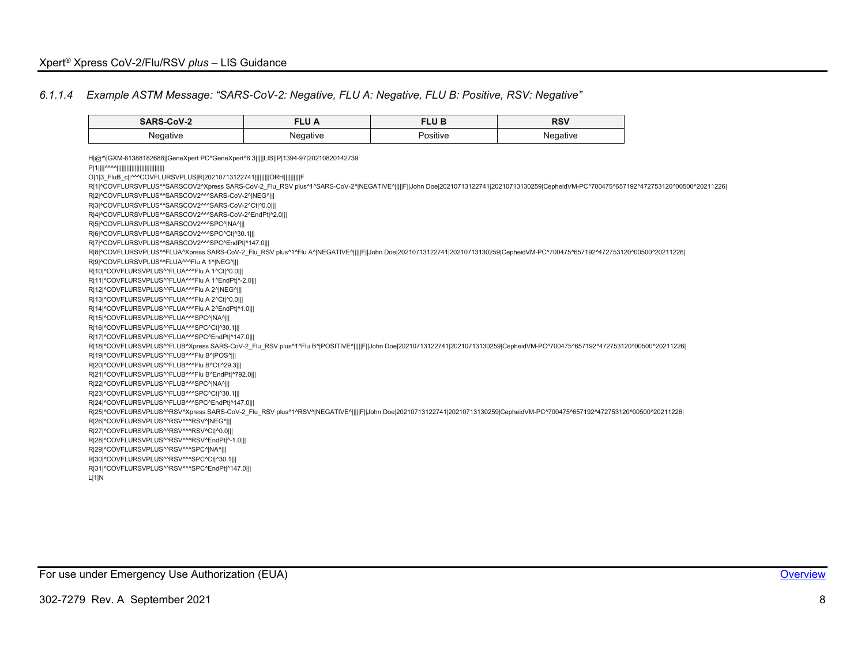### *6.1.1.4 Example ASTM Message: "SARS-CoV-2: Negative, FLU A: Negative, FLU B: Positive, RSV: Negative"*

<span id="page-8-0"></span>

| SARS-CoV-2                                                                                                                                                                            | <b>FLUA</b> | <b>FLUB</b> | <b>RSV</b> |
|---------------------------------------------------------------------------------------------------------------------------------------------------------------------------------------|-------------|-------------|------------|
| Negative                                                                                                                                                                              | Negative    | Positive    | Negative   |
| H @^\ GXM-61388182688  GeneXpert PC^GeneXpert^6.3     LIS  P 1394-97 20210820142739                                                                                                   |             |             |            |
| O 1 3 FluB c  ^^^COVFLURSVPLUS R 20210713122741         ORH         F                                                                                                                 |             |             |            |
| R 1 ^COVFLURSVPLUS^^SARSCOV2^Xpress SARS-CoV-2 Flu RSV plus^1^SARS-CoV-2^ NEGATIVE^     F  John Doe 20210713122741 20210713130259 CepheidVM-PC^700475^657192^472753120^00500^20211226 |             |             |            |
| R 2 ^COVFLURSVPLUS^^SARSCOV2^^^SARS-CoV-2^ NEG^                                                                                                                                       |             |             |            |
| R 3 ^COVFLURSVPLUS^^SARSCOV2^^^SARS-CoV-2^Ct ^0.0                                                                                                                                     |             |             |            |
| R 4 ^COVFLURSVPLUS^^SARSCOV2^^^SARS-CoV-2^EndPt ^2.0                                                                                                                                  |             |             |            |
| R 5 ^COVFLURSVPLUS^^SARSCOV2^^^SPC^ NA^                                                                                                                                               |             |             |            |
| R 6 ^COVFLURSVPLUS^^SARSCOV2^^^SPC^Ct ^30.1                                                                                                                                           |             |             |            |
| R 7 ^COVFLURSVPLUS^^SARSCOV2^^^SPC^EndPt ^147.0                                                                                                                                       |             |             |            |
| R 8 ^COVFLURSVPLUS^^FLUA^Xpress SARS-CoV-2 Flu RSV plus^1^Flu A^ NEGATIVE^     F  John Doe 20210713122741 20210713130259 CepheidVM-PC^700475^657192^472753120^00500^20211226          |             |             |            |
| R 9 ^COVFLURSVPLUS^^FLUA^^^Flu A 1^ NEG^   <br>R 10 ^COVFLURSVPLUS^^FLUA^^^Flu A 1^Ct ^0.0                                                                                            |             |             |            |
| R 11 ^COVFLURSVPLUS^^FLUA^^^Flu A 1^EndPt ^-2.0                                                                                                                                       |             |             |            |
| R 12 ^COVFLURSVPLUS^^FLUA^^^Flu A 2^ NEG^                                                                                                                                             |             |             |            |
| R 13 ^COVFLURSVPLUS^^FLUA^^^Flu A 2^Ct ^0.0                                                                                                                                           |             |             |            |
| R 14 ^COVFLURSVPLUS^^FLUA^^^Flu A 2^EndPt ^1.0                                                                                                                                        |             |             |            |
| R 15 ^COVFLURSVPLUS^^FLUA^^^SPC^ NA^                                                                                                                                                  |             |             |            |
| R 16 ^COVFLURSVPLUS^^FLUA^^^SPC^Ct ^30.1                                                                                                                                              |             |             |            |
| R 17 ^COVFLURSVPLUS^^FLUA^^^SPC^EndPt ^147.0                                                                                                                                          |             |             |            |
| R 18 ^COVFLURSVPLUS^^FLUB^Xpress SARS-CoV-2 Flu RSV plus^1^Flu B^ POSITIVE^     F  John Doe 20210713122741 20210713130259 CepheidVM-PC^700475^657192^472753120^00500^20211226         |             |             |            |
| R 19 ^COVFLURSVPLUS^^FLUB^^^Flu B^ POS^                                                                                                                                               |             |             |            |
| R 20 ^COVFLURSVPLUS^^FLUB^^^Flu B^Ct ^29.3                                                                                                                                            |             |             |            |
| R 21 ^COVFLURSVPLUS^^FLUB^^^Flu B^EndPt ^792.0                                                                                                                                        |             |             |            |
| R 22 ^COVFLURSVPLUS^^FLUB^^^SPC^ NA^   <br>R 23 ^COVFLURSVPLUS^^FLUB^^^SPC^Ct ^30.1                                                                                                   |             |             |            |
| R 24 ^COVFLURSVPLUS^^FLUB^^^SPC^EndPt ^147.0                                                                                                                                          |             |             |            |
| R 25 ^COVFLURSVPLUS^^RSV^Xpress SARS-CoV-2 Flu RSV plus^1^RSV^ NEGATIVE^    F John Doe 20210713122741 20210713130259 CepheidVM-PC^700475^657192^472753120^00500^20211226              |             |             |            |
| R 26 ^COVFLURSVPLUS^^RSV^^^RSV^ NEG^                                                                                                                                                  |             |             |            |
| R 27 ^COVFLURSVPLUS^^RSV^^^RSV^Ct ^0.0                                                                                                                                                |             |             |            |
| R 28 ^COVFLURSVPLUS^^RSV^^^RSV^EndPt ^-1.0                                                                                                                                            |             |             |            |
| R 29 ^COVFLURSVPLUS^^RSV^^^SPC^ NA^                                                                                                                                                   |             |             |            |
| R 30 ^COVFLURSVPLUS^^RSV^^^SPC^Ct ^30.1                                                                                                                                               |             |             |            |
| R 31 ^COVFLURSVPLUS^^RSV^^^SPC^EndPt ^147.0                                                                                                                                           |             |             |            |
| L 1 N                                                                                                                                                                                 |             |             |            |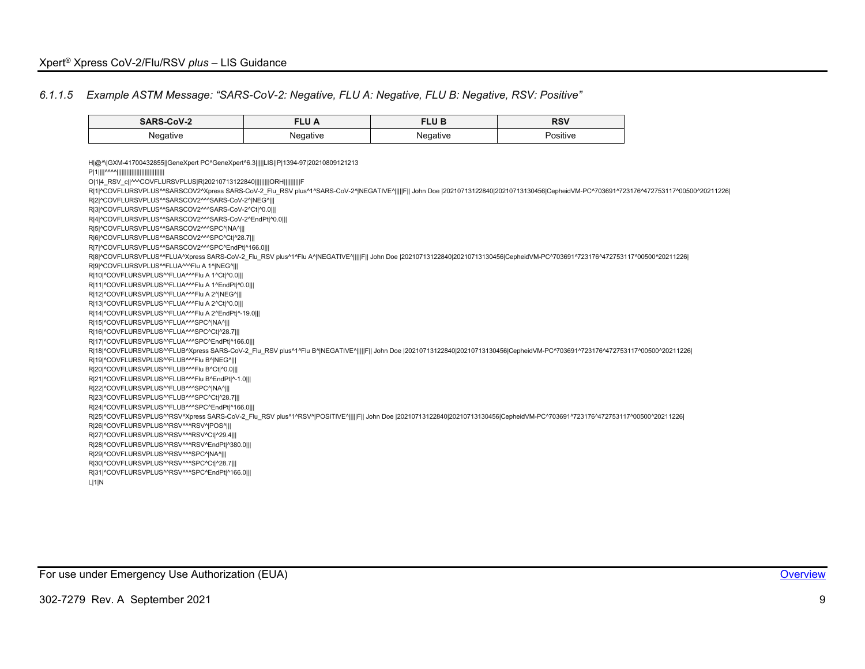### *6.1.1.5 Example ASTM Message: "SARS-CoV-2: Negative, FLU A: Negative, FLU B: Negative, RSV: Positive"*

<span id="page-9-0"></span>

| SARS-CoV-2                                                                                                                                                                              | <b>FLU A</b> | <b>FLUB</b> | <b>RSV</b> |  |
|-----------------------------------------------------------------------------------------------------------------------------------------------------------------------------------------|--------------|-------------|------------|--|
| Negative                                                                                                                                                                                | Negative     | Negative    | Positive   |  |
|                                                                                                                                                                                         |              |             |            |  |
| H @^\ GXM-41700432855  GeneXpert PC^GeneXpert^6.3     LIS  P 1394-97 20210809121213                                                                                                     |              |             |            |  |
| 0 1 4 RSV c  ^^^COVFLURSVPLUS R 20210713122840         ORH          F                                                                                                                   |              |             |            |  |
| R 1 ^COVFLURSVPLUS^^SARSCOV2^Xpress SARS-CoV-2 Flu RSV plus^1^SARS-CoV-2^ NEGATIVE^     F   John Doe  20210713122840 20210713130456 CepheidVM-PC^703691^723176^472753117^00500^20211226 |              |             |            |  |
| R 2 ^COVFLURSVPLUS^^SARSCOV2^^^SARS-CoV-2^ NEG^                                                                                                                                         |              |             |            |  |
| R 3 ^COVFLURSVPLUS^^SARSCOV2^^^SARS-CoV-2^Ct ^0.0                                                                                                                                       |              |             |            |  |
| R 4 ^COVFLURSVPLUS^^SARSCOV2^^^SARS-CoV-2^EndPt ^0.0                                                                                                                                    |              |             |            |  |
| R 5 ^COVFLURSVPLUS^^SARSCOV2^^^SPC^ NA^                                                                                                                                                 |              |             |            |  |
| RI6I^COVFLURSVPLUS^^SARSCOV2^^^SPC^CtI^28.7                                                                                                                                             |              |             |            |  |
| R 7 ^COVFLURSVPLUS^^SARSCOV2^^^SPC^EndPt ^166.0                                                                                                                                         |              |             |            |  |
| R 8 ^COVFLURSVPLUS^^FLUA^Xpress SARS-CoV-2 Flu RSV plus^1^Flu A^ NEGATIVE^     F   John Doe  20210713122840 20210713130456 CepheidVM-PC^703691^723176^472753117^00500^20211226          |              |             |            |  |
| R 9 ^COVFLURSVPLUS^^FLUA^^^Flu A 1^ NEG^                                                                                                                                                |              |             |            |  |
| R 10 ^COVFLURSVPLUS^^FLUA^^^Flu A 1^Ct ^0.0                                                                                                                                             |              |             |            |  |
| R 11 ^COVFLURSVPLUS^^FLUA^^^Flu A 1^EndPt ^0.0                                                                                                                                          |              |             |            |  |
| R 12 ^COVFLURSVPLUS^^FLUA^^^Flu A 2^ NEG^                                                                                                                                               |              |             |            |  |
| R 13 ^COVFLURSVPLUS^^FLUA^^^Flu A 2^Ct ^0.0                                                                                                                                             |              |             |            |  |
| R 14 ^COVFLURSVPLUS^^FLUA^^^Flu A 2^EndPt ^-19.0                                                                                                                                        |              |             |            |  |
| RI15I^COVFLURSVPLUS^^FLUA^^^SPC^ NA^                                                                                                                                                    |              |             |            |  |
| R 16 ^COVFLURSVPLUS^^FLUA^^^SPC^Ct ^28.7                                                                                                                                                |              |             |            |  |
| R 17 ^COVFLURSVPLUS^^FLUA^^^SPC^EndPt ^166.0                                                                                                                                            |              |             |            |  |
| R 18 ^COVFLURSVPLUS^^FLUB^Xpress SARS-CoV-2 Flu RSV plus^1^Flu B^ NEGATIVE^     F   John Doe  20210713122840 20210713130456 CepheidVM-PC^703691^723176^472753117^00500^20211226         |              |             |            |  |
| R 19 ^COVFLURSVPLUS^^FLUB^^^Flu B^ NEG^   <br>R 20 ^COVFLURSVPLUS^^FLUB^^^Flu B^Ct ^0.0                                                                                                 |              |             |            |  |
| R 21 ^COVFLURSVPLUS^^FLUB^^^Flu B^EndPt ^-1.0                                                                                                                                           |              |             |            |  |
| R 22 ^COVFLURSVPLUS^^FLUB^^^SPC^ NA^                                                                                                                                                    |              |             |            |  |
| R 23 ^COVFLURSVPLUS^^FLUB^^^SPC^Ct ^28.7                                                                                                                                                |              |             |            |  |
| R 24 ^COVFLURSVPLUS^^FLUB^^^SPC^EndPt ^166.0                                                                                                                                            |              |             |            |  |
| R 25 ^COVFLURSVPLUS^^RSV^Xpress SARS-CoV-2 Flu RSV plus^1^RSV^ POSITIVE^     F   John Doe  20210713122840 20210713130456 CepheidVM-PC^703691^723176^472753117^00500^20211226            |              |             |            |  |
| R 26 ^COVFLURSVPLUS^^RSV^^^RSV^ POS^                                                                                                                                                    |              |             |            |  |
| R 27 ^COVFLURSVPLUS^^RSV^^^RSV^Ct ^29.4                                                                                                                                                 |              |             |            |  |
| R 28 ^COVFLURSVPLUS^^RSV^^^RSV^EndPt ^380.0                                                                                                                                             |              |             |            |  |
| R 29 ^COVFLURSVPLUS^^RSV^^^SPC^ NA^                                                                                                                                                     |              |             |            |  |
| R 30 ^COVFLURSVPLUS^^RSV^^^SPC^Ct ^28.7                                                                                                                                                 |              |             |            |  |
| R 31 ^COVFLURSVPLUS^^RSV^^^SPC^EndPt ^166.0                                                                                                                                             |              |             |            |  |
| L 1 N                                                                                                                                                                                   |              |             |            |  |

For use under Emergency Use Authorization (EUA) **[Overview](#page-4-1) Container and Container and Container and Container Container and Container and Container and Container and Container and Container and Container and Container an**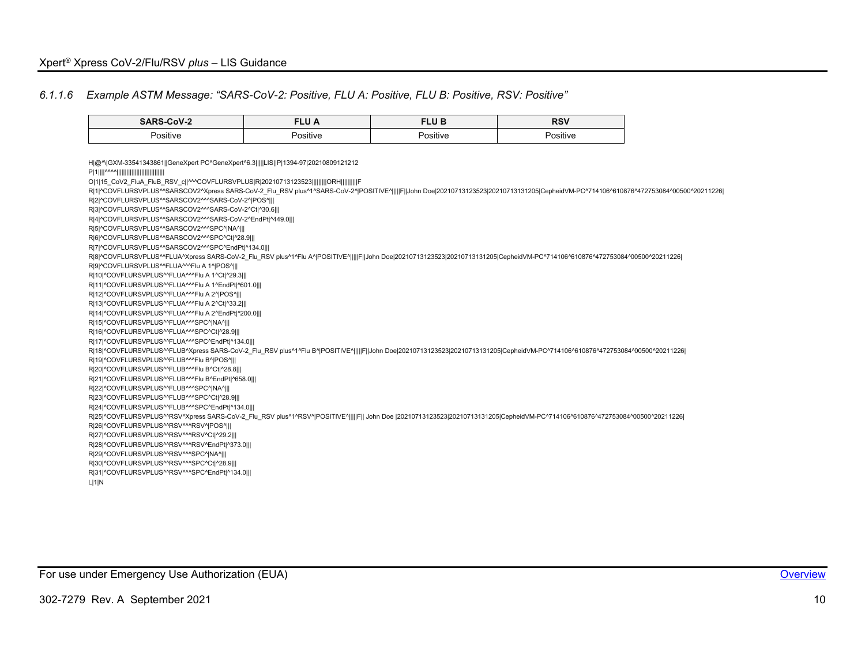#### *6.1.1.6 Example ASTM Message: "SARS-CoV-2: Positive, FLU A: Positive, FLU B: Positive, RSV: Positive"*

<span id="page-10-0"></span>

| SARS-CoV-2                                                                                                                                                                                                                                                                                                                                                                                                                                                                                                                                                                                                                                                                                                                                                                                                                                                                                                                                                                                                                                                                                                                                                                                                                                                                                                                                                                                                                                                                                                                                                                                                                                                                                                                                                                                                                                                                                                                                                                                                                                                                                                                                                                                                                                                                                                                 | <b>FLUA</b> | <b>FLUB</b> | <b>RSV</b> |
|----------------------------------------------------------------------------------------------------------------------------------------------------------------------------------------------------------------------------------------------------------------------------------------------------------------------------------------------------------------------------------------------------------------------------------------------------------------------------------------------------------------------------------------------------------------------------------------------------------------------------------------------------------------------------------------------------------------------------------------------------------------------------------------------------------------------------------------------------------------------------------------------------------------------------------------------------------------------------------------------------------------------------------------------------------------------------------------------------------------------------------------------------------------------------------------------------------------------------------------------------------------------------------------------------------------------------------------------------------------------------------------------------------------------------------------------------------------------------------------------------------------------------------------------------------------------------------------------------------------------------------------------------------------------------------------------------------------------------------------------------------------------------------------------------------------------------------------------------------------------------------------------------------------------------------------------------------------------------------------------------------------------------------------------------------------------------------------------------------------------------------------------------------------------------------------------------------------------------------------------------------------------------------------------------------------------------|-------------|-------------|------------|
| Positive                                                                                                                                                                                                                                                                                                                                                                                                                                                                                                                                                                                                                                                                                                                                                                                                                                                                                                                                                                                                                                                                                                                                                                                                                                                                                                                                                                                                                                                                                                                                                                                                                                                                                                                                                                                                                                                                                                                                                                                                                                                                                                                                                                                                                                                                                                                   | Positive    | Positive    | Positive   |
| H @^\ GXM-33541343861  GeneXpert PC^GeneXpert^6.3     LIS  P 1394-97 20210809121212<br>O 1 15 CoV2 FluA FluB RSV c  ^^^COVFLURSVPLUS R 20210713123523         ORH          F<br>R 1 ^COVFLURSVPLUS^^SARSCOV2^Xpress SARS-CoV-2 Flu RSV plus^1^SARS-CoV-2^ POSITIVE^     F  John Doe 20210713123523 20210713131205 CepheidVM-PC^714106^610876^472753084^00500^20211226<br>R 2 ^COVFLURSVPLUS^^SARSCOV2^^^SARS-CoV-2^ POS^   <br>R 3 ^COVFLURSVPLUS^^SARSCOV2^^^SARS-CoV-2^Ct ^30.6   <br>RI4I^COVFLURSVPLUS^^SARSCOV2^^^SARS-CoV-2^EndPt ^449.0   <br>R 5 ^COVFLURSVPLUS^^SARSCOV2^^^SPC^ NA^   <br>R 6 ^COVFLURSVPLUS^^SARSCOV2^^^SPC^Ct ^28.9   <br>R 7 ^COVFLURSVPLUS^^SARSCOV2^^^SPC^EndPt ^134.0   <br>R 8 ^COVFLURSVPLUS^^FLUA^Xpress SARS-CoV-2 Flu RSV plus^1^Flu A^ POSITIVE^     F  John Doe 20210713123523 20210713131205 CepheidVM-PC^714106^610876^472753084^00500^20211226 <br>RI9I^COVFLURSVPLUS^^FLUA^^^Flu A 1^IPOS^III<br>R 10 ^COVFLURSVPLUS^^FLUA^^^Flu A 1^Ct ^29.3   <br>R 11 ^COVFLURSVPLUS^^FLUA^^^Flu A 1^EndPt ^601.0   <br>R 12 ^COVFLURSVPLUS^^FLUA^^^Flu A 2^ POS^   <br>R 13 ^COVFLURSVPLUS^^FLUA^^^Flu A 2^Ct ^33.2   <br>R 14 ^COVFLURSVPLUS^^FLUA^^^Flu A 2^EndPt ^200.0   <br>R 15 ^COVFLURSVPLUS^^FLUA^^^SPC^ NA^   <br>R 16 ^COVFLURSVPLUS^^FLUA^^^SPC^Ct ^28.9   <br>R 17 ^COVFLURSVPLUS^^FLUA^^^SPC^EndPt ^134.0   <br>R 18 ^COVFLURSVPLUS^^FLUB^Xpress SARS-CoV-2_Flu_RSV plus^1^Flu B^ POSITIVE^     F  John Doe 20210713123523 20210713131205 CepheidVM-PC^714106^610876^472753084^00500^20211226 <br>R 19 ^COVFLURSVPLUS^^FLUB^^^Flu B^ POS^   <br>R 20 ^COVFLURSVPLUS^^FLUB^^^Flu B^Ct ^28.8   <br>R 21 ^COVFLURSVPLUS^^FLUB^^^Flu B^EndPt ^658.0   <br>R 22 ^COVFLURSVPLUS^^FLUB^^^SPC^ NA^   <br>R 23 ^COVFLURSVPLUS^^FLUB^^^SPC^Ct ^28.9   <br>R 24 ^COVFLURSVPLUS^^FLUB^^^SPC^EndPt ^134.0   <br>R 25 ^COVFLURSVPLUS^^RSV^Xpress SARS-CoV-2_Flu_RSV plus^1^RSV^ POSITIVE^     F   John Doe  20210713123523 20210713131205 CepheidVM-PC^714106^610876^472753084^00500^20211226 <br>RI26I^COVFLURSVPLUS^^RSV^^^RSV^IPOS^III<br>R 27 ^COVFLURSVPLUS^^RSV^^^RSV^Ct ^29.2   <br>R 28 ^COVFLURSVPLUS^^RSV^^^RSV^EndPt ^373.0   <br>RI29I^COVFLURSVPLUS^^RSV^^^SPC^INA^III<br>R 30 ^COVFLURSVPLUS^^RSV^^^SPC^Ct ^28.9   <br>R 31 ^COVFLURSVPLUS^^RSV^^^SPC^EndPt ^134.0   <br>L 1 N |             |             |            |

For use under Emergency Use Authorization (EUA) **[Overview](#page-4-1) Container and Container and Container Container and Container and Container and Container and Container and Container and Container and Container and Container an**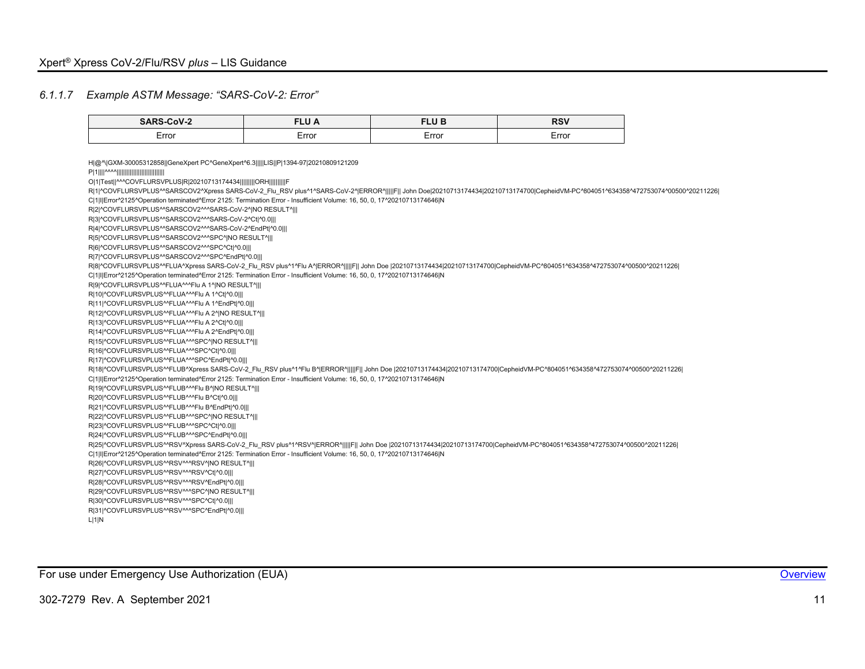### *6.1.1.7 Example ASTM Message: "SARS-CoV-2: Error"*

<span id="page-11-0"></span>

| Error<br>Error<br>Error<br>Error<br>H @^\ GXM-30005312858  GeneXpert PC^GeneXpert^6.3     LIS  P 1394-97 20210809121209<br>0 1 Test  ^^^COVFLURSVPLUS R 20210713174434          ORH          F<br>C[1] Error^2125^Operation terminated^Error 2125: Termination Error - Insufficient Volume: 16, 50, 0, 17^20210713174646 N<br>R 2 ^COVFLURSVPLUS^^SARSCOV2^^^SARS-CoV-2^ NO RESULT^   <br>R 3 ^COVFLURSVPLUS^^SARSCOV2^^^SARS-CoV-2^Ct ^0.0   <br>R 4 ^COVFLURSVPLUS^^SARSCOV2^^^SARS-CoV-2^EndPt ^0.0   <br>RI5I^COVFLURSVPLUS^^SARSCOV2^^^SPC^ NO RESULT^   <br>R 6 ^COVFLURSVPLUS^^SARSCOV2^^^SPC^Ct ^0.0   <br>R 7 ^COVFLURSVPLUS^^SARSCOV2^^^SPC^EndPt ^0.0   <br>C 1 I Error^2125^Operation terminated^Error 2125: Termination Error - Insufficient Volume: 16, 50, 0, 17^20210713174646 N<br>RI9I^COVFLURSVPLUS^^FLUA^^^Flu A 1^INO RESULT^III<br>R 10 ^COVFLURSVPLUS^^FLUA^^^Flu A 1^Ct ^0.0   <br>R 11 ^COVFLURSVPLUS^^FLUA^^^Flu A 1^EndPt ^0.0   <br>R 12 ^COVFLURSVPLUS^^FLUA^^^Flu A 2^ NO RESULT^   <br>R 13 ^COVFLURSVPLUS^^FLUA^^^Flu A 2^Ct ^0.0   <br>R 14 ^COVFLURSVPLUS^^FLUA^^^Flu A 2^EndPt ^0.0   <br>RI15I^COVFLURSVPLUS^^FLUA^^^SPC^INO RESULT^III<br>R 16 ^COVFLURSVPLUS^^FLUA^^^SPC^Ct ^0.0   <br>R 17 ^COVFLURSVPLUS^^FLUA^^^SPC^EndPt ^0.0   <br>C[1] Error^2125^Operation terminated^Error 2125: Termination Error - Insufficient Volume: 16, 50, 0, 17^20210713174646 N<br>R 19 ^COVFLURSVPLUS^^FLUB^^^Flu B^ NO RESULT^   <br>R 20 ^COVFLURSVPLUS^^FLUB^^^Flu B^Ct ^0.0   <br>R 21 ^COVFLURSVPLUS^^FLUB^^^Flu B^EndPt ^0.0   <br>R 22 ^COVFLURSVPLUS^^FLUB^^^SPC^ NO RESULT^   <br>RI23I^COVFLURSVPLUS^^FLUB^^^SPC^CtI^0.0   <br>R 24 ^COVFLURSVPLUS^^FLUB^^^SPC^EndPt ^0.0 | R 1 ^COVFLURSVPLUS^^SARSCOV2^Xpress SARS-CoV-2 Flu RSV plus^1^SARS-CoV-2^ ERROR^     F   John Doe 20210713174434 20210713174700 CepheidVM-PC^804051^634358^472753074^00500^20211226 <br>R 8 ^COVFLURSVPLUS^^FLUA^Xpress SARS-CoV-2_Flu_RSV plus^1^Flu A^ ERROR^     F   John Doe  20210713174434 20210713174700 CepheidVM-PC^804051^634358^472753074^00500^20211226 <br>R 18 ^COVFLURSVPLUS^^FLUB^Xpress SARS-CoV-2 Flu RSV plus^1^Flu B^ ERROR^    F   John Doe  20210713174434 20210713174700 CepheidVM-PC^804051^634358^472753074^00500^20211226 <br>R 25 ^COVFLURSVPLUS^^RSV^Xpress SARS-CoV-2 Flu RSV plus^1^RSV^ ERROR^     F   John Doe  20210713174434 20210713174700 CepheidVM-PC^804051^634358^472753074^00500^20211226 <br>C 1 I Error^2125^Operation terminated^Error 2125: Termination Error - Insufficient Volume: 16, 50, 0, 17^20210713174646 N<br>R 26 ^COVFLURSVPLUS^^RSV^^^RSV^ NO RESULT^   <br>R 27 ^COVFLURSVPLUS^^RSV^^^RSV^Ct ^0.0   <br>R 28 ^COVFLURSVPLUS^^RSV^^^RSV^EndPt ^0.0   <br>RI29I^COVFLURSVPLUS^^RSV^^^SPC^INO RESULT^III | <b>SARS-CoV-2</b> | <b>FLU A</b> | <b>FLUB</b> | <b>RSV</b> |
|-------------------------------------------------------------------------------------------------------------------------------------------------------------------------------------------------------------------------------------------------------------------------------------------------------------------------------------------------------------------------------------------------------------------------------------------------------------------------------------------------------------------------------------------------------------------------------------------------------------------------------------------------------------------------------------------------------------------------------------------------------------------------------------------------------------------------------------------------------------------------------------------------------------------------------------------------------------------------------------------------------------------------------------------------------------------------------------------------------------------------------------------------------------------------------------------------------------------------------------------------------------------------------------------------------------------------------------------------------------------------------------------------------------------------------------------------------------------------------------------------------------------------------------------------------------------------------------------------------------------------------------------------------------------------------------------------------------|----------------------------------------------------------------------------------------------------------------------------------------------------------------------------------------------------------------------------------------------------------------------------------------------------------------------------------------------------------------------------------------------------------------------------------------------------------------------------------------------------------------------------------------------------------------------------------------------------------------------------------------------------------------------------------------------------------------------------------------------------------------------------------------------------------------------------------------------------------------------------------------------------------------------------------------------------------------------------------------------------------------------------------------------------------------|-------------------|--------------|-------------|------------|
|                                                                                                                                                                                                                                                                                                                                                                                                                                                                                                                                                                                                                                                                                                                                                                                                                                                                                                                                                                                                                                                                                                                                                                                                                                                                                                                                                                                                                                                                                                                                                                                                                                                                                                             |                                                                                                                                                                                                                                                                                                                                                                                                                                                                                                                                                                                                                                                                                                                                                                                                                                                                                                                                                                                                                                                                |                   |              |             |            |
|                                                                                                                                                                                                                                                                                                                                                                                                                                                                                                                                                                                                                                                                                                                                                                                                                                                                                                                                                                                                                                                                                                                                                                                                                                                                                                                                                                                                                                                                                                                                                                                                                                                                                                             |                                                                                                                                                                                                                                                                                                                                                                                                                                                                                                                                                                                                                                                                                                                                                                                                                                                                                                                                                                                                                                                                |                   |              |             |            |
|                                                                                                                                                                                                                                                                                                                                                                                                                                                                                                                                                                                                                                                                                                                                                                                                                                                                                                                                                                                                                                                                                                                                                                                                                                                                                                                                                                                                                                                                                                                                                                                                                                                                                                             |                                                                                                                                                                                                                                                                                                                                                                                                                                                                                                                                                                                                                                                                                                                                                                                                                                                                                                                                                                                                                                                                |                   |              |             |            |
|                                                                                                                                                                                                                                                                                                                                                                                                                                                                                                                                                                                                                                                                                                                                                                                                                                                                                                                                                                                                                                                                                                                                                                                                                                                                                                                                                                                                                                                                                                                                                                                                                                                                                                             |                                                                                                                                                                                                                                                                                                                                                                                                                                                                                                                                                                                                                                                                                                                                                                                                                                                                                                                                                                                                                                                                |                   |              |             |            |
|                                                                                                                                                                                                                                                                                                                                                                                                                                                                                                                                                                                                                                                                                                                                                                                                                                                                                                                                                                                                                                                                                                                                                                                                                                                                                                                                                                                                                                                                                                                                                                                                                                                                                                             |                                                                                                                                                                                                                                                                                                                                                                                                                                                                                                                                                                                                                                                                                                                                                                                                                                                                                                                                                                                                                                                                |                   |              |             |            |
|                                                                                                                                                                                                                                                                                                                                                                                                                                                                                                                                                                                                                                                                                                                                                                                                                                                                                                                                                                                                                                                                                                                                                                                                                                                                                                                                                                                                                                                                                                                                                                                                                                                                                                             |                                                                                                                                                                                                                                                                                                                                                                                                                                                                                                                                                                                                                                                                                                                                                                                                                                                                                                                                                                                                                                                                |                   |              |             |            |
|                                                                                                                                                                                                                                                                                                                                                                                                                                                                                                                                                                                                                                                                                                                                                                                                                                                                                                                                                                                                                                                                                                                                                                                                                                                                                                                                                                                                                                                                                                                                                                                                                                                                                                             |                                                                                                                                                                                                                                                                                                                                                                                                                                                                                                                                                                                                                                                                                                                                                                                                                                                                                                                                                                                                                                                                |                   |              |             |            |
|                                                                                                                                                                                                                                                                                                                                                                                                                                                                                                                                                                                                                                                                                                                                                                                                                                                                                                                                                                                                                                                                                                                                                                                                                                                                                                                                                                                                                                                                                                                                                                                                                                                                                                             |                                                                                                                                                                                                                                                                                                                                                                                                                                                                                                                                                                                                                                                                                                                                                                                                                                                                                                                                                                                                                                                                |                   |              |             |            |

For use under Emergency Use Authorization (EUA) **[Overview](#page-4-1) Container and Container and Container Container and Container and Container and Container and Container and Container and Container and Container and Container an**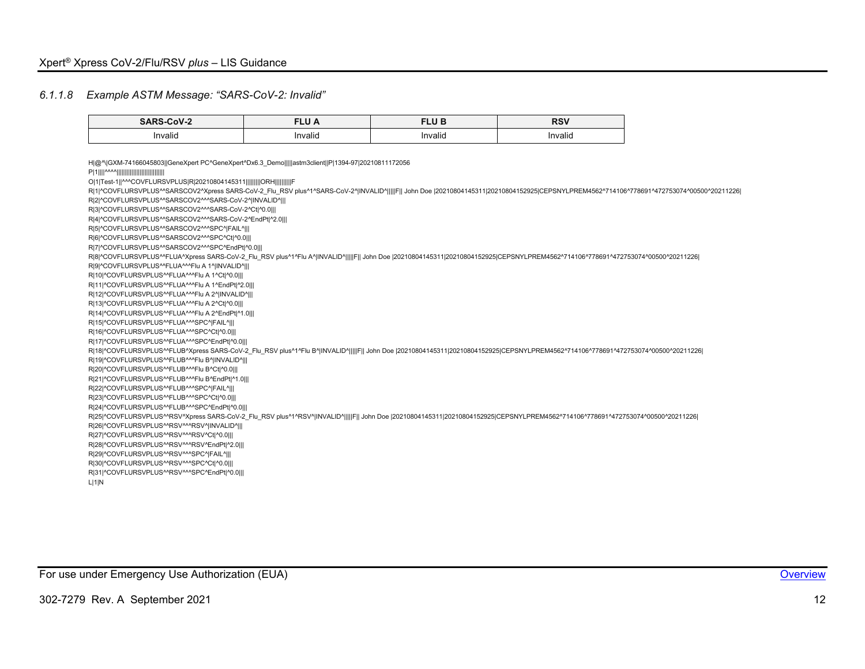#### *6.1.1.8 Example ASTM Message: "SARS-CoV-2: Invalid"*

<span id="page-12-0"></span>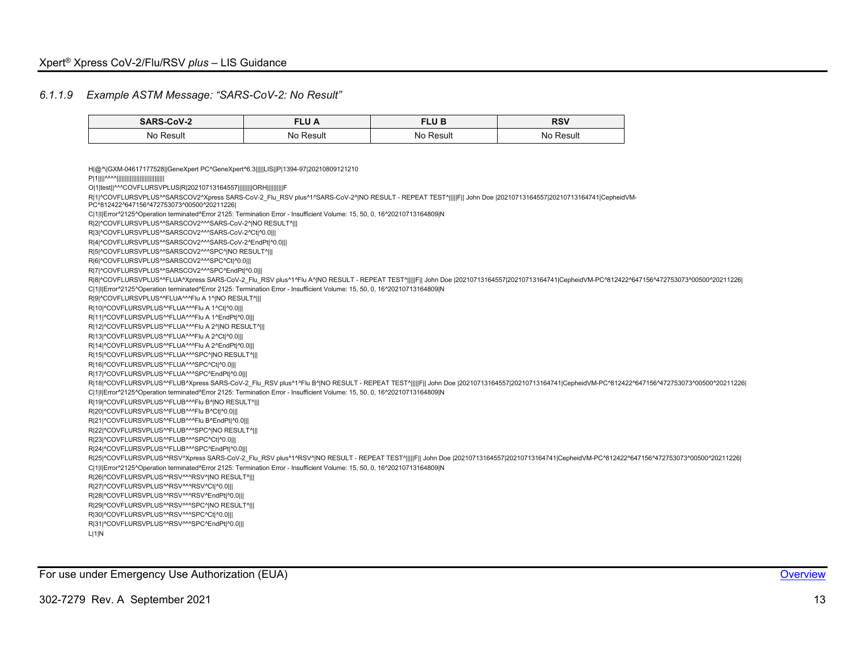#### *6.1.1.9 Example ASTM Message: "SARS-CoV-2: No Result"*

| <b>CADC</b><br>CoV-2 |       | <b>CLUB</b><br>Lu<br>$- - -$ | <b>RSV</b> |
|----------------------|-------|------------------------------|------------|
| Nc.                  | Nc.   | <b>NC</b>                    | ∛esul†     |
| Result               | Resul | Result                       | ٨I٢        |
|                      |       |                              |            |

<span id="page-13-0"></span>H|@^\|GXM-04617177528||GeneXpert PC^GeneXpert^6.3|||||LIS||P|1394-97|20210809121210 P|1||||^^^^||||||||||||||||||||||||||||| O|1|test||^^^COVFLURSVPLUS|R|20210713164557|||||||||ORH||||||||||F R|1|^COVFLURSVPLUS^^SARSCOV2^Xpress SARS-CoV-2\_Flu\_RSV plus^1^SARS-CoV-2^|NO RESULT - REPEAT TEST^|||||F|| John Doe |20210713164557|20210713164741|CepheidVM-PC^812422^647156^472753073^00500^20211226| C|1|I|Error^2125^Operation terminated^Error 2125: Termination Error - Insufficient Volume: 15, 50, 0, 16^20210713164809|N RI2I^COVFLURSVPLUS^^SARSCOV2^^^SARS-CoV-2^INO RESULT^III R|3|^COVFLURSVPLUS^^SARSCOV2^^^SARS-CoV-2^Ct|^0.0||| R|4|^COVFLURSVPLUS^^SARSCOV2^^^SARS-CoV-2^EndPt|^0.0||| R|5|^COVFLURSVPLUS^^SARSCOV2^^^SPC^|NO RESULT^||| R|6|^COVFLURSVPLUS^^SARSCOV2^^^SPC^Ct|^0.0||| R|7|^COVFLURSVPLUS^^SARSCOV2^^^SPC^EndPt|^0.0||| R|8|^COVFLURSVPLUS^^FLUA^Xpress SARS-CoV-2\_Flu\_RSV plus^1^Flu A^|NO RESULT - REPEAT TEST^|||||F|| John Doe |20210713164557|20210713164741|CepheidVM-PC^812422^647156^472753073^00500^20211226| C|1|I|Error^2125^Operation terminated^Error 2125: Termination Error - Insufficient Volume: 15, 50, 0, 16^20210713164809|N R|9|^COVFLURSVPLUS^^FLUA^^^Flu A 1^|NO RESULT^||| R|10|^COVFLURSVPLUS^^FLUA^^^Flu A 1^Ct|^0.0||| R|11|^COVFLURSVPLUS^^FLUA^^^Flu A 1^EndPt|^0.0||| R|12|^COVFLURSVPLUS^^FLUA^^^Flu A 2^|NO RESULT^||| R|13|^COVFLURSVPLUS^^FLUA^^^Flu A 2^Ct|^0.0||| R|14|^COVFLURSVPLUS^^FLUA^^^Flu A 2^EndPt|^0.0||| R|15|^COVFLURSVPLUS^^FLUA^^^SPC^|NO RESULT^||| R|16|^COVFLURSVPLUS^^FLUA^^^SPC^Ct|^0.0||| R|17|^COVFLURSVPLUS^^FLUA^^^SPC^EndPt|^0.0||| R|18|^COVFLURSVPLUS^^FLUB^Xpress SARS-CoV-2\_Flu\_RSV plus^1^Flu B^|NO RESULT - REPEAT TEST^|||||F|| John Doe |20210713164557|20210713164741|CepheidVM-PC^812422^647156^472753073^00500^20211226| C|1|I|Error^2125^Operation terminated^Error 2125: Termination Error - Insufficient Volume: 15, 50, 0, 16^20210713164809|N R|19|^COVFLURSVPLUS^^FLUB^^^Flu B^|NO RESULT^||| R|20|^COVFLURSVPLUS^^FLUB^^^Flu B^Ct|^0.0||| R|21|^COVFLURSVPLUS^^FLUB^^^Flu B^EndPt|^0.0||| R|22|^COVFLURSVPLUS^^FLUB^^^SPC^|NO RESULT^||| R|23|^COVFLURSVPLUS^^FLUB^^^SPC^Ct|^0.0||| R|24|^COVFLURSVPLUS^^FLUB^^^SPC^EndPt|^0.0||| R|25|^COVFLURSVPLUS^^RSV^Xpress SARS-CoV-2\_Flu\_RSV plus^1^RSV^|NO RESULT - REPEAT TEST^|||||F|| John Doe |20210713164557|20210713164741|CepheidVM-PC^812422^647156^472753073^00500^20211226| C|1|I|Error^2125^Operation terminated^Error 2125: Termination Error - Insufficient Volume: 15, 50, 0, 16^20210713164809|N R|26|^COVFLURSVPLUS^^RSV^^^RSV^|NO RESULT^||| R|27|^COVFLURSVPLUS^^RSV^^^RSV^Ct|^0.0||| R|28|^COVFLURSVPLUS^^RSV^^^RSV^EndPt|^0.0||| R|29|^COVFLURSVPLUS^^RSV^^^SPC^|NO RESULT^||| R|30|^COVFLURSVPLUS^^RSV^^^SPC^Ct|^0.0||| R|31|^COVFLURSVPLUS^^RSV^^^SPC^EndPt|^0.0||| L|1|N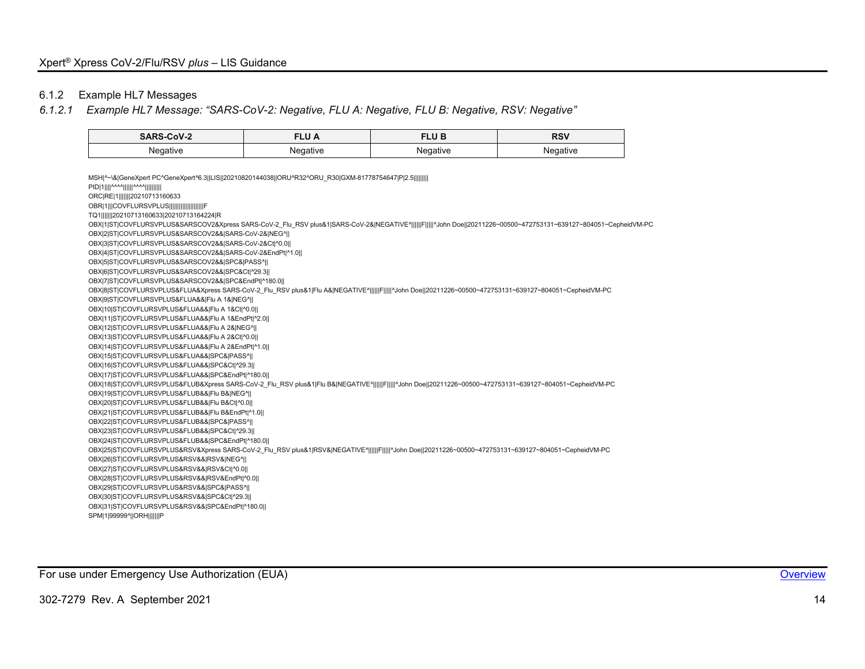# 6.1.2 Example HL7 Messages

# *6.1.2.1 Example HL7 Message: "SARS-CoV-2: Negative, FLU A: Negative, FLU B: Negative, RSV: Negative"*

| <b>SARS-CoV-2</b>  | LU M     | TLU BI              | <b>RSV</b>       |
|--------------------|----------|---------------------|------------------|
| Negative<br>$\sim$ | Negative | Negative<br>$\cdot$ | Negative<br>لى . |

<span id="page-14-0"></span>

| MSH ^~\& GeneXpert PC^GeneXpert^6.3  LIS  20210820144038  ORU^R32^ORU R30 GXM-81778754647 P 2.5                                                                  |
|------------------------------------------------------------------------------------------------------------------------------------------------------------------|
| PID 1    ^^^^      ^^^^                                                                                                                                          |
| ORC RE 1        20210713160633                                                                                                                                   |
| OBR 1   COVFLURSVPLUS                                                                                                                                            |
| TQ1       20210713160633 20210713164224 R                                                                                                                        |
| OBX 1 ST COVFLURSVPLUS&SARSCOV2&Xpress SARS-CoV-2_Flu_RSV plus&1 SARS-CoV-2& NEGATIVE^      F     ^John Doe  20211226~00500~472753131~639127~804051~CepheidVM-PC |
| OBX 2 ST COVFLURSVPLUS&SARSCOV2&& SARS-CoV-2& NEG^                                                                                                               |
| OBX 3 ST COVFLURSVPLUS&SARSCOV2&& SARS-CoV-2&Ct ^0.0                                                                                                             |
| OBX 4 ST COVFLURSVPLUS&SARSCOV2&& SARS-CoV-2&EndPt ^1.0                                                                                                          |
| OBX 5 ST COVFLURSVPLUS&SARSCOV2&& SPC& PASS^                                                                                                                     |
| OBX 6 ST COVFLURSVPLUS&SARSCOV2&& SPC&Ct ^29.3                                                                                                                   |
| OBX 7 ST COVFLURSVPLUS&SARSCOV2&& SPC&EndPt ^180.0                                                                                                               |
| OBX 8 ST COVFLURSVPLUS&FLUA&Xpress SARS-CoV-2 Flu RSV plus&1 Flu A& NEGATIVE^      F      -John Doe  20211226~00500~472753131~639127~804051~CepheidVM-PC         |
| OBX 9 ST COVFLURSVPLUS&FLUA&& Flu A 1& NEG^                                                                                                                      |
| OBX 10 ST COVFLURSVPLUS&FLUA&& Flu A 1&Ct ^0.0                                                                                                                   |
| OBX 11 ST COVFLURSVPLUS&FLUA&& Flu A 1&EndPt ^2.0                                                                                                                |
| OBX 12 ST COVFLURSVPLUS&FLUA&& Flu A 2& NEG^                                                                                                                     |
| OBX 13 ST COVFLURSVPLUS&FLUA&& Flu A 2&Ct ^0.0                                                                                                                   |
| OBX 14 ST COVFLURSVPLUS&FLUA&& Flu A 2&EndPt ^1.0                                                                                                                |
| OBX 15 ST COVFLURSVPLUS&FLUA&& SPC& PASS^                                                                                                                        |
| OBX 16 ST COVFLURSVPLUS&FLUA&& SPC&Ct ^29.3                                                                                                                      |
| OBX 17 ST COVFLURSVPLUS&FLUA&& SPC&EndPt ^180.0                                                                                                                  |
| OBX 18 ST COVFLURSVPLUS&FLUB&Xpress SARS-CoV-2 Flu RSV plus&1 Flu B& NEGATIVE^      F     ^John Doe  20211226~00500~472753131~639127~804051~CepheidVM-PC         |
| OBX 19 ST COVFLURSVPLUS&FLUB&& Flu B& NEG^                                                                                                                       |
| OBX 20 ST COVFLURSVPLUS&FLUB&& Flu B&Ct ^0.0                                                                                                                     |
| OBX 21 ST COVFLURSVPLUS&FLUB&& Flu B&EndPt ^1.0                                                                                                                  |
| OBX 22 ST COVFLURSVPLUS&FLUB&& SPC& PASS^                                                                                                                        |
| OBX 23 ST COVFLURSVPLUS&FLUB&& SPC&Ct ^29.3                                                                                                                      |
| OBX 24 ST COVFLURSVPLUS&FLUB&& SPC&EndPt ^180.0                                                                                                                  |
| OBX 25 ST COVFLURSVPLUS&RSV&Xpress SARS-CoV-2 Flu RSV plus&1 RSV& NEGATIVE^      F      ^John Doe  20211226~00500~472753131~639127~804051~CepheidVM-PC           |
| OBX 26 ST COVFLURSVPLUS&RSV&& RSV& NEG^                                                                                                                          |
| OBX 27 ST COVFLURSVPLUS&RSV&& RSV&Ct ^0.0                                                                                                                        |
| OBX 28 ST COVFLURSVPLUS&RSV&& RSV&EndPt ^0.0                                                                                                                     |
| OBX 29 ST COVFLURSVPLUS&RSV&& SPC& PASS^                                                                                                                         |
| OBX 30 ST COVFLURSVPLUS&RSV&& SPC&Ct ^29.3                                                                                                                       |
| OBX 31 ST COVFLURSVPLUS&RSV&& SPC&EndPt ^180.0                                                                                                                   |
| SPM 1 99999^  ORH       P                                                                                                                                        |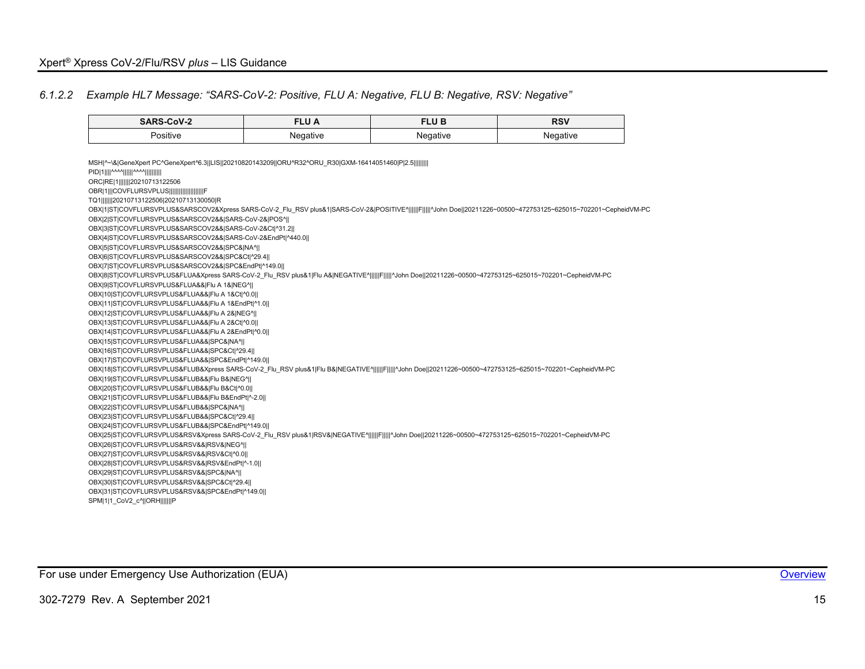### *6.1.2.2 Example HL7 Message: "SARS-CoV-2: Positive, FLU A: Negative, FLU B: Negative, RSV: Negative"*

<span id="page-15-0"></span>

| SARS-CoV-2                                                                                                                                                       | <b>FLU A</b> | <b>FLUB</b> | <b>RSV</b> |
|------------------------------------------------------------------------------------------------------------------------------------------------------------------|--------------|-------------|------------|
| Positive                                                                                                                                                         | Negative     | Negative    | Negative   |
|                                                                                                                                                                  |              |             |            |
| MSH ^~\& GeneXpert PC^GeneXpert^6.3  LIS  20210820143209  ORU^R32^ORU R30 GXM-16414051460 P 2.5                                                                  |              |             |            |
| PID 1    ^^^^      ^^^^                                                                                                                                          |              |             |            |
| ORC RE 1        20210713122506                                                                                                                                   |              |             |            |
| OBR 1   COVFLURSVPLUS                                                                                                                                            |              |             |            |
| TQ1       20210713122506 20210713130050 R                                                                                                                        |              |             |            |
| OBX 1 ST COVFLURSVPLUS&SARSCOV2&Xpress SARS-CoV-2 Flu RSV plus&1 SARS-CoV-2& POSITIVE^      F     ^John Doe  20211226~00500~472753125~625015~702201~CepheidVM-PC |              |             |            |
| OBX 2 ST COVFLURSVPLUS&SARSCOV2&& SARS-CoV-2& POS^                                                                                                               |              |             |            |
| OBX 3 ST COVFLURSVPLUS&SARSCOV2&& SARS-CoV-2&Ct ^31.2                                                                                                            |              |             |            |
| OBX 4 ST COVFLURSVPLUS&SARSCOV2&& SARS-CoV-2&EndPt ^440.0                                                                                                        |              |             |            |
| OBX 5 ST COVFLURSVPLUS&SARSCOV2&& SPC& NA^                                                                                                                       |              |             |            |
| OBX 6 ST COVFLURSVPLUS&SARSCOV2&& SPC&Ct ^29.4                                                                                                                   |              |             |            |
| OBX 7 ST COVFLURSVPLUS&SARSCOV2&& SPC&EndPt ^149.0                                                                                                               |              |             |            |
| OBX 8 ST COVFLURSVPLUS&FLUA&Xpress SARS-CoV-2 Flu RSV plus&1 Flu A& NEGATIVE^      F     ^John Doe  20211226~00500~472753125~625015~702201~CepheidVM-PC          |              |             |            |
| OBX 9 ST COVFLURSVPLUS&FLUA&& Flu A 1& NEG^                                                                                                                      |              |             |            |
| OBX 10 ST COVFLURSVPLUS&FLUA&& Flu A 1&Ct ^0.0                                                                                                                   |              |             |            |
| OBX 11 ST COVFLURSVPLUS&FLUA&& Flu A 1&EndPt ^1.0                                                                                                                |              |             |            |
| OBX 12 ST COVFLURSVPLUS&FLUA&& Flu A 2& NEG^                                                                                                                     |              |             |            |
| OBX 13 ST COVFLURSVPLUS&FLUA&& Flu A 2&Ct ^0.0  <br>OBX 14 ST COVFLURSVPLUS&FLUA&& Flu A 2&EndPt ^0.0                                                            |              |             |            |
| OBX 15 ST COVFLURSVPLUS&FLUA&& SPC& NA^                                                                                                                          |              |             |            |
| OBX 16 ST COVFLURSVPLUS&FLUA&& SPC&Ct ^29.4                                                                                                                      |              |             |            |
| OBX 17 ST COVFLURSVPLUS&FLUA&& SPC&EndPt ^149.0                                                                                                                  |              |             |            |
| OBX 18 ST COVFLURSVPLUS&FLUB&Xpress SARS-CoV-2_Flu_RSV plus&1 Flu B& NEGATIVE^      F     ^John Doe  20211226~00500~472753125~625015~702201~CepheidVM-PC         |              |             |            |
| OBX 19 ST COVFLURSVPLUS&FLUB&& Flu B& NEG^                                                                                                                       |              |             |            |
| OBX 20 ST COVFLURSVPLUS&FLUB&& Flu B&Ct ^0.0                                                                                                                     |              |             |            |
| OBX 21 ST COVFLURSVPLUS&FLUB&& Flu B&EndPt ^-2.0                                                                                                                 |              |             |            |
| OBX 22 ST COVFLURSVPLUS&FLUB&& SPC& NA^                                                                                                                          |              |             |            |
| OBX 23 ST COVFLURSVPLUS&FLUB&& SPC&Ct ^29.4                                                                                                                      |              |             |            |
| OBX 24 ST COVFLURSVPLUS&FLUB&& SPC&EndPt ^149.0                                                                                                                  |              |             |            |
| OBX 25 ST COVFLURSVPLUS&RSV&Xpress SARS-CoV-2 Flu RSV plus&1 RSV& NEGATIVE^      F      ^John Doe  20211226~00500~472753125~625015~702201~CepheidVM-PC           |              |             |            |
| OBX 26 ST COVFLURSVPLUS&RSV&& RSV& NEG^                                                                                                                          |              |             |            |
| OBX 27 ST COVFLURSVPLUS&RSV&& RSV&Ct ^0.0                                                                                                                        |              |             |            |
| OBX 28 ST COVFLURSVPLUS&RSV&& RSV&EndPt ^-1.0                                                                                                                    |              |             |            |
| OBX 29 ST COVFLURSVPLUS&RSV&& SPC& NA^                                                                                                                           |              |             |            |
| OBX 30 ST COVFLURSVPLUS&RSV&& SPC&Ct ^29.4                                                                                                                       |              |             |            |
| OBX 31 ST COVFLURSVPLUS&RSV&& SPC&EndPt ^149.0                                                                                                                   |              |             |            |
| SPM 1 1 CoV2 c^  ORH        P                                                                                                                                    |              |             |            |

For use under Emergency Use Authorization (EUA) **[Overview](#page-4-1) Container and Container and Container and Container Container and Container and Container and Container and Container and Container and Container and Container an**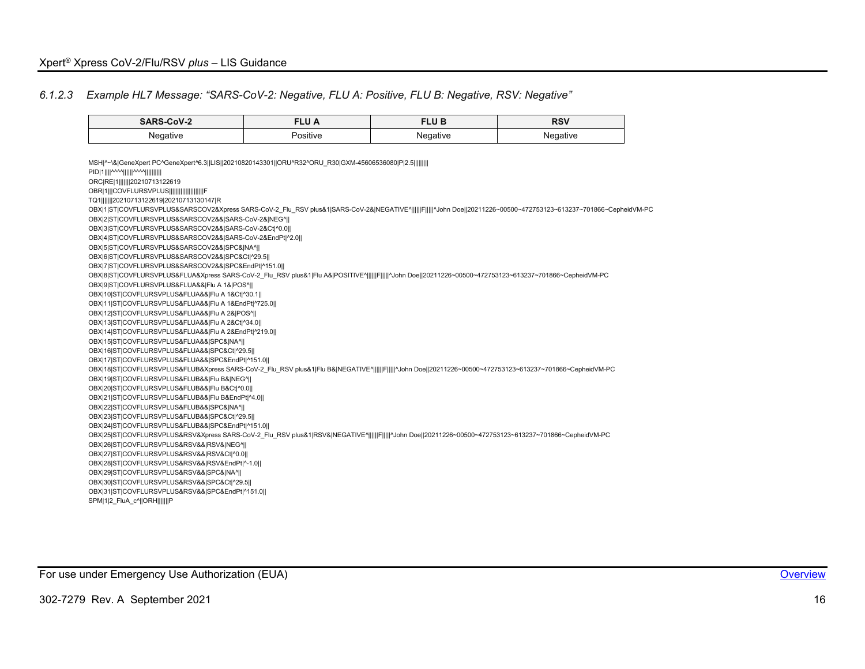### *6.1.2.3 Example HL7 Message: "SARS-CoV-2: Negative, FLU A: Positive, FLU B: Negative, RSV: Negative"*

<span id="page-16-0"></span>

| <b>SARS-CoV-2</b>                                                                                                                                                | <b>FLU A</b> | <b>FLUB</b> | <b>RSV</b> |
|------------------------------------------------------------------------------------------------------------------------------------------------------------------|--------------|-------------|------------|
| Negative                                                                                                                                                         | Positive     | Negative    | Negative   |
|                                                                                                                                                                  |              |             |            |
| MSH ^~\& GeneXpert PC^GeneXpert^6.3  LIS  20210820143301  ORU^R32^ORU R30 GXM-45606536080 P 2.5                                                                  |              |             |            |
| PID 1    ^^^^      ^^^^                                                                                                                                          |              |             |            |
| ORC RE 1        20210713122619                                                                                                                                   |              |             |            |
| OBR 1   COVFLURSVPLUS                                                                                                                                            |              |             |            |
| TQ1       20210713122619 20210713130147 R                                                                                                                        |              |             |            |
| OBX 1 ST COVFLURSVPLUS&SARSCOV2&Xpress SARS-CoV-2 Flu RSV plus&1 SARS-CoV-2& NEGATIVE^      F     ^John Doe  20211226~00500~472753123~613237~701866~CepheidVM-PC |              |             |            |
| OBX 2 ST COVFLURSVPLUS&SARSCOV2&& SARS-CoV-2& NEG^                                                                                                               |              |             |            |
| OBX 3 ST COVFLURSVPLUS&SARSCOV2&& SARS-CoV-2&Ct ^0.0                                                                                                             |              |             |            |
| OBX 4 ST COVFLURSVPLUS&SARSCOV2&& SARS-CoV-2&EndPt ^2.0                                                                                                          |              |             |            |
| OBX 5 ST COVFLURSVPLUS&SARSCOV2&& SPC& NA^                                                                                                                       |              |             |            |
| OBX 6 ST COVFLURSVPLUS&SARSCOV2&& SPC&Ct ^29.5                                                                                                                   |              |             |            |
| OBX 7 ST COVFLURSVPLUS&SARSCOV2&& SPC&EndPt ^151.0                                                                                                               |              |             |            |
| OBX 8 ST COVFLURSVPLUS&FLUA&Xpress SARS-CoV-2_Flu_RSV plus&1 Flu A& POSITIVE^      F     ^John Doe  20211226~00500~472753123~613237~701866~CepheidVM-PC          |              |             |            |
| OBX 9 ST COVFLURSVPLUS&FLUA&& Flu A 1& POS^                                                                                                                      |              |             |            |
| OBX 10 ST COVFLURSVPLUS&FLUA&& Flu A 1&Ct ^30.1                                                                                                                  |              |             |            |
| OBX 11 ST COVFLURSVPLUS&FLUA&& Flu A 1&EndPt ^725.0                                                                                                              |              |             |            |
| OBX 12 ST COVFLURSVPLUS&FLUA&& Flu A 2& POS^                                                                                                                     |              |             |            |
| OBX 13 ST COVFLURSVPLUS&FLUA&& Flu A 2&Ct ^34.0                                                                                                                  |              |             |            |
| OBX 14 ST COVFLURSVPLUS&FLUA&& Flu A 2&EndPt ^219.0  <br>OBX 15 ST COVFLURSVPLUS&FLUA&& SPC& NA^                                                                 |              |             |            |
| OBX 16 ST COVFLURSVPLUS&FLUA&& SPC&Ct ^29.5                                                                                                                      |              |             |            |
| OBX 17 ST COVFLURSVPLUS&FLUA&& SPC&EndPt ^151.0                                                                                                                  |              |             |            |
| OBX 18 ST COVFLURSVPLUS&FLUB&Xpress SARS-CoV-2 Flu RSV plus&1 Flu B& NEGATIVE^      F     ^John Doe  20211226~00500~472753123~613237~701866~CepheidVM-PC         |              |             |            |
| OBX 19 ST COVFLURSVPLUS&FLUB&& Flu B& NEG^                                                                                                                       |              |             |            |
| OBX 20 ST COVFLURSVPLUS&FLUB&& Flu B&Ct ^0.0                                                                                                                     |              |             |            |
| OBX 21 ST COVFLURSVPLUS&FLUB&& Flu B&EndPt ^4.0                                                                                                                  |              |             |            |
| OBX 22 ST COVFLURSVPLUS&FLUB&& SPC& NA^                                                                                                                          |              |             |            |
| OBX 23 ST COVFLURSVPLUS&FLUB&& SPC&Ct ^29.5                                                                                                                      |              |             |            |
| OBX 24 ST COVFLURSVPLUS&FLUB&& SPC&EndPt ^151.0                                                                                                                  |              |             |            |
| OBX 25 ST COVFLURSVPLUS&RSV&Xpress SARS-CoV-2_Flu_RSV plus&1 RSV& NEGATIVE^      F     ^John Doe  20211226~00500~472753123~613237~701866~CepheidVM-PC            |              |             |            |
| OBX 26 ST COVFLURSVPLUS&RSV&& RSV& NEG^                                                                                                                          |              |             |            |
| OBX 27 ST COVFLURSVPLUS&RSV&& RSV&Ct ^0.0                                                                                                                        |              |             |            |
| OBX 28 ST COVFLURSVPLUS&RSV&& RSV&EndPt ^-1.0                                                                                                                    |              |             |            |
| OBX 29 ST COVFLURSVPLUS&RSV&& SPC& NA^                                                                                                                           |              |             |            |
| OBX 30 ST COVFLURSVPLUS&RSV&& SPC&Ct ^29.5                                                                                                                       |              |             |            |
| OBX 31 ST COVFLURSVPLUS&RSV&& SPC&EndPt ^151.0                                                                                                                   |              |             |            |
| SPM 1 2_FluA_c^  ORH       P                                                                                                                                     |              |             |            |

For use under Emergency Use Authorization (EUA) **[Overview](#page-4-1) Container and Container and Container and Container Container and Container and Container and Container and Container and Container and Container and Container an**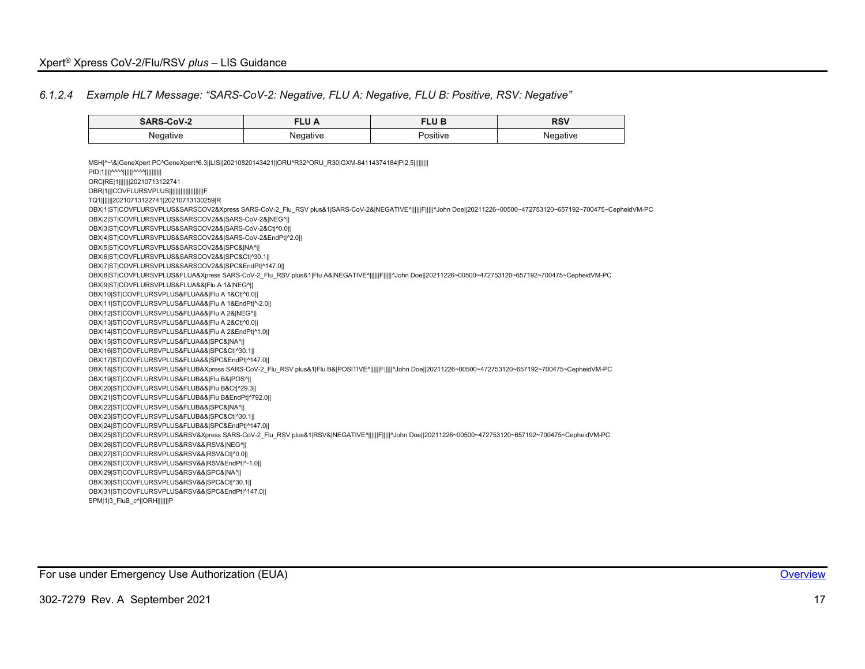### *6.1.2.4 Example HL7 Message: "SARS-CoV-2: Negative, FLU A: Negative, FLU B: Positive, RSV: Negative"*

<span id="page-17-0"></span>

| SARS-CoV-2                                                                                                                                                       | <b>FLUA</b> | <b>FLUB</b> | <b>RSV</b> |
|------------------------------------------------------------------------------------------------------------------------------------------------------------------|-------------|-------------|------------|
| Negative                                                                                                                                                         | Negative    | Positive    | Negative   |
|                                                                                                                                                                  |             |             |            |
| MSH ^~\& GeneXpert PC^GeneXpert^6.3  LIS  20210820143421  ORU^R32^ORU_R30 GXM-84114374184 P 2.5                                                                  |             |             |            |
| PID 1    ^^^^      ^^^^                                                                                                                                          |             |             |            |
| ORC RE 1        20210713122741                                                                                                                                   |             |             |            |
| OBR 1   COVFLURSVPLUS                     F                                                                                                                      |             |             |            |
| TQ1       20210713122741 20210713130259 R                                                                                                                        |             |             |            |
| OBX 1 ST COVFLURSVPLUS&SARSCOV2&Xpress SARS-CoV-2_Flu_RSV plus&1 SARS-CoV-2& NEGATIVE^      F     ^John Doe  20211226~00500~472753120~657192~700475~CepheidVM-PC |             |             |            |
| OBX 2 ST COVFLURSVPLUS&SARSCOV2&& SARS-CoV-2& NEG^                                                                                                               |             |             |            |
| OBX 3 ST COVFLURSVPLUS&SARSCOV2&& SARS-CoV-2&Ct ^0.0                                                                                                             |             |             |            |
| OBX 4 ST COVFLURSVPLUS&SARSCOV2&& SARS-CoV-2&EndPt ^2.0                                                                                                          |             |             |            |
| OBX 5 ST COVFLURSVPLUS&SARSCOV2&& SPC& NA^                                                                                                                       |             |             |            |
| OBX 6 ST COVFLURSVPLUS&SARSCOV2&& SPC&Ct ^30.1                                                                                                                   |             |             |            |
| OBX 7 ST COVFLURSVPLUS&SARSCOV2&& SPC&EndPt ^147.0                                                                                                               |             |             |            |
| OBX 8 ST COVFLURSVPLUS&FLUA&Xpress SARS-CoV-2_Flu_RSV plus&1 Flu A& NEGATIVE^      F     ^John Doe  20211226~00500~472753120~657192~700475~CepheidVM-PC          |             |             |            |
| OBX 9 ST COVFLURSVPLUS&FLUA&& Flu A 1& NEG^                                                                                                                      |             |             |            |
| OBX 10 ST COVFLURSVPLUS&FLUA&& Flu A 1&Ct ^0.0                                                                                                                   |             |             |            |
| OBX 11 ST COVFLURSVPLUS&FLUA&& Flu A 1&EndPt ^-2.0                                                                                                               |             |             |            |
| OBX 12 ST COVFLURSVPLUS&FLUA&& Flu A 2& NEG^                                                                                                                     |             |             |            |
| OBX 13 ST COVFLURSVPLUS&FLUA&& Flu A 2&Ct ^0.0                                                                                                                   |             |             |            |
| OBX 14 ST COVFLURSVPLUS&FLUA&& Flu A 2&EndPt ^1.0                                                                                                                |             |             |            |
| OBX 15 ST COVFLURSVPLUS&FLUA&& SPC& NA^                                                                                                                          |             |             |            |
| OBX 16 ST COVFLURSVPLUS&FLUA&& SPC&Ct ^30.1                                                                                                                      |             |             |            |
| OBX 17 ST COVFLURSVPLUS&FLUA&& SPC&EndPt ^147.0                                                                                                                  |             |             |            |
| OBX 18 ST COVFLURSVPLUS&FLUB&Xpress SARS-CoV-2_Flu_RSV plus&1 Flu B& POSITIVE^      F     ^John Doe  20211226~00500~472753120~657192~700475~CepheidVM-PC         |             |             |            |
| OBX 19 ST COVFLURSVPLUS&FLUB&& Flu B& POS^  <br>OBX 20 ST COVFLURSVPLUS&FLUB&& Flu B&Ct ^29.3                                                                    |             |             |            |
| OBX 21 ST COVFLURSVPLUS&FLUB&& Flu B&EndPt ^792.0                                                                                                                |             |             |            |
| OBX 22 ST COVFLURSVPLUS&FLUB&& SPC& NA^                                                                                                                          |             |             |            |
| OBX 23 ST COVFLURSVPLUS&FLUB&& SPC&Ct ^30.1                                                                                                                      |             |             |            |
| OBX 24 ST COVFLURSVPLUS&FLUB&& SPC&EndPt ^147.0                                                                                                                  |             |             |            |
| OBX 25 ST COVFLURSVPLUS&RSV&Xpress SARS-CoV-2 Flu RSV plus&1 RSV& NEGATIVE^      F     ^John Doe  20211226~00500~472753120~657192~700475~CepheidVM-PC            |             |             |            |
| OBX 26 ST COVFLURSVPLUS&RSV&& RSV& NEG^                                                                                                                          |             |             |            |
| OBX 27 ST COVFLURSVPLUS&RSV&& RSV&Ct ^0.0                                                                                                                        |             |             |            |
| OBX 28 ST COVFLURSVPLUS&RSV&& RSV&EndPt ^-1.0                                                                                                                    |             |             |            |
| OBX 29 ST COVFLURSVPLUS&RSV&& SPC& NA^                                                                                                                           |             |             |            |
| OBX 30 ST COVFLURSVPLUS&RSV&& SPC&Ct ^30.1                                                                                                                       |             |             |            |
| OBX 31 ST COVFLURSVPLUS&RSV&& SPC&EndPt ^147.0                                                                                                                   |             |             |            |
| SPM 1 3 FluB c^  ORH        P                                                                                                                                    |             |             |            |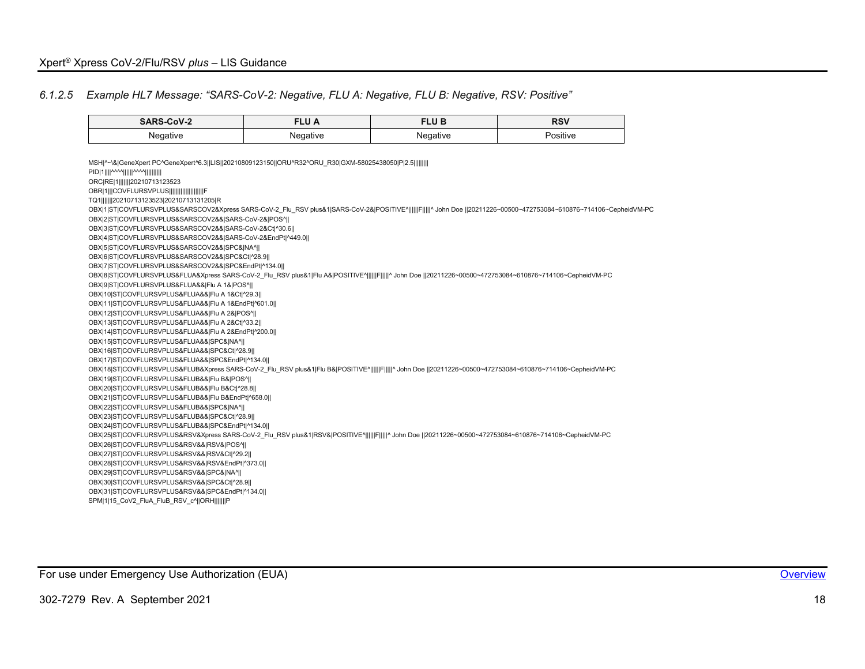$\overline{a}$ 

### *6.1.2.5 Example HL7 Message: "SARS-CoV-2: Negative, FLU A: Negative, FLU B: Negative, RSV: Positive"*

<span id="page-18-0"></span>

| <b>SARS-CoV-2</b>                                                                                                                                                 | <b>FLU A</b> | <b>FLUB</b> | <b>RSV</b> |
|-------------------------------------------------------------------------------------------------------------------------------------------------------------------|--------------|-------------|------------|
| Negative                                                                                                                                                          | Negative     | Negative    | Positive   |
|                                                                                                                                                                   |              |             |            |
| MSH ^~\& GeneXpert PC^GeneXpert^6.3  LIS  20210809123150  ORU^R32^ORU R30 GXM-58025438050 P 2.5                                                                   |              |             |            |
| PID 1    ^^^^      ^^^^                                                                                                                                           |              |             |            |
| ORC RE 1        20210713123523                                                                                                                                    |              |             |            |
| OBR 1  COVFLURSVPLUS                                                                                                                                              |              |             |            |
| TQ1       20210713123523 20210713131205 R                                                                                                                         |              |             |            |
| OBX 1 ST COVFLURSVPLUS&SARSCOV2&Xpress SARS-CoV-2 Flu RSV plus&1 SARS-CoV-2& POSITIVE^     F     ^ John Doe   20211226~00500~472753084~610876~714106~CepheidVM-PC |              |             |            |
| OBX 2 ST COVFLURSVPLUS&SARSCOV2&& SARS-CoV-2& POS^                                                                                                                |              |             |            |
| OBX 3 ST COVFLURSVPLUS&SARSCOV2&& SARS-CoV-2&Ct ^30.6                                                                                                             |              |             |            |
| OBX 4 ST COVFLURSVPLUS&SARSCOV2&& SARS-CoV-2&EndPt ^449.0                                                                                                         |              |             |            |
| OBX 5 ST COVFLURSVPLUS&SARSCOV2&& SPC& NA^                                                                                                                        |              |             |            |
| OBX 6 ST COVFLURSVPLUS&SARSCOV2&& SPC&Ct ^28.9                                                                                                                    |              |             |            |
| OBX 7 ST COVFLURSVPLUS&SARSCOV2&& SPC&EndPt ^134.0                                                                                                                |              |             |            |
| OBX 8 ST COVFLURSVPLUS&FLUA&Xpress SARS-CoV-2 Flu RSV plus&1 Flu A& POSITIVE^     F     ^ John Doe   20211226~00500~472753084~610876~714106~CepheidVM-PC          |              |             |            |
| OBX 9 ST COVFLURSVPLUS&FLUA&& Flu A 1& POS^                                                                                                                       |              |             |            |
| OBX 10 ST COVFLURSVPLUS&FLUA&& Flu A 1&Ct ^29.3                                                                                                                   |              |             |            |
| OBX 11 ST COVFLURSVPLUS&FLUA&& Flu A 1&EndPt ^601.0                                                                                                               |              |             |            |
| OBX 12 ST COVFLURSVPLUS&FLUA&& Flu A 2& POS^                                                                                                                      |              |             |            |
| OBX 13 ST COVFLURSVPLUS&FLUA&& Flu A 2&Ct ^33.2                                                                                                                   |              |             |            |
| OBX 14 ST COVFLURSVPLUS&FLUA&& Flu A 2&EndPt ^200.0                                                                                                               |              |             |            |
| OBX 15 ST COVFLURSVPLUS&FLUA&& SPC& NA^                                                                                                                           |              |             |            |
| OBX 16 ST COVFLURSVPLUS&FLUA&& SPC&Ct ^28.9                                                                                                                       |              |             |            |
| OBX 17 ST COVFLURSVPLUS&FLUA&& SPC&EndPt ^134.0                                                                                                                   |              |             |            |
| OBX 18 ST COVFLURSVPLUS&FLUB&Xpress SARS-CoV-2 Flu RSV plus&1 Flu B& POSITIVE^     F     ^ John Doe   20211226~00500~472753084~610876~714106~CepheidVM-PC         |              |             |            |
| OBX 19 ST COVFLURSVPLUS&FLUB&& Flu B& POS^                                                                                                                        |              |             |            |
| OBX 20 ST COVFLURSVPLUS&FLUB&& Flu B&Ct ^28.8                                                                                                                     |              |             |            |
| OBX 21 ST COVFLURSVPLUS&FLUB&& Flu B&EndPt ^658.0                                                                                                                 |              |             |            |
| OBX 22 ST COVFLURSVPLUS&FLUB&& SPC& NA^                                                                                                                           |              |             |            |
| OBX 23 ST COVFLURSVPLUS&FLUB&& SPC&Ct ^28.9                                                                                                                       |              |             |            |
| OBX 24 ST COVFLURSVPLUS&FLUB&& SPC&EndPt ^134.0                                                                                                                   |              |             |            |
| OBX 25 ST COVFLURSVPLUS&RSV&Xpress SARS-CoV-2 Flu RSV plus&1 RSV& POSITIVE^      F     ^ John Doe   20211226~00500~472753084~610876~714106~CepheidVM-PC           |              |             |            |
| OBX 26 ST COVFLURSVPLUS&RSV&& RSV& POS^                                                                                                                           |              |             |            |
| OBX 27 ST COVFLURSVPLUS&RSV&& RSV&Ct ^29.2                                                                                                                        |              |             |            |
| OBX 28 ST COVFLURSVPLUS&RSV&& RSV&EndPt ^373.0                                                                                                                    |              |             |            |
| OBX 29 ST COVFLURSVPLUS&RSV&& SPC& NA^                                                                                                                            |              |             |            |
| OBX 30 ST COVFLURSVPLUS&RSV&& SPC&Ct ^28.9                                                                                                                        |              |             |            |
| OBX 31 ST COVFLURSVPLUS&RSV&& SPC&EndPt ^134.0                                                                                                                    |              |             |            |
| SPM 1 15 CoV2 FluA FluB RSV c^  ORH       P                                                                                                                       |              |             |            |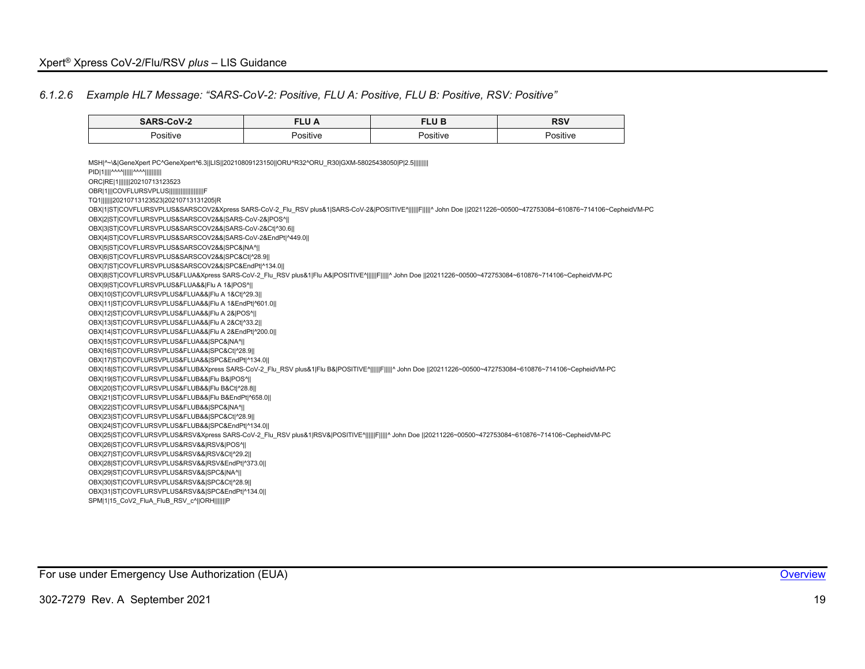#### *6.1.2.6 Example HL7 Message: "SARS-CoV-2: Positive, FLU A: Positive, FLU B: Positive, RSV: Positive"*

<span id="page-19-0"></span>

| <b>SARS-CoV-2</b>                                                                                                                                          | <b>FLU A</b> | <b>FLUB</b> | <b>RSV</b>                                                                                                                                                          |
|------------------------------------------------------------------------------------------------------------------------------------------------------------|--------------|-------------|---------------------------------------------------------------------------------------------------------------------------------------------------------------------|
| Positive                                                                                                                                                   | Positive     | Positive    | Positive                                                                                                                                                            |
|                                                                                                                                                            |              |             |                                                                                                                                                                     |
| MSH ^~\& GeneXpert PC^GeneXpert^6.3  LIS  20210809123150  ORU^R32^ORU R30 GXM-58025438050 P 2.5                                                            |              |             |                                                                                                                                                                     |
| PID 1    ^^^^      ^^^^                                                                                                                                    |              |             |                                                                                                                                                                     |
| ORC RE 1        20210713123523                                                                                                                             |              |             |                                                                                                                                                                     |
| OBR 1   COVFLURSVPLUS                     F                                                                                                                |              |             |                                                                                                                                                                     |
| TQ1       20210713123523 20210713131205 R                                                                                                                  |              |             |                                                                                                                                                                     |
|                                                                                                                                                            |              |             | OBX 1 ST COVFLURSVPLUS&SARSCOV2&Xpress SARS-CoV-2 Flu RSV plus&1 SARS-CoV-2& POSITIVE^      F      ^ John Doe   20211226~00500~472753084~610876~714106~CepheidVM-PC |
| OBX 2 ST COVFLURSVPLUS&SARSCOV2&& SARS-CoV-2& POS^                                                                                                         |              |             |                                                                                                                                                                     |
| OBX 3 ST COVFLURSVPLUS&SARSCOV2&& SARS-CoV-2&Ct ^30.6                                                                                                      |              |             |                                                                                                                                                                     |
| OBX 4 ST COVFLURSVPLUS&SARSCOV2&& SARS-CoV-2&EndPt ^449.0                                                                                                  |              |             |                                                                                                                                                                     |
| OBX 5 ST COVFLURSVPLUS&SARSCOV2&& SPC& NA^                                                                                                                 |              |             |                                                                                                                                                                     |
| OBX 6 ST COVFLURSVPLUS&SARSCOV2&& SPC&Ct ^28.9                                                                                                             |              |             |                                                                                                                                                                     |
| OBX 7 ST COVFLURSVPLUS&SARSCOV2&& SPC&EndPt ^134.0                                                                                                         |              |             |                                                                                                                                                                     |
| OBX 8 ST COVFLURSVPLUS&FLUA&Xpress SARS-CoV-2_Flu_RSV plus&1 Flu A& POSITIVE^      F     ^ John Doe   20211226~00500~472753084~610876~714106~CepheidVM-PC  |              |             |                                                                                                                                                                     |
| OBX 9 ST COVFLURSVPLUS&FLUA&& Flu A 1& POS^                                                                                                                |              |             |                                                                                                                                                                     |
| OBX 10 ST COVFLURSVPLUS&FLUA&& Flu A 1&Ct ^29.3                                                                                                            |              |             |                                                                                                                                                                     |
| OBX 11 ST COVFLURSVPLUS&FLUA&& Flu A 1&EndPt ^601.0                                                                                                        |              |             |                                                                                                                                                                     |
| OBX 12 ST COVFLURSVPLUS&FLUA&& Flu A 2& POS^                                                                                                               |              |             |                                                                                                                                                                     |
| OBX 13 ST COVFLURSVPLUS&FLUA&& Flu A 2&Ct ^33.2                                                                                                            |              |             |                                                                                                                                                                     |
| OBX 14 ST COVFLURSVPLUS&FLUA&& Flu A 2&EndPt ^200.0                                                                                                        |              |             |                                                                                                                                                                     |
| OBX 15 ST COVFLURSVPLUS&FLUA&& SPC& NA^                                                                                                                    |              |             |                                                                                                                                                                     |
| OBX 16 ST COVFLURSVPLUS&FLUA&& SPC&Ct ^28.9                                                                                                                |              |             |                                                                                                                                                                     |
| OBX 17 ST COVFLURSVPLUS&FLUA&& SPC&EndPt ^134.0                                                                                                            |              |             |                                                                                                                                                                     |
| OBX 18 ST COVFLURSVPLUS&FLUB&Xpress SARS-CoV-2_Flu_RSV plus&1 Flu B& POSITIVE^      F     ^ John Doe   20211226~00500~472753084~610876~714106~CepheidVM-PC |              |             |                                                                                                                                                                     |
| OBX 19 ST COVFLURSVPLUS&FLUB&& Flu B& POS^                                                                                                                 |              |             |                                                                                                                                                                     |
| OBX 20 ST COVFLURSVPLUS&FLUB&& Flu B&Ct ^28.8                                                                                                              |              |             |                                                                                                                                                                     |
| OBX 21 ST COVFLURSVPLUS&FLUB&& Flu B&EndPt ^658.0                                                                                                          |              |             |                                                                                                                                                                     |
| OBX 22 ST COVFLURSVPLUS&FLUB&& SPC& NA^                                                                                                                    |              |             |                                                                                                                                                                     |
| OBX 23 ST COVFLURSVPLUS&FLUB&& SPC&Ct ^28.9                                                                                                                |              |             |                                                                                                                                                                     |
| OBX 24 ST COVFLURSVPLUS&FLUB&& SPC&EndPt ^134.0                                                                                                            |              |             |                                                                                                                                                                     |
| OBX 25 ST COVFLURSVPLUS&RSV&Xpress SARS-CoV-2 Flu RSV plus&1 RSV& POSITIVE^      F     ^ John Doe   20211226~00500~472753084~610876~714106~CepheidVM-PC    |              |             |                                                                                                                                                                     |
| OBX 26 ST COVFLURSVPLUS&RSV&& RSV& POS^                                                                                                                    |              |             |                                                                                                                                                                     |
| OBX 27 ST COVFLURSVPLUS&RSV&& RSV&Ct ^29.2                                                                                                                 |              |             |                                                                                                                                                                     |
| OBX 28 ST COVFLURSVPLUS&RSV&& RSV&EndPt ^373.0                                                                                                             |              |             |                                                                                                                                                                     |
| OBX 29 ST COVFLURSVPLUS&RSV&& SPC& NA^                                                                                                                     |              |             |                                                                                                                                                                     |
| OBX 30 ST COVFLURSVPLUS&RSV&& SPC&Ct ^28.9                                                                                                                 |              |             |                                                                                                                                                                     |
| OBX 31 ST COVFLURSVPLUS&RSV&& SPC&EndPt ^134.0                                                                                                             |              |             |                                                                                                                                                                     |
| SPM 1 15 CoV2 FluA FluB RSV c^  ORH       P                                                                                                                |              |             |                                                                                                                                                                     |

For use under Emergency Use Authorization (EUA) **[Overview](#page-4-1) Container and Container and Container Container and Container and Container and Container and Container and Container and Container and Container and Container an**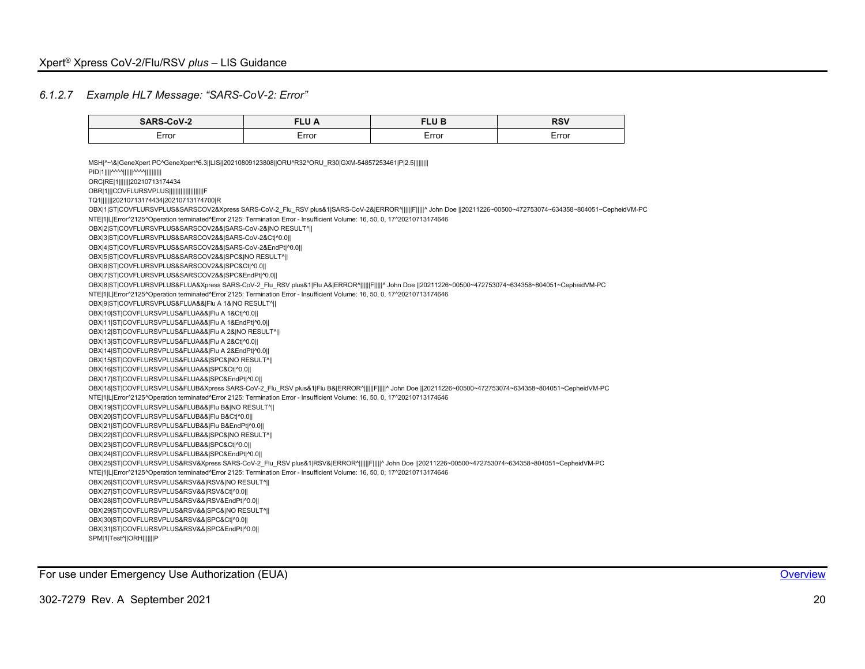### *6.1.2.7 Example HL7 Message: "SARS-CoV-2: Error"*

<span id="page-20-0"></span>

| SARS-CoV-2                                                                                                                                                                                                                                                                                                                                                                                                                                                                                                                                                                   | <b>FLU A</b> | <b>FLUB</b> | <b>RSV</b> |
|------------------------------------------------------------------------------------------------------------------------------------------------------------------------------------------------------------------------------------------------------------------------------------------------------------------------------------------------------------------------------------------------------------------------------------------------------------------------------------------------------------------------------------------------------------------------------|--------------|-------------|------------|
| Error                                                                                                                                                                                                                                                                                                                                                                                                                                                                                                                                                                        | Error        | Error       | Error      |
| MSH ^~\& GeneXpert PC^GeneXpert^6.3  LIS  20210809123808  ORU^R32^ORU R30 GXM-54857253461 P 2.5         <br>PID 1    ^^^^      ^^^^          <br>ORC RE 1       20210713174434<br>OBR 1   COVFLURSVPLUS                        <br>TQ1       20210713174434 20210713174700 R<br>OBX 1 ST COVFLURSVPLUS&SARSCOV2&Xpress SARS-CoV-2_Flu_RSV plus&1 SARS-CoV-2& ERROR^      F     ^ John Doe   20211226~00500~472753074~634358~804051~CepheidVM-PC<br>NTE 1 L Error^2125^Operation terminated^Error 2125: Termination Error - Insufficient Volume: 16, 50, 0, 17^20210713174646 |              |             |            |
| OBX 2 ST COVFLURSVPLUS&SARSCOV2&& SARS-CoV-2& NO RESULT^  <br>OBX 3 ST COVFLURSVPLUS&SARSCOV2&& SARS-CoV-2&Ct ^0.0  <br>OBX 4 ST COVFLURSVPLUS&SARSCOV2&& SARS-CoV-2&EndPt ^0.0  <br>OBX 5 ST COVFLURSVPLUS&SARSCOV2&& SPC& NO RESULT^  <br>OBX 6 ST COVFLURSVPLUS&SARSCOV2&& SPC&Ct ^0.0  <br>OBX 7 ST COVFLURSVPLUS&SARSCOV2&& SPC&EndPt ^0.0                                                                                                                                                                                                                              |              |             |            |
| OBX 8 ST COVFLURSVPLUS&FLUA&Xpress SARS-CoV-2_Flu_RSV plus&1 Flu A& ERROR^      F     ^ John Doe   20211226~00500~472753074~634358~804051~CepheidVM-PC<br>NTE 1 L Error^2125^Operation terminated^Error 2125: Termination Error - Insufficient Volume: 16, 50, 0, 17^20210713174646                                                                                                                                                                                                                                                                                          |              |             |            |
| OBX 9 ST COVFLURSVPLUS&FLUA&& Flu A 1& NO RESULT^  <br>OBX 10 ST COVFLURSVPLUS&FLUA&& Flu A 1&Ct ^0.0                                                                                                                                                                                                                                                                                                                                                                                                                                                                        |              |             |            |
| OBX 11 ST COVFLURSVPLUS&FLUA&& Flu A 1&EndPt ^0.0                                                                                                                                                                                                                                                                                                                                                                                                                                                                                                                            |              |             |            |
| OBX 12 ST COVFLURSVPLUS&FLUA&& Flu A 2& NO RESULT^                                                                                                                                                                                                                                                                                                                                                                                                                                                                                                                           |              |             |            |
| OBX 13 ST COVFLURSVPLUS&FLUA&& Flu A 2&Ct ^0.0                                                                                                                                                                                                                                                                                                                                                                                                                                                                                                                               |              |             |            |
| OBX 14 ST COVFLURSVPLUS&FLUA&& Flu A 2&EndPt ^0.0                                                                                                                                                                                                                                                                                                                                                                                                                                                                                                                            |              |             |            |
| OBX 15 ST COVFLURSVPLUS&FLUA&& SPC& NO RESULT^                                                                                                                                                                                                                                                                                                                                                                                                                                                                                                                               |              |             |            |
| OBX 16 ST COVFLURSVPLUS&FLUA&& SPC&Ct ^0.0                                                                                                                                                                                                                                                                                                                                                                                                                                                                                                                                   |              |             |            |
| OBX 17 ST COVFLURSVPLUS&FLUA&& SPC&EndPt ^0.0                                                                                                                                                                                                                                                                                                                                                                                                                                                                                                                                |              |             |            |
| OBX 18 ST COVFLURSVPLUS&FLUB&Xpress SARS-CoV-2 Flu RSV plus&1 Flu B& ERROR^      F     ^ John Doe   20211226~00500~472753074~634358~804051~CepheidVM-PC                                                                                                                                                                                                                                                                                                                                                                                                                      |              |             |            |
| NTE 1 L Error^2125^Operation terminated^Error 2125: Termination Error - Insufficient Volume: 16, 50, 0, 17^20210713174646                                                                                                                                                                                                                                                                                                                                                                                                                                                    |              |             |            |
| OBX 19 ST COVFLURSVPLUS&FLUB&& Flu B& NO RESULT^                                                                                                                                                                                                                                                                                                                                                                                                                                                                                                                             |              |             |            |
| OBX 20 ST COVFLURSVPLUS&FLUB&& Flu B&Ct ^0.0                                                                                                                                                                                                                                                                                                                                                                                                                                                                                                                                 |              |             |            |
| OBX 21 ST COVFLURSVPLUS&FLUB&& Flu B&EndPt ^0.0                                                                                                                                                                                                                                                                                                                                                                                                                                                                                                                              |              |             |            |
| OBX 22 ST COVFLURSVPLUS&FLUB&& SPC& NO RESULT^                                                                                                                                                                                                                                                                                                                                                                                                                                                                                                                               |              |             |            |
| OBX 23 ST COVFLURSVPLUS&FLUB&& SPC&Ct ^0.0                                                                                                                                                                                                                                                                                                                                                                                                                                                                                                                                   |              |             |            |
| OBX 24 ST COVFLURSVPLUS&FLUB&& SPC&EndPt ^0.0                                                                                                                                                                                                                                                                                                                                                                                                                                                                                                                                |              |             |            |
| OBX 25 ST COVFLURSVPLUS&RSV&Xpress SARS-CoV-2 Flu RSV plus&1 RSV& ERROR^      F     ^ John Doe   20211226~00500~472753074~634358~804051~CepheidVM-PC                                                                                                                                                                                                                                                                                                                                                                                                                         |              |             |            |
| NTE 1 L Error^2125^Operation terminated^Error 2125: Termination Error - Insufficient Volume: 16, 50, 0, 17^20210713174646                                                                                                                                                                                                                                                                                                                                                                                                                                                    |              |             |            |
| OBX 26 ST COVFLURSVPLUS&RSV&& RSV& NO RESULT^                                                                                                                                                                                                                                                                                                                                                                                                                                                                                                                                |              |             |            |
| OBX 27 ST COVFLURSVPLUS&RSV&& RSV&Ct ^0.0                                                                                                                                                                                                                                                                                                                                                                                                                                                                                                                                    |              |             |            |
| OBX 28 ST COVFLURSVPLUS&RSV&& RSV&EndPt ^0.0                                                                                                                                                                                                                                                                                                                                                                                                                                                                                                                                 |              |             |            |
| OBX 29 ST COVFLURSVPLUS&RSV&& SPC& NO RESULT^                                                                                                                                                                                                                                                                                                                                                                                                                                                                                                                                |              |             |            |
| OBX 30 ST COVFLURSVPLUS&RSV&& SPC&Ct ^0.0                                                                                                                                                                                                                                                                                                                                                                                                                                                                                                                                    |              |             |            |
| OBX 31 ST COVFLURSVPLUS&RSV&& SPC&EndPt ^0.0  <br>SPM 1 Test^  ORH        P                                                                                                                                                                                                                                                                                                                                                                                                                                                                                                  |              |             |            |

For use under Emergency Use Authorization (EUA) **[Overview](#page-4-1) Container and Container and Container Container and Container Container and Container and Container Container and Container and Container and Container and Contai**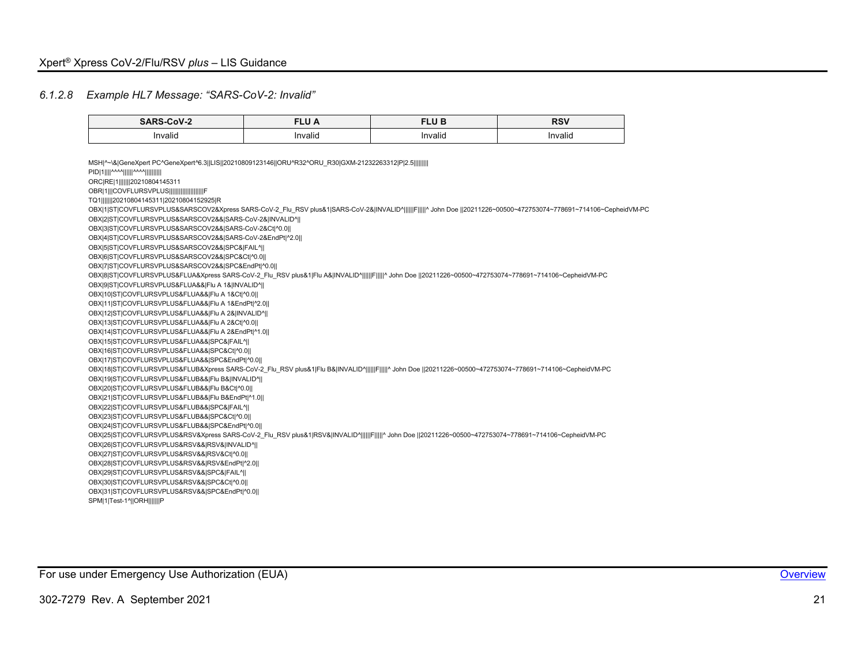#### *6.1.2.8 Example HL7 Message: "SARS-CoV-2: Invalid"*

<span id="page-21-0"></span>

| <b>SARS-CoV-2</b>                                                                                                                                                                                                           | <b>FLUA</b> | <b>FLUB</b> | <b>RSV</b> |
|-----------------------------------------------------------------------------------------------------------------------------------------------------------------------------------------------------------------------------|-------------|-------------|------------|
| Invalid                                                                                                                                                                                                                     | Invalid     | Invalid     | Invalid    |
|                                                                                                                                                                                                                             |             |             |            |
| MSH ^~\& GeneXpert PC^GeneXpert^6.3  LIS  20210809123146  ORU^R32^ORU R30 GXM-21232263312 P 2.5                                                                                                                             |             |             |            |
| PID 1    ^^^^      ^^^^                                                                                                                                                                                                     |             |             |            |
| ORC RE 1        20210804145311                                                                                                                                                                                              |             |             |            |
| OBR 1   COVFLURSVPLUS                                                                                                                                                                                                       |             |             |            |
| TQ1       20210804145311 20210804152925 R                                                                                                                                                                                   |             |             |            |
| OBX 1 ST COVFLURSVPLUS&SARSCOV2&Xpress SARS-CoV-2_Flu_RSV plus&1 SARS-CoV-2& INVALID^      F     ^ John Doe   20211226~00500~472753074~778691~714106~CepheidVM-PC<br>OBX 2 ST COVFLURSVPLUS&SARSCOV2&& SARS-CoV-2& INVALID^ |             |             |            |
| OBX 3 ST COVFLURSVPLUS&SARSCOV2&& SARS-CoV-2&Ct ^0.0                                                                                                                                                                        |             |             |            |
| OBX 4 ST COVFLURSVPLUS&SARSCOV2&& SARS-CoV-2&EndPt ^2.0                                                                                                                                                                     |             |             |            |
| OBX 5 ST COVFLURSVPLUS&SARSCOV2&& SPC& FAIL^                                                                                                                                                                                |             |             |            |
| OBX 6 ST COVFLURSVPLUS&SARSCOV2&& SPC&Ct ^0.0                                                                                                                                                                               |             |             |            |
| OBX 7 ST COVFLURSVPLUS&SARSCOV2&& SPC&EndPt ^0.0                                                                                                                                                                            |             |             |            |
| OBX 8 ST COVFLURSVPLUS&FLUA&Xpress SARS-CoV-2_Flu_RSV plus&1 Flu A& INVALID^      F     ^ John Doe   20211226~00500~472753074~778691~714106~CepheidVM-PC                                                                    |             |             |            |
| OBX 9 ST COVFLURSVPLUS&FLUA&& Flu A 1& INVALID^                                                                                                                                                                             |             |             |            |
| OBX 10 ST COVFLURSVPLUS&FLUA&& Flu A 1&Ct ^0.0                                                                                                                                                                              |             |             |            |
| OBX 11 ST COVFLURSVPLUS&FLUA&& Flu A 1&EndPt ^2.0                                                                                                                                                                           |             |             |            |
| OBX 12 ST COVFLURSVPLUS&FLUA&& Flu A 2& INVALID^                                                                                                                                                                            |             |             |            |
| OBX 13 ST COVFLURSVPLUS&FLUA&& Flu A 2&Ct ^0.0                                                                                                                                                                              |             |             |            |
| OBX 14 ST COVFLURSVPLUS&FLUA&& Flu A 2&EndPt ^1.0                                                                                                                                                                           |             |             |            |
| OBX 15 ST COVFLURSVPLUS&FLUA&& SPC& FAIL^                                                                                                                                                                                   |             |             |            |
| OBX 16 ST COVFLURSVPLUS&FLUA&& SPC&Ct ^0.0                                                                                                                                                                                  |             |             |            |
| OBX 17 ST COVFLURSVPLUS&FLUA&& SPC&EndPt ^0.0                                                                                                                                                                               |             |             |            |
| OBX 18 ST COVFLURSVPLUS&FLUB&Xpress SARS-CoV-2_Flu_RSV plus&1 Flu B& INVALID^      F     ^ John Doe   20211226~00500~472753074~778691~714106~CepheidVM-PC                                                                   |             |             |            |
| OBX 19 ST COVFLURSVPLUS&FLUB&& Flu B& INVALID^                                                                                                                                                                              |             |             |            |
| OBX 20 ST COVFLURSVPLUS&FLUB&& Flu B&Ct ^0.0                                                                                                                                                                                |             |             |            |
| OBX 21 ST COVFLURSVPLUS&FLUB&& Flu B&EndPt ^1.0                                                                                                                                                                             |             |             |            |
| OBX 22 ST COVFLURSVPLUS&FLUB&& SPC& FAIL^                                                                                                                                                                                   |             |             |            |
| OBX 23 ST COVFLURSVPLUS&FLUB&& SPC&Ct ^0.0                                                                                                                                                                                  |             |             |            |
| OBX 24 ST COVFLURSVPLUS&FLUB&& SPC&EndPt ^0.0                                                                                                                                                                               |             |             |            |
| OBX 25 ST COVFLURSVPLUS&RSV&Xpress SARS-CoV-2 Flu RSV plus&1 RSV& INVALID^     F     ^ John Doe   20211226~00500~472753074~778691~714106~CepheidVM-PC                                                                       |             |             |            |
| OBX 26 ST COVFLURSVPLUS&RSV&& RSV& INVALID^                                                                                                                                                                                 |             |             |            |
| OBX 27 ST COVFLURSVPLUS&RSV&& RSV&Ct ^0.0                                                                                                                                                                                   |             |             |            |
| OBX 28 ST COVFLURSVPLUS&RSV&& RSV&EndPt ^2.0                                                                                                                                                                                |             |             |            |
| OBX 29 ST COVFLURSVPLUS&RSV&& SPC& FAIL^                                                                                                                                                                                    |             |             |            |
| OBX 30 ST COVFLURSVPLUS&RSV&& SPC&Ct ^0.0                                                                                                                                                                                   |             |             |            |
| OBX 31 ST COVFLURSVPLUS&RSV&& SPC&EndPt ^0.0                                                                                                                                                                                |             |             |            |
| SPM 1 Test-1^  ORH        P                                                                                                                                                                                                 |             |             |            |

For use under Emergency Use Authorization (EUA) **[Overview](#page-4-1) Container and Container and Container Container and Container and Container and Container and Container and Container and Container and Container and Container an**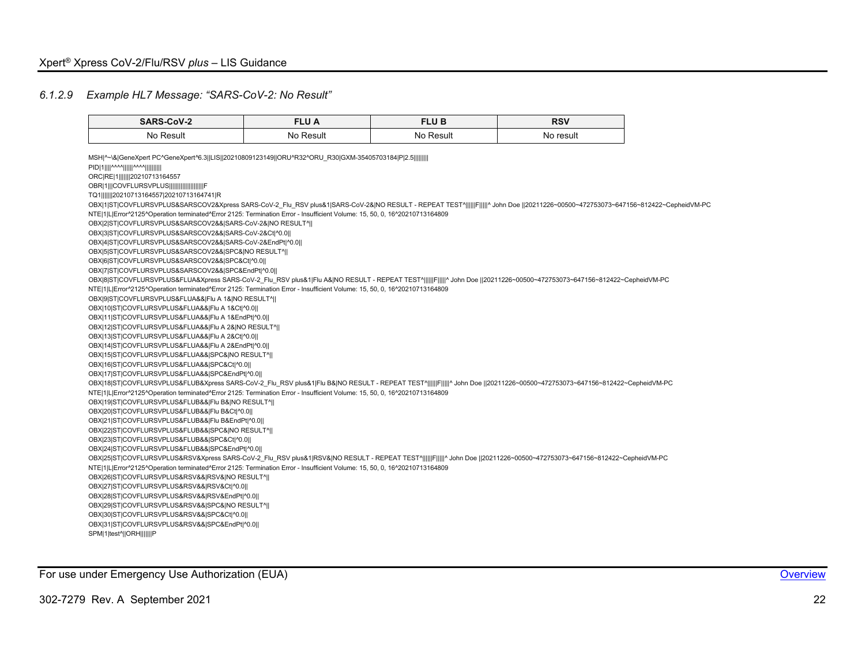# *6.1.2.9 Example HL7 Message: "SARS-CoV-2: No Result"*

<span id="page-22-0"></span>

| <b>SARS-CoV-2</b>                                                                                                                                                                 | <b>FLU A</b> | <b>FLUB</b> | <b>RSV</b> |
|-----------------------------------------------------------------------------------------------------------------------------------------------------------------------------------|--------------|-------------|------------|
| No Result                                                                                                                                                                         | No Result    | No Result   | No result  |
| MSH ^~\& GeneXpert PC^GeneXpert^6.3  LIS  20210809123149  ORU^R32^ORU R30 GXM-35405703184 P 2.5                                                                                   |              |             |            |
| PID 1    ^^^^      ^^^^                                                                                                                                                           |              |             |            |
| ORC RE 1       20210713164557                                                                                                                                                     |              |             |            |
| OBR 1   COVFLURSVPLUS                     F                                                                                                                                       |              |             |            |
| TQ1       20210713164557 20210713164741 R                                                                                                                                         |              |             |            |
| OBX[1]ST]COVFLURSVPLUS&SARSCOV2&Xpress SARS-CoV-2 Flu RSV plus&1]SARS-CoV-2& NO RESULT - REPEAT TEST^      F     ^ John Doe   20211226~00500~472753073~647156~812422~CepheidVM-PC |              |             |            |
| NTE 1 L Error^2125^Operation terminated^Error 2125: Termination Error - Insufficient Volume: 15, 50, 0, 16^20210713164809                                                         |              |             |            |
| OBX 2 ST COVFLURSVPLUS&SARSCOV2&& SARS-CoV-2& NO RESULT^                                                                                                                          |              |             |            |
| OBX 3 ST COVFLURSVPLUS&SARSCOV2&& SARS-CoV-2&Ct ^0.0                                                                                                                              |              |             |            |
| OBX 4 ST COVFLURSVPLUS&SARSCOV2&& SARS-CoV-2&EndPt ^0.0                                                                                                                           |              |             |            |
| OBX 5 ST COVFLURSVPLUS&SARSCOV2&& SPC& NO RESULT^                                                                                                                                 |              |             |            |
| OBX 6 ST COVFLURSVPLUS&SARSCOV2&& SPC&Ct ^0.0                                                                                                                                     |              |             |            |
| OBX 7 ST COVFLURSVPLUS&SARSCOV2&& SPC&EndPt ^0.0                                                                                                                                  |              |             |            |
| OBX 8 ST COVFLURSVPLUS&FLUA&Xpress SARS-CoV-2 Flu RSV plus&1 Flu A& NO RESULT - REPEAT TEST^      F     ^ John Doe   20211226~00500~472753073~647156~812422~CepheidVM-PC          |              |             |            |
| NTE 1 L Error^2125^Operation terminated^Error 2125: Termination Error - Insufficient Volume: 15, 50, 0, 16^20210713164809                                                         |              |             |            |
| OBX 9 ST COVFLURSVPLUS&FLUA&& Flu A 1& NO RESULT^                                                                                                                                 |              |             |            |
| OBX 10 ST COVFLURSVPLUS&FLUA&& Flu A 1&Ct ^0.0                                                                                                                                    |              |             |            |
| OBX 11 ST COVFLURSVPLUS&FLUA&& Flu A 1&EndPt ^0.0                                                                                                                                 |              |             |            |
| OBX 12 ST COVFLURSVPLUS&FLUA&& Flu A 2& NO RESULT^                                                                                                                                |              |             |            |
| OBX 13 ST COVFLURSVPLUS&FLUA&& Flu A 2&Ct ^0.0                                                                                                                                    |              |             |            |
| OBX 14 ST COVFLURSVPLUS&FLUA&& Flu A 2&EndPt ^0.0                                                                                                                                 |              |             |            |
| OBX 15 ST COVFLURSVPLUS&FLUA&& SPC& NO RESULT^                                                                                                                                    |              |             |            |
| OBX 16 ST COVFLURSVPLUS&FLUA&& SPC&Ct ^0.0                                                                                                                                        |              |             |            |
| OBX 17 ST COVFLURSVPLUS&FLUA&& SPC&EndPt ^0.0                                                                                                                                     |              |             |            |
| OBX 18 ST COVFLURSVPLUS&FLUB&Xpress SARS-CoV-2 Flu RSV plus&1 Flu B& NO RESULT - REPEAT TEST^      F     ^ John Doe   20211226~00500~472753073~647156~812422~CepheidVM-PC         |              |             |            |
| NTE 1 L Error^2125^Operation terminated^Error 2125: Termination Error - Insufficient Volume: 15, 50, 0, 16^20210713164809                                                         |              |             |            |
| OBX 19 ST COVFLURSVPLUS&FLUB&& Flu B& NO RESULT^                                                                                                                                  |              |             |            |
| OBX 20 ST COVFLURSVPLUS&FLUB&& Flu B&Ct ^0.0                                                                                                                                      |              |             |            |
| OBX 21 ST COVFLURSVPLUS&FLUB&& Flu B&EndPt ^0.0                                                                                                                                   |              |             |            |
| OBX 22 ST COVFLURSVPLUS&FLUB&& SPC& NO RESULT^                                                                                                                                    |              |             |            |
| OBX 23 ST COVFLURSVPLUS&FLUB&& SPC&Ct ^0.0                                                                                                                                        |              |             |            |
| OBX 24 ST COVFLURSVPLUS&FLUB&& SPC&EndPt ^0.0                                                                                                                                     |              |             |            |
| OBX 25 ST COVFLURSVPLUS&RSV&Xpress SARS-CoV-2 Flu RSV plus&1 RSV& NO RESULT - REPEAT TEST^      F     ^ John Doe   20211226~00500~472753073~647156~812422~CepheidVM-PC            |              |             |            |
| NTE 1 L Error^2125^Operation terminated^Error 2125: Termination Error - Insufficient Volume: 15, 50, 0, 16^20210713164809                                                         |              |             |            |
| OBX 26 ST COVFLURSVPLUS&RSV&& RSV& NO RESULT^                                                                                                                                     |              |             |            |
| OBX 27 ST COVFLURSVPLUS&RSV&& RSV&Ct ^0.0                                                                                                                                         |              |             |            |
| OBX 28 ST COVFLURSVPLUS&RSV&& RSV&EndPt ^0.0                                                                                                                                      |              |             |            |
| OBX 29 ST COVFLURSVPLUS&RSV&& SPC& NO RESULT^                                                                                                                                     |              |             |            |
| OBX 30 ST COVFLURSVPLUS&RSV&& SPC&Ct ^0.0                                                                                                                                         |              |             |            |
| OBX 31 ST COVFLURSVPLUS&RSV&& SPC&EndPt ^0.0                                                                                                                                      |              |             |            |
| SPM 1 test^  ORH       P                                                                                                                                                          |              |             |            |

For use under Emergency Use Authorization (EUA) and the control of the control of the control of the control of the control of the control of the control of the control of the control of the control of the control of the c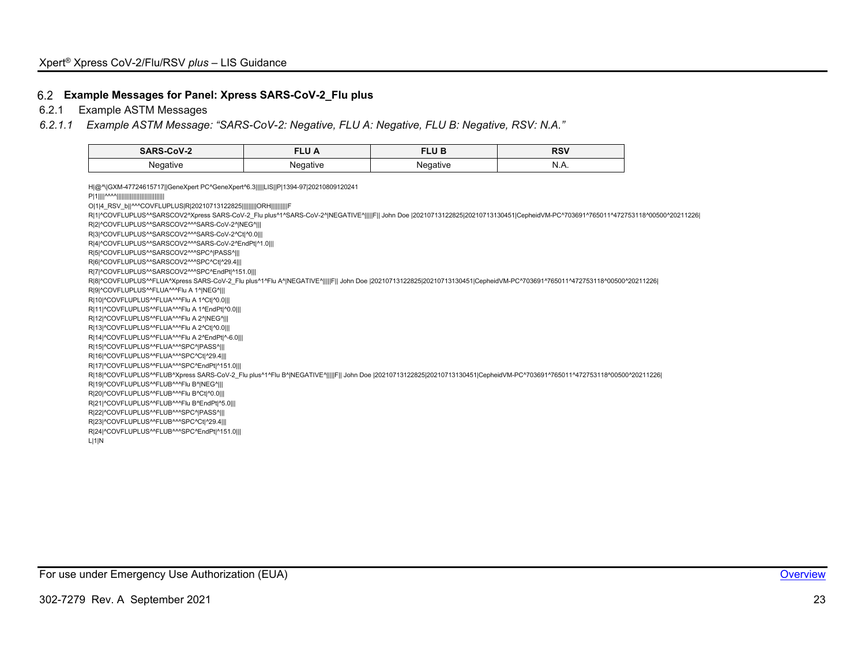#### **Example Messages for Panel: Xpress SARS-CoV-2\_Flu plus**

6.2.1 Example ASTM Messages

#### *6.2.1.1 Example ASTM Message: "SARS-CoV-2: Negative, FLU A: Negative, FLU B: Negative, RSV: N.A."*

| SARS-CoV-2 | EL 11.7<br>ר טבי | FLU B    | <b>RSV</b>  |
|------------|------------------|----------|-------------|
| Negative   | Negative         | Negative | N<br>13.73. |

<span id="page-23-0"></span>H|@^\|GXM-47724615717||GeneXpert PC^GeneXpert^6.3|||||LIS||P|1394-97|20210809120241 P|1||||^^^^||||||||||||||||||||||||||||| O|1|4\_RSV\_b||^^^COVFLUPLUS|R|20210713122825|||||||||ORH||||||||||F R|1|^COVFLUPLUS^^SARSCOV2^Xpress SARS-CoV-2\_Flu plus^1^SARS-CoV-2^|NEGATIVE^|||||F|| John Doe |20210713122825|20210713130451|CepheidVM-PC^703691^765011^472753118^00500^20211226| R|2|^COVFLUPLUS^^SARSCOV2^^^SARS-CoV-2^|NEG^||| R|3|^COVFLUPLUS^^SARSCOV2^^^SARS-CoV-2^Ct|^0.0||| R|4|^COVFLUPLUS^^SARSCOV2^^^SARS-CoV-2^EndPt|^1.0||| R|5|^COVFLUPLUS^^SARSCOV2^^^SPC^|PASS^||| R|6|^COVFLUPLUS^^SARSCOV2^^^SPC^Ct|^29.4||| R|7|^COVFLUPLUS^^SARSCOV2^^^SPC^EndPt|^151.0||| R|8|^COVFLUPLUS^^FLUA^Xpress SARS-CoV-2\_Flu plus^1^Flu A^|NEGATIVE^|||||F|| John Doe |20210713122825|20210713130451|CepheidVM-PC^703691^765011^472753118^00500^20211226| R|9|^COVFLUPLUS^^FLUA^^^Flu A 1^|NEG^||| R|10|^COVFLUPLUS^^FLUA^^^Flu A 1^Ct|^0.0||| R|11|^COVFLUPLUS^^FLUA^^^Flu A 1^EndPt|^0.0||| R|12|^COVFLUPLUS^^FLUA^^^Flu A 2^|NEG^||| R|13|^COVFLUPLUS^^FLUA^^^Flu A 2^Ct|^0.0||| R|14|^COVFLUPLUS^^FLUA^^^Flu A 2^EndPt|^-6.0||| R|15|^COVFLUPLUS^^FLUA^^^SPC^|PASS^||| R|16|^COVFLUPLUS^^FLUA^^^SPC^Ct|^29.4||| R|17|^COVFLUPLUS^^FLUA^^^SPC^EndPt|^151.0||| R|18|^COVFLUPLUS^^FLUB^Xpress SARS-CoV-2\_Flu plus^1^Flu B^|NEGATIVE^|||||F|| John Doe |20210713122825|20210713130451|CepheidVM-PC^703691^765011^472753118^00500^20211226| R|19|^COVFLUPLUS^^FLUB^^^Flu B^|NEG^||| R|20|^COVFLUPLUS^^FLUB^^^Flu B^Ct|^0.0||| R|21|^COVFLUPLUS^^FLUB^^^Flu B^EndPt|^5.0||| R|22|^COVFLUPLUS^^FLUB^^^SPC^|PASS^||| R|23|^COVFLUPLUS^^FLUB^^^SPC^Ct|^29.4||| R|24|^COVFLUPLUS^^FLUB^^^SPC^EndPt|^151.0||| L|1|N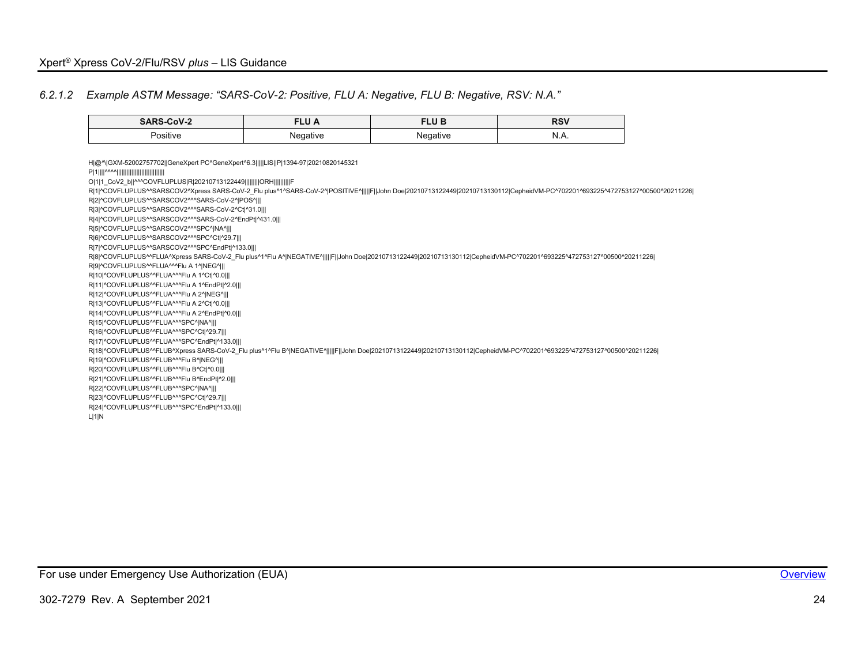#### *6.2.1.2 Example ASTM Message: "SARS-CoV-2: Positive, FLU A: Negative, FLU B: Negative, RSV: N.A."*

| <b>SARS-CoV-2</b>    | .<br>⊾∪ ∧          | LU C               | <b>RSV</b> |
|----------------------|--------------------|--------------------|------------|
| $\cdots$<br>Positive | lenative<br>$\sim$ | enative<br>$\cdot$ | N.A.       |

<span id="page-24-0"></span>H|@^\|GXM-52002757702||GeneXpert PC^GeneXpert^6.3|||||LIS||P|1394-97|20210820145321 P|1||||^^^^||||||||||||||||||||||||||||| O|1|1\_CoV2\_b||^^^COVFLUPLUS|R|20210713122449|||||||||ORH||||||||||F R|1|^COVFLUPLUS^^SARSCOV2^Xpress SARS-CoV-2\_Flu plus^1^SARS-CoV-2^|POSITIVE^|||||F||John Doe|20210713122449|20210713130112|CepheidVM-PC^702201^693225^472753127^00500^20211226| R|2|^COVFLUPLUS^^SARSCOV2^^^SARS-CoV-2^|POS^||| R|3|^COVFLUPLUS^^SARSCOV2^^^SARS-CoV-2^Ct|^31.0||| R|4|^COVFLUPLUS^^SARSCOV2^^^SARS-CoV-2^EndPt|^431.0||| R|5|^COVFLUPLUS^^SARSCOV2^^^SPC^|NA^||| R|6|^COVFLUPLUS^^SARSCOV2^^^SPC^Ct|^29.7||| R|7|^COVFLUPLUS^^SARSCOV2^^^SPC^EndPt|^133.0||| R|8|^COVFLUPLUS^^FLUA^Xpress SARS-CoV-2\_Flu plus^1^Flu A^|NEGATIVE^|||||F||John Doe|20210713122449|20210713130112|CepheidVM-PC^702201^693225^472753127^00500^20211226| R|9|^COVFLUPLUS^^FLUA^^^Flu A 1^|NEG^||| R|10|^COVFLUPLUS^^FLUA^^^Flu A 1^Ct|^0.0||| R|11|^COVFLUPLUS^^FLUA^^^Flu A 1^EndPt|^2.0||| R|12|^COVFLUPLUS^^FLUA^^^Flu A 2^|NEG^||| R|13|^COVFLUPLUS^^FLUA^^^Flu A 2^Ct|^0.0||| R|14|^COVFLUPLUS^^FLUA^^^Flu A 2^EndPt|^0.0||| R|15|^COVFLUPLUS^^FLUA^^^SPC^|NA^||| R|16|^COVFLUPLUS^^FLUA^^^SPC^Ct|^29.7||| R|17|^COVFLUPLUS^^FLUA^^^SPC^EndPt|^133.0||| R|18|^COVFLUPLUS^^FLUB^Xpress SARS-CoV-2\_Flu plus^1^Flu B^|NEGATIVE^|||||F||John Doe|20210713122449|20210713130112|CepheidVM-PC^702201^693225^472753127^00500^20211226| R|19|^COVFLUPLUS^^FLUB^^^Flu B^|NEG^||| R|20|^COVFLUPLUS^^FLUB^^^Flu B^Ct|^0.0||| R|21|^COVFLUPLUS^^FLUB^^^Flu B^EndPt|^2.0||| R|22|^COVFLUPLUS^^FLUB^^^SPC^|NA^||| R|23|^COVFLUPLUS^^FLUB^^^SPC^Ct|^29.7||| R|24|^COVFLUPLUS^^FLUB^^^SPC^EndPt|^133.0||| L|1|N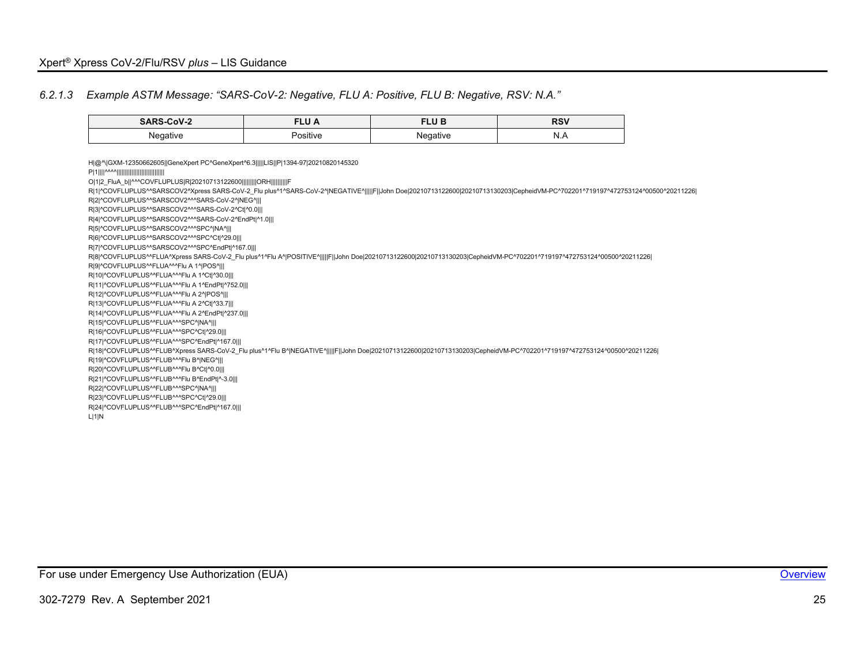#### *6.2.1.3 Example ASTM Message: "SARS-CoV-2: Negative, FLU A: Positive, FLU B: Negative, RSV: N.A."*

| <b>SARS-CoV-2</b> | א שם     | <b>CIID</b><br>ם שבי | <b>RSV</b>                           |
|-------------------|----------|----------------------|--------------------------------------|
| Negative          | Positive | Negative<br>ັ        | 'N)<br>$\mathbf{N} \cdot \mathbf{M}$ |

<span id="page-25-0"></span>H|@^\|GXM-12350662605||GeneXpert PC^GeneXpert^6.3|||||LIS||P|1394-97|20210820145320 P|1||||^^^^||||||||||||||||||||||||||||| O|1|2\_FluA\_b||^^^COVFLUPLUS|R|20210713122600|||||||||ORH||||||||||F R|1|^COVFLUPLUS^^SARSCOV2^Xpress SARS-CoV-2\_Flu plus^1^SARS-CoV-2^|NEGATIVE^||||F|John Doe|20210713122600|20210713130203|CepheidVM-PC^702201^719197^472753124^00500^20211226| R|2|^COVFLUPLUS^^SARSCOV2^^^SARS-CoV-2^|NEG^||| R|3|^COVFLUPLUS^^SARSCOV2^^^SARS-CoV-2^Ct|^0.0||| R|4|^COVFLUPLUS^^SARSCOV2^^^SARS-CoV-2^EndPt|^1.0||| R|5|^COVFLUPLUS^^SARSCOV2^^^SPC^|NA^||| R|6|^COVFLUPLUS^^SARSCOV2^^^SPC^Ct|^29.0||| R|7|^COVFLUPLUS^^SARSCOV2^^^SPC^EndPt|^167.0||| R|8|^COVFLUPLUS^^FLUA^Xpress SARS-CoV-2\_Flu plus^1^Flu A^|POSITIVE^|||||F||John Doe|20210713122600|20210713130203|CepheidVM-PC^702201^719197^472753124^00500^20211226| R|9|^COVFLUPLUS^^FLUA^^^Flu A 1^|POS^||| R|10|^COVFLUPLUS^^FLUA^^^Flu A 1^Ct|^30.0||| R|11|^COVFLUPLUS^^FLUA^^^Flu A 1^EndPt|^752.0||| R|12|^COVFLUPLUS^^FLUA^^^Flu A 2^|POS^||| R|13|^COVFLUPLUS^^FLUA^^^Flu A 2^Ct|^33.7||| R|14|^COVFLUPLUS^^FLUA^^^Flu A 2^EndPt|^237.0||| R|15|^COVFLUPLUS^^FLUA^^^SPC^|NA^||| R|16|^COVFLUPLUS^^FLUA^^^SPC^Ct|^29.0||| R|17|^COVFLUPLUS^^FLUA^^^SPC^EndPt|^167.0||| R|18|^COVFLUPLUS^^FLUB^Xpress SARS-CoV-2\_Flu plus^1^Flu B^|NEGATIVE^|||||F||John Doe|20210713122600|20210713130203|CepheidVM-PC^702201^719197^472753124^00500^20211226| R|19|^COVFLUPLUS^^FLUB^^^Flu B^|NEG^||| R|20|^COVFLUPLUS^^FLUB^^^Flu B^Ct|^0.0||| R|21|^COVFLUPLUS^^FLUB^^^Flu B^EndPt|^-3.0||| R|22|^COVFLUPLUS^^FLUB^^^SPC^|NA^||| R|23|^COVFLUPLUS^^FLUB^^^SPC^Ct|^29.0||| R|24|^COVFLUPLUS^^FLUB^^^SPC^EndPt|^167.0||| L|1|N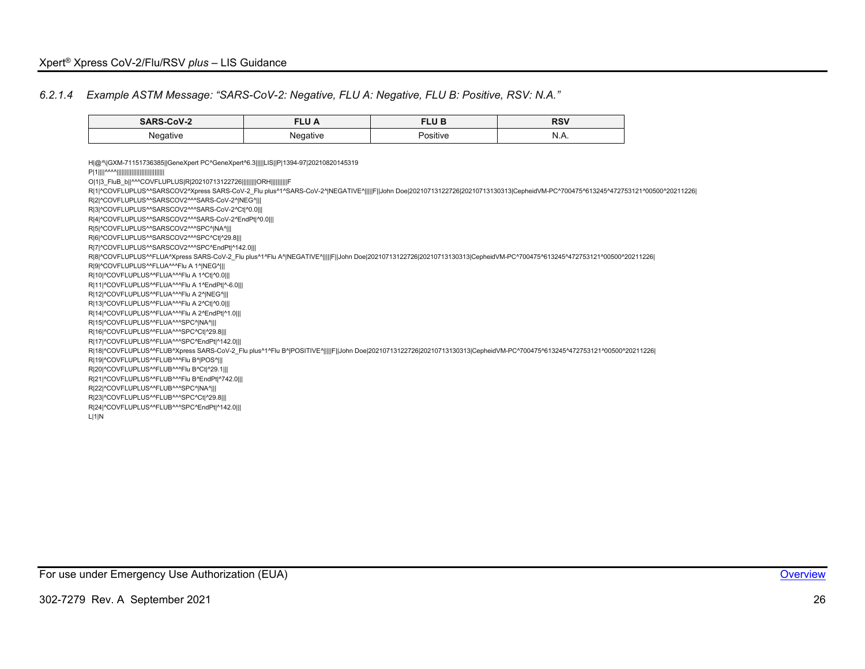#### *6.2.1.4 Example ASTM Message: "SARS-CoV-2: Negative, FLU A: Negative, FLU B: Positive, RSV: N.A."*

| CoV-2<br>________<br>____ | Lv /<br>______ | <b>CILID</b><br>LU<br>______ | <b>DCV</b><br><b>KOV</b> |
|---------------------------|----------------|------------------------------|--------------------------|
| Negative<br>$\sim$        |                | .<br>ositive                 | N<br>19.73.              |

<span id="page-26-0"></span>H|@^\|GXM-71151736385||GeneXpert PC^GeneXpert^6.3|||||LIS||P|1394-97|20210820145319 P|1||||^^^^||||||||||||||||||||||||||||| O|1|3\_FluB\_b||^^^COVFLUPLUS|R|20210713122726|||||||||ORH||||||||||F R|1|^COVFLUPLUS^^SARSCOV2^Xpress SARS-CoV-2\_Flu plus^1^SARS-CoV-2^|NEGATIVE^|||||F|John Doe|20210713122726|20210713130313|CepheidVM-PC^700475^613245^472753121^00500^20211226| R|2|^COVFLUPLUS^^SARSCOV2^^^SARS-CoV-2^|NEG^||| R|3|^COVFLUPLUS^^SARSCOV2^^^SARS-CoV-2^Ct|^0.0||| R|4|^COVFLUPLUS^^SARSCOV2^^^SARS-CoV-2^EndPt|^0.0||| R|5|^COVFLUPLUS^^SARSCOV2^^^SPC^|NA^||| R|6|^COVFLUPLUS^^SARSCOV2^^^SPC^Ct|^29.8||| R|7|^COVFLUPLUS^^SARSCOV2^^^SPC^EndPt|^142.0||| R|8|^COVFLUPLUS^^FLUA^Xpress SARS-CoV-2\_Flu plus^1^Flu A^|NEGATIVE^|||||F||John Doe|20210713122726|20210713130313|CepheidVM-PC^700475^613245^472753121^00500^20211226| R|9|^COVFLUPLUS^^FLUA^^^Flu A 1^|NEG^||| R|10|^COVFLUPLUS^^FLUA^^^Flu A 1^Ct|^0.0||| R|11|^COVFLUPLUS^^FLUA^^^Flu A 1^EndPt|^-6.0||| R|12|^COVFLUPLUS^^FLUA^^^Flu A 2^|NEG^||| R|13|^COVFLUPLUS^^FLUA^^^Flu A 2^Ct|^0.0||| R|14|^COVFLUPLUS^^FLUA^^^Flu A 2^EndPt|^1.0||| R|15|^COVFLUPLUS^^FLUA^^^SPC^|NA^||| R|16|^COVFLUPLUS^^FLUA^^^SPC^Ct|^29.8||| R|17|^COVFLUPLUS^^FLUA^^^SPC^EndPt|^142.0||| R|18|^COVFLUPLUS^^FLUB^Xpress SARS-CoV-2\_Flu plus^1^Flu B^|POSITIVE^|||||F||John Doe|20210713122726|20210713130313|CepheidVM-PC^700475^613245^472753121^00500^20211226| R|19|^COVFLUPLUS^^FLUB^^^Flu B^|POS^||| R|20|^COVFLUPLUS^^FLUB^^^Flu B^Ct|^29.1||| R|21|^COVFLUPLUS^^FLUB^^^Flu B^EndPt|^742.0||| R|22|^COVFLUPLUS^^FLUB^^^SPC^|NA^||| R|23|^COVFLUPLUS^^FLUB^^^SPC^Ct|^29.8||| R|24|^COVFLUPLUS^^FLUB^^^SPC^EndPt|^142.0||| L|1|N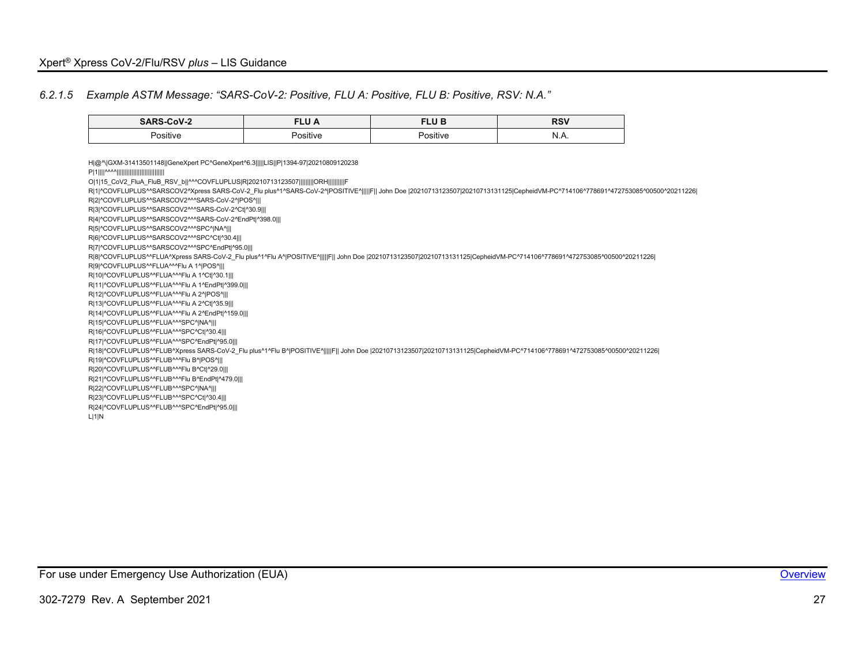#### *6.2.1.5 Example ASTM Message: "SARS-CoV-2: Positive, FLU A: Positive, FLU B: Positive, RSV: N.A."*

| $\cdots$<br>-COV-2 | −∟∪ ∧    | <b>CULD</b><br>Ð<br> | <b>DCV</b><br><b>RSV</b> |
|--------------------|----------|----------------------|--------------------------|
| .                  | .        | .                    | N.A.                     |
| Positive           | Positive | ⇒sitiv               |                          |
|                    |          |                      |                          |

<span id="page-27-0"></span>H|@^\|GXM-31413501148||GeneXpert PC^GeneXpert^6.3|||||LIS||P|1394-97|20210809120238 P|1||||^^^^||||||||||||||||||||||||||||| O|1|15\_CoV2\_FluA\_FluB\_RSV\_b||^^^COVFLUPLUS|R|20210713123507|||||||||ORH||||||||||F R|1|^COVFLUPLUS^^SARSCOV2^Xpress SARS-CoV-2\_Flu plus^1^SARS-CoV-2^|POSITIVE^|||||F|| John Doe |20210713123507|20210713131125|CepheidVM-PC^714106^778691^472753085^00500^20211226| R|2|^COVFLUPLUS^^SARSCOV2^^^SARS-CoV-2^|POS^||| R|3|^COVFLUPLUS^^SARSCOV2^^^SARS-CoV-2^Ct|^30.9||| R|4|^COVFLUPLUS^^SARSCOV2^^^SARS-CoV-2^EndPt|^398.0||| R|5|^COVFLUPLUS^^SARSCOV2^^^SPC^|NA^||| R|6|^COVFLUPLUS^^SARSCOV2^^^SPC^Ct|^30.4||| R|7|^COVFLUPLUS^^SARSCOV2^^^SPC^EndPt|^95.0||| R|8|^COVFLUPLUS^^FLUA^Xpress SARS-CoV-2\_Flu plus^1^Flu A^|POSITIVE^|||||F|| John Doe |20210713123507|20210713131125|CepheidVM-PC^714106^778691^472753085^00500^20211226| R|9|^COVFLUPLUS^^FLUA^^^Flu A 1^|POS^||| R|10|^COVFLUPLUS^^FLUA^^^Flu A 1^Ct|^30.1||| R|11|^COVFLUPLUS^^FLUA^^^Flu A 1^EndPt|^399.0||| R|12|^COVFLUPLUS^^FLUA^^^Flu A 2^|POS^||| R|13|^COVFLUPLUS^^FLUA^^^Flu A 2^Ct|^35.9||| R|14|^COVFLUPLUS^^FLUA^^^Flu A 2^EndPt|^159.0||| R|15|^COVFLUPLUS^^FLUA^^^SPC^|NA^||| R|16|^COVFLUPLUS^^FLUA^^^SPC^Ct|^30.4||| R|17|^COVFLUPLUS^^FLUA^^^SPC^EndPt|^95.0||| R|18|^COVFLUPLUS^^FLUB^Xpress SARS-CoV-2\_Flu plus^1^Flu B^|POSITIVE^|||||F|| John Doe |20210713123507|20210713131125|CepheidVM-PC^714106^778691^472753085^00500^20211226| R|19|^COVFLUPLUS^^FLUB^^^Flu B^|POS^||| R|20|^COVFLUPLUS^^FLUB^^^Flu B^Ct|^29.0||| R|21|^COVFLUPLUS^^FLUB^^^Flu B^EndPt|^479.0||| R|22|^COVFLUPLUS^^FLUB^^^SPC^|NA^||| R|23|^COVFLUPLUS^^FLUB^^^SPC^Ct|^30.4||| R|24|^COVFLUPLUS^^FLUB^^^SPC^EndPt|^95.0||| L|1|N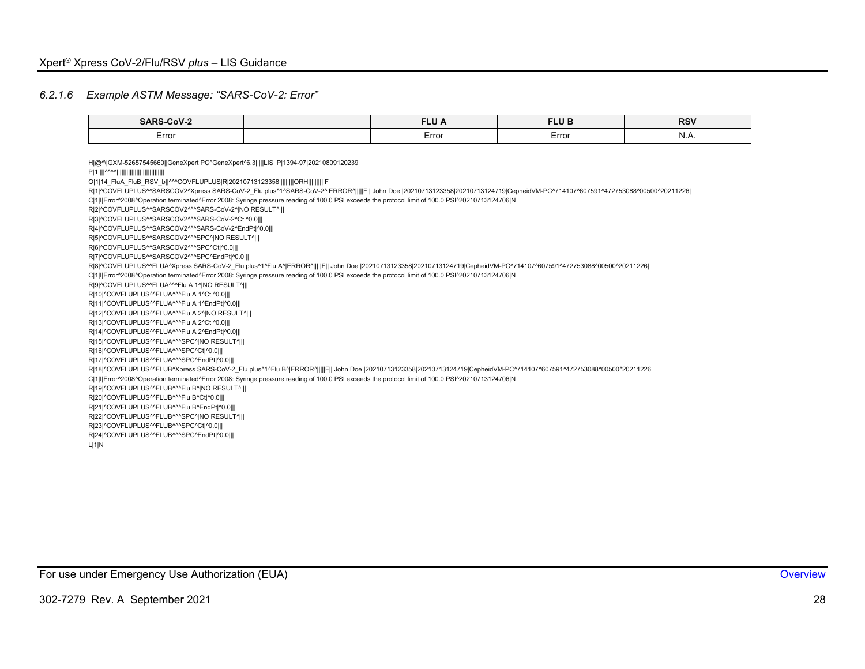#### *6.2.1.6 Example ASTM Message: "SARS-CoV-2: Error"*

| <b>SARS-C</b><br>COV.  | <b>CLU</b><br>∼<br>_____ | .<br>--<br>_____ | D <sub>C</sub> V<br><b>R</b> ov |
|------------------------|--------------------------|------------------|---------------------------------|
| $\sim$ $\sim$<br>Error | Error                    | Erro             | 11.71                           |

<span id="page-28-0"></span>H|@^\|GXM-52657545660||GeneXpert PC^GeneXpert^6.3|||||LIS||P|1394-97|20210809120239 P|1||||^^^^||||||||||||||||||||||||||||| O|1|14\_FluA\_FluB\_RSV\_b||^^^COVFLUPLUS|R|20210713123358|||||||||ORH||||||||||F R|1|^COVFLUPLUS^^SARSCOV2^Xpress SARS-CoV-2\_Flu plus^1^SARS-CoV-2^|ERROR^|||||F|| John Doe |20210713123358|20210713124719|CepheidVM-PC^714107^607591^472753088^00500^20211226| C|1|I|Error^2008^Operation terminated^Error 2008: Syringe pressure reading of 100.0 PSI exceeds the protocol limit of 100.0 PSI^20210713124706|N R|2|^COVFLUPLUS^^SARSCOV2^^^SARS-CoV-2^|NO RESULT^||| R|3|^COVFLUPLUS^^SARSCOV2^^^SARS-CoV-2^Ct|^0.0||| R|4|^COVFLUPLUS^^SARSCOV2^^^SARS-CoV-2^EndPt|^0.0||| R|5|^COVFLUPLUS^^SARSCOV2^^^SPC^|NO RESULT^||| R|6|^COVFLUPLUS^^SARSCOV2^^^SPC^Ct|^0.0||| R|7|^COVFLUPLUS^^SARSCOV2^^^SPC^EndPt|^0.0||| R|8|^COVFLUPLUS^^FLUA^Xpress SARS-CoV-2\_Flu plus^1^Flu A^|ERROR^|||||F|| John Doe |20210713123358|20210713124719|CepheidVM-PC^714107^607591^472753088^00500^20211226| C|1|I|Error^2008^Operation terminated^Error 2008: Syringe pressure reading of 100.0 PSI exceeds the protocol limit of 100.0 PSI^20210713124706|N R|9|^COVFLUPLUS^^FLUA^^^Flu A 1^|NO RESULT^||| R|10|^COVFLUPLUS^^FLUA^^^Flu A 1^Ct|^0.0||| R|11|^COVFLUPLUS^^FLUA^^^Flu A 1^EndPt|^0.0||| R|12|^COVFLUPLUS^^FLUA^^^Flu A 2^|NO RESULT^||| R|13|^COVFLUPLUS^^FLUA^^^Flu A 2^Ct|^0.0||| R|14|^COVFLUPLUS^^FLUA^^^Flu A 2^EndPt|^0.0||| R|15|^COVFLUPLUS^^FLUA^^^SPC^|NO RESULT^||| R|16|^COVFLUPLUS^^FLUA^^^SPC^Ct|^0.0||| R|17|^COVFLUPLUS^^FLUA^^^SPC^EndPt|^0.0||| R|18|^COVFLUPLUS^^FLUB^Xpress SARS-CoV-2\_Flu plus^1^Flu B^|ERROR^|||||F|| John Doe |20210713123358|20210713124719|CepheidVM-PC^714107^607591^472753088^00500^20211226| C|1|I|Error^2008^Operation terminated^Error 2008: Syringe pressure reading of 100.0 PSI exceeds the protocol limit of 100.0 PSI^20210713124706|N R|19|^COVFLUPLUS^^FLUB^^^Flu B^|NO RESULT^||| R|20|^COVFLUPLUS^^FLUB^^^Flu B^Ct|^0.0||| R|21|^COVFLUPLUS^^FLUB^^^Flu B^EndPt|^0.0||| R|22|^COVFLUPLUS^^FLUB^^^SPC^|NO RESULT^||| R|23|^COVFLUPLUS^^FLUB^^^SPC^Ct|^0.0||| R|24|^COVFLUPLUS^^FLUB^^^SPC^EndPt|^0.0||| L|1|N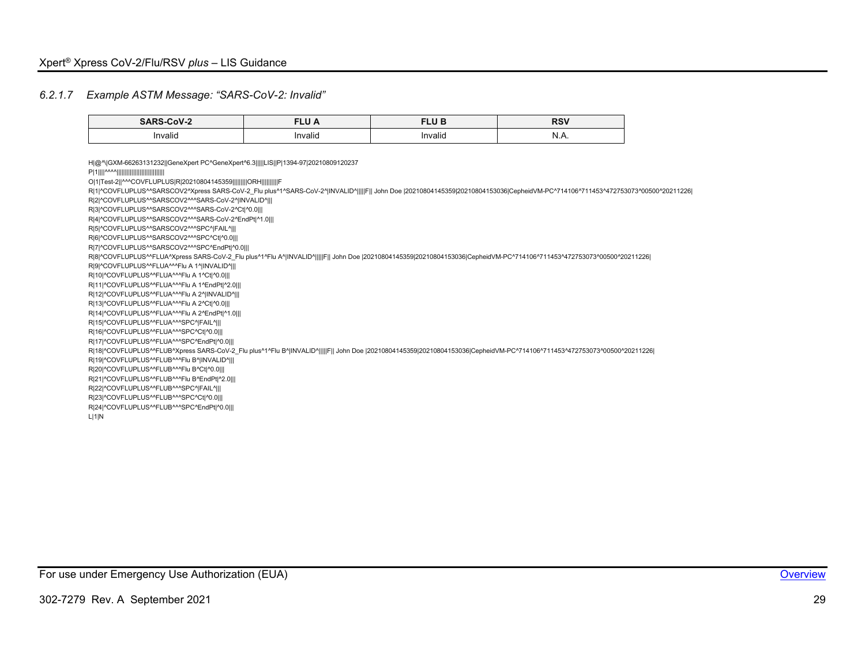#### *6.2.1.7 Example ASTM Message: "SARS-CoV-2: Invalid"*

| _______<br>______    | ______              | F111E<br>. .<br>_____ | ייסם<br><b>RSV</b> |
|----------------------|---------------------|-----------------------|--------------------|
| $\cdot$ .<br>Invalid | $\cdots$<br>Invalid | Invalid               | ''<br>19.79.       |

<span id="page-29-0"></span>H|@^\|GXM-66263131232||GeneXpert PC^GeneXpert^6.3|||||LIS||P|1394-97|20210809120237 P|1||||^^^^||||||||||||||||||||||||||||| O|1|Test-2||^^^COVFLUPLUS|R|20210804145359|||||||||ORH||||||||||F R|1|^COVFLUPLUS^^SARSCOV2^Xpress SARS-CoV-2\_Flu plus^1^SARS-CoV-2^|INVALID^||||F|| John Doe |20210804145359|20210804153036|CepheidVM-PC^714106^711453^472753073^00500^20211226| R|2|^COVFLUPLUS^^SARSCOV2^^^SARS-CoV-2^|INVALID^||| R|3|^COVFLUPLUS^^SARSCOV2^^^SARS-CoV-2^Ct|^0.0||| R|4|^COVFLUPLUS^^SARSCOV2^^^SARS-CoV-2^EndPt|^1.0||| R|5|^COVFLUPLUS^^SARSCOV2^^^SPC^|FAIL^||| R|6|^COVFLUPLUS^^SARSCOV2^^^SPC^Ct|^0.0||| R|7|^COVFLUPLUS^^SARSCOV2^^^SPC^EndPt|^0.0||| R|8|^COVFLUPLUS^^FLUA^Xpress SARS-CoV-2\_Flu plus^1^Flu A^|INVALID^|||||F|| John Doe |20210804145359|20210804153036|CepheidVM-PC^714106^711453^472753073^00500^20211226| R|9|^COVFLUPLUS^^FLUA^^^Flu A 1^|INVALID^||| R|10|^COVFLUPLUS^^FLUA^^^Flu A 1^Ct|^0.0||| R|11|^COVFLUPLUS^^FLUA^^^Flu A 1^EndPt|^2.0||| R|12|^COVFLUPLUS^^FLUA^^^Flu A 2^|INVALID^||| R|13|^COVFLUPLUS^^FLUA^^^Flu A 2^Ct|^0.0||| R|14|^COVFLUPLUS^^FLUA^^^Flu A 2^EndPt|^1.0||| R|15|^COVFLUPLUS^^FLUA^^^SPC^|FAIL^||| R|16|^COVFLUPLUS^^FLUA^^^SPC^Ct|^0.0||| R|17|^COVFLUPLUS^^FLUA^^^SPC^EndPt|^0.0||| R|18|^COVFLUPLUS^^FLUB^Xpress SARS-CoV-2\_Flu plus^1^Flu B^|INVALID^|||||F|| John Doe |20210804145359|20210804153036|CepheidVM-PC^714106^711453^472753073^00500^20211226| R|19|^COVFLUPLUS^^FLUB^^^Flu B^|INVALID^||| R|20|^COVFLUPLUS^^FLUB^^^Flu B^Ct|^0.0||| R|21|^COVFLUPLUS^^FLUB^^^Flu B^EndPt|^2.0||| R|22|^COVFLUPLUS^^FLUB^^^SPC^|FAIL^||| R|23|^COVFLUPLUS^^FLUB^^^SPC^Ct|^0.0||| R|24|^COVFLUPLUS^^FLUB^^^SPC^EndPt|^0.0||| L|1|N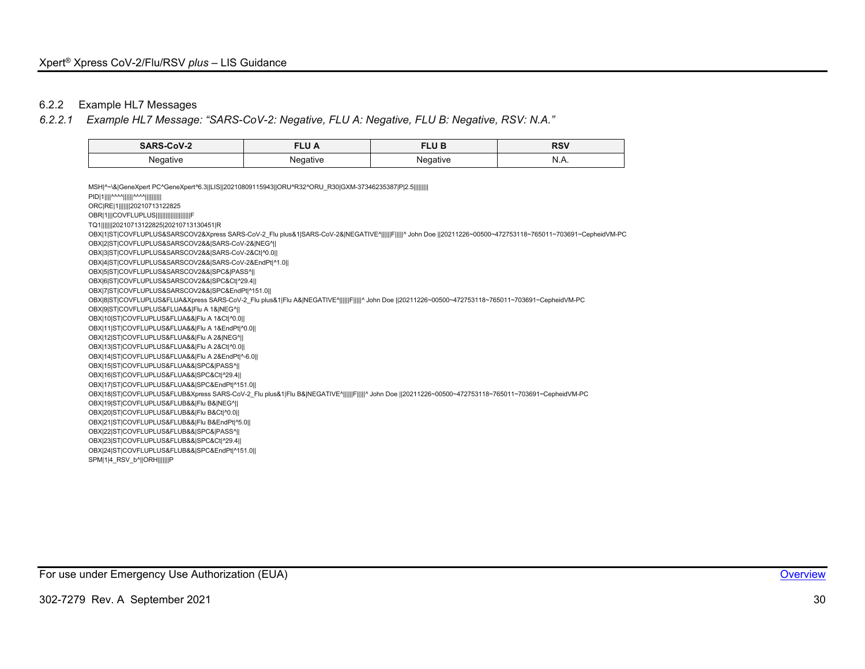# 6.2.2 Example HL7 Messages

# *6.2.2.1 Example HL7 Message: "SARS-CoV-2: Negative, FLU A: Negative, FLU B: Negative, RSV: N.A."*

| SARS-CoV-2 | <b>FLU A</b> | 11 D<br>œ<br>∟∪ | <b>RSV</b> |
|------------|--------------|-----------------|------------|
| Nenative   | Negative     | Negative        | N          |
| .          |              |                 | IV.A.      |

<span id="page-30-0"></span>

| MSH ^~\& GeneXpert PC^GeneXpert^6.3  LIS  20210809115943  ORU^R32^ORU R30 GXM-37346235387 P 2.5                                                             |
|-------------------------------------------------------------------------------------------------------------------------------------------------------------|
| PID 1    ^^^^      ^^^^                                                                                                                                     |
| ORC RE 1        20210713122825                                                                                                                              |
| OBR 1  COVFLUPLUS                                                                                                                                           |
| TQ1       20210713122825 20210713130451 R                                                                                                                   |
| OBX 1 ST COVFLUPLUS&SARSCOV2&Xpress SARS-CoV-2 Flu plus&1 SARS-CoV-2& NEGATIVE^      F     ^ John Doe   20211226~00500~472753118~765011~703691~CepheidVM-PC |
| OBX 2 ST COVFLUPLUS&SARSCOV2&& SARS-CoV-2& NEG^                                                                                                             |
| OBX 3 ST COVFLUPLUS&SARSCOV2&& SARS-CoV-2&Ct ^0.0                                                                                                           |
| OBX 4 ST COVFLUPLUS&SARSCOV2&& SARS-CoV-2&EndPt ^1.0                                                                                                        |
| OBX 5 ST COVFLUPLUS&SARSCOV2&& SPC& PASS^                                                                                                                   |
| OBX 6 ST COVFLUPLUS&SARSCOV2&& SPC&Ct ^29.4                                                                                                                 |
| OBX 7 ST COVFLUPLUS&SARSCOV2&& SPC&EndPt ^151.0                                                                                                             |
| OBX 8 ST COVFLUPLUS&FLUA&Xpress SARS-CoV-2 Flu plus&1 Flu A& NEGATIVE^      F     ^ John Doe   20211226~00500~472753118~765011~703691~CepheidVM-PC          |
| OBX 9 ST COVFLUPLUS&FLUA&& Flu A 1& NEG^                                                                                                                    |
| OBX 10 ST COVFLUPLUS&FLUA&& Flu A 1&Ct ^0.0                                                                                                                 |
| OBX 11 ST COVFLUPLUS&FLUA&& Flu A 1&EndPt ^0.0                                                                                                              |
| OBX 12 ST COVFLUPLUS&FLUA&& Flu A 2& NEG^                                                                                                                   |
| OBX 13 ST COVFLUPLUS&FLUA&& Flu A 2&Ct ^0.0                                                                                                                 |
| OBX 14 ST COVFLUPLUS&FLUA&& Flu A 2&EndPt ^-6.0                                                                                                             |
| OBX 15 ST COVFLUPLUS&FLUA&& SPC& PASS^                                                                                                                      |
| OBX 16 ST COVFLUPLUS&FLUA&& SPC&Ct ^29.4                                                                                                                    |
| OBX 17 ST COVFLUPLUS&FLUA&& SPC&EndPt ^151.0                                                                                                                |
| OBX 18 ST COVFLUPLUS&FLUB&Xpress SARS-CoV-2_Flu plus&1 Flu B& NEGATIVE^      F     ^ John Doe   20211226~00500~472753118~765011~703691~CepheidVM-PC         |
| OBX 19 ST COVFLUPLUS&FLUB&& Flu B& NEG^                                                                                                                     |
| OBX 20 ST COVFLUPLUS&FLUB&& Flu B&Ct ^0.0                                                                                                                   |
| OBX 21 ST COVFLUPLUS&FLUB&& Flu B&EndPt ^5.0                                                                                                                |
| OBX 22 ST COVFLUPLUS&FLUB&& SPC& PASS^                                                                                                                      |
| OBX 23 ST COVFLUPLUS&FLUB&& SPC&Ct ^29.4                                                                                                                    |
| OBX 24 ST COVFLUPLUS&FLUB&& SPC&EndPt ^151.0                                                                                                                |
| SPM 1 4 RSV b^  ORH        P                                                                                                                                |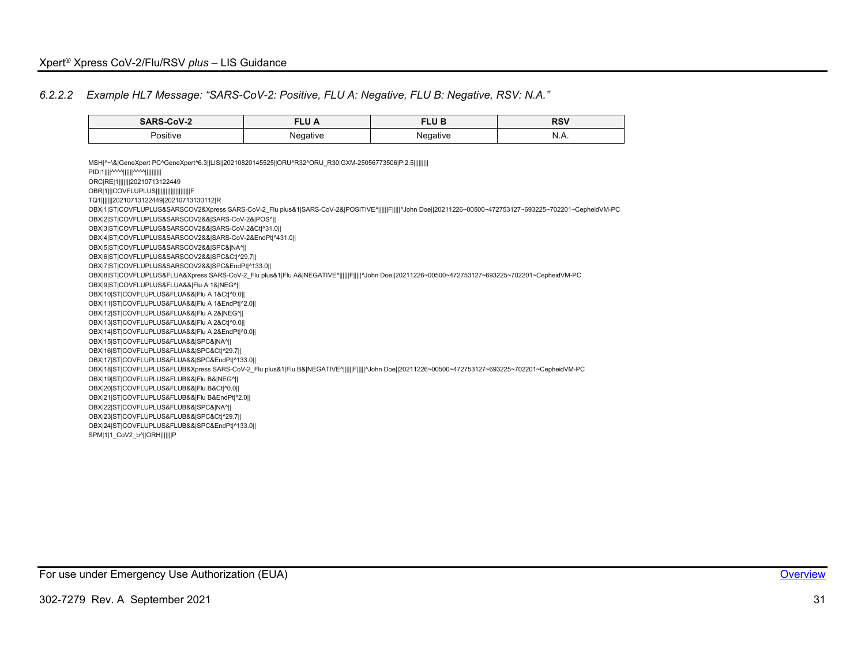#### *6.2.2.2 Example HL7 Message: "SARS-CoV-2: Positive, FLU A: Negative, FLU B: Negative, RSV: N.A."*

| SARS-CoV-2   | ______            | ELU E            | <b>RSV</b> |
|--------------|-------------------|------------------|------------|
|              |                   | ______           | $- - -$    |
| .<br>ositive | nativ.<br>$\cdot$ | ำativ⊬<br>$\sim$ | N<br>N.A.  |

<span id="page-31-0"></span>MSH|^~\&|GeneXpert PC^GeneXpert^6.3||LIS||20210820145525||ORU^R32^ORU\_R30|GXM-25056773506|P|2.5||||||||| PID|1||||^^^^||||||^^^^|||||||||| ORC|RE|1|||||||20210713122449 OBR|1|||COVFLUPLUS|||||||| TQ1|||||||20210713122449|20210713130112|R OBX|1|ST|COVFLUPLUS&SARSCOV2&Xpress SARS-CoV-2\_Flu plus&1|SARS-CoV-2&|POSITIVE^||||||F|||||^John Doe||20211226~00500~472753127~693225~702201~CepheidVM-PC OBX|2|ST|COVFLUPLUS&SARSCOV2&&|SARS-CoV-2&|POS^|| OBX|3|ST|COVFLUPLUS&SARSCOV2&&|SARS-CoV-2&Ct|^31.0|| OBX|4|ST|COVFLUPLUS&SARSCOV2&&|SARS-CoV-2&EndPt|^431.0|| OBX|5|ST|COVFLUPLUS&SARSCOV2&&|SPC&|NA^|| OBX|6|ST|COVFLUPLUS&SARSCOV2&&|SPC&Ct|^29.7|| OBX|7|ST|COVFLUPLUS&SARSCOV2&&|SPC&EndPt|^133.0|| OBX|8|ST|COVFLUPLUS&FLUA&Xpress SARS-CoV-2 Flu plus&1|Flu A&|NEGATIVE^||||||F|||||^John Doe||20211226~00500~472753127~693225~702201~CepheidVM-PC OBX|9|ST|COVFLUPLUS&FLUA&&|Flu A 1&|NEG^|| OBX|10|ST|COVFLUPLUS&FLUA&&|Flu A 1&Ct|^0.0|| OBX|11|ST|COVFLUPLUS&FLUA&&|Flu A 1&EndPt|^2.0|| OBX|12|ST|COVFLUPLUS&FLUA&&|Flu A 2&|NEG^|| OBX|13|ST|COVFLUPLUS&FLUA&&|Flu A 2&Ct|^0.0|| OBX|14|ST|COVFLUPLUS&FLUA&&|Flu A 2&EndPt|^0.0|| OBX|15|ST|COVFLUPLUS&FLUA&&|SPC&|NA^|| OBX|16|ST|COVFLUPLUS&FLUA&&|SPC&Ct|^29.7|| OBX|17|ST|COVFLUPLUS&FLUA&&|SPC&EndPt|^133.0|| OBX|18|ST|COVFLUPLUS&FLUB&Xpress SARS-CoV-2\_Flu plus&1|Flu B&|NEGATIVE^|||||||F||||||^John Doe||20211226~00500~472753127~693225~702201~CepheidVM-PC OBX|19|ST|COVFLUPLUS&FLUB&&|Flu B&|NEG^|| OBX|20|ST|COVFLUPLUS&FLUB&&|Flu B&Ct|^0.0|| OBX|21|ST|COVFLUPLUS&FLUB&&|Flu B&EndPt|^2.0|| OBX|22|ST|COVFLUPLUS&FLUB&&|SPC&|NA^|| OBX|23|ST|COVFLUPLUS&FLUB&&|SPC&Ct|^29.7|| OBX|24|ST|COVFLUPLUS&FLUB&&|SPC&EndPt|^133.0|| SPM|1|1\_CoV2\_b^||ORH|||||||P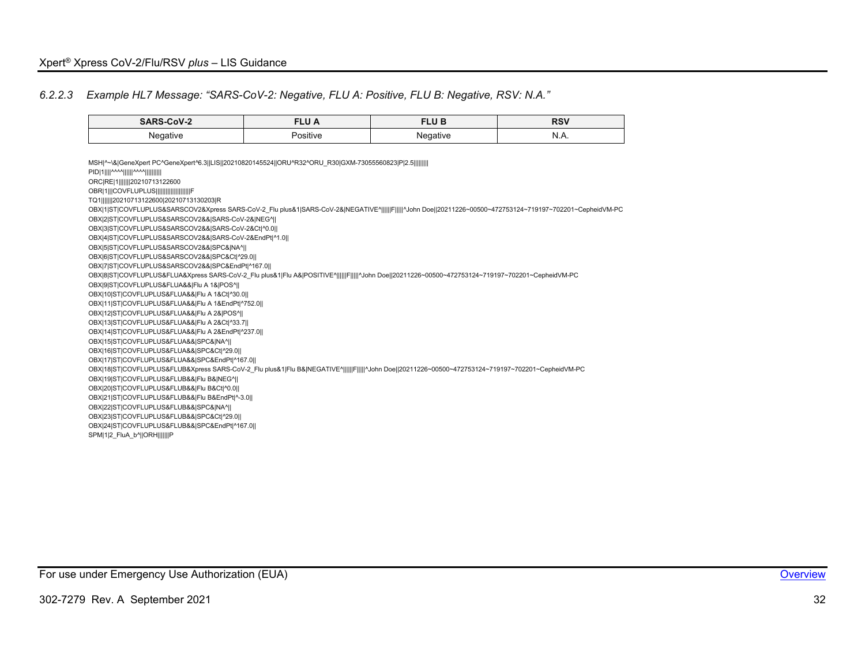#### *6.2.2.3 Example HL7 Message: "SARS-CoV-2: Negative, FLU A: Positive, FLU B: Negative, RSV: N.A."*

| SARS-CoV-2<br>______ | ______       | FLU B<br>________ | <b>DCV</b><br>וכא<br>____ |
|----------------------|--------------|-------------------|---------------------------|
| aasti<br>$\sim$      | .<br>ositive | ำาว†แท∸<br>$\sim$ | ורו<br>N.A.               |

<span id="page-32-0"></span>MSH|^~\&|GeneXpert PC^GeneXpert^6.3||LIS||20210820145524||ORU^R32^ORU\_R30|GXM-73055560823|P|2.5||||||||| PID|1||||^^^^||||||^^^^|||||||||| ORC|RE|1|||||||20210713122600 OBR|1|||COVFLUPLUS|||||||| TQ1|||||||20210713122600|20210713130203|R OBX|1|ST|COVFLUPLUS&SARSCOV2&Xpress SARS-CoV-2\_Flu plus&1|SARS-CoV-2&|NEGATIVE^||||||F||||||^John Doe||20211226~00500~472753124~719197~702201~CepheidVM-PC OBX|2|ST|COVFLUPLUS&SARSCOV2&&|SARS-CoV-2&|NEG^|| OBX|3|ST|COVFLUPLUS&SARSCOV2&&|SARS-CoV-2&Ct|^0.0|| OBX|4|ST|COVFLUPLUS&SARSCOV2&&|SARS-CoV-2&EndPt|^1.0|| OBX|5|ST|COVFLUPLUS&SARSCOV2&&|SPC&|NA^|| OBX|6|ST|COVFLUPLUS&SARSCOV2&&|SPC&Ct|^29.0|| OBX|7|ST|COVFLUPLUS&SARSCOV2&&|SPC&EndPt|^167.0|| OBX|8|ST|COVFLUPLUS&FLUA&Xpress SARS-CoV-2\_Flu plus&1|Flu A&|POSITIVE^||||||F|||||^John Doe||20211226~00500~472753124~719197~702201~CepheidVM-PC OBX|9|ST|COVFLUPLUS&FLUA&&|Flu A 1&|POS^|| OBX|10|ST|COVFLUPLUS&FLUA&&|Flu A 1&Ct|^30.0|| OBX|11|ST|COVFLUPLUS&FLUA&&|Flu A 1&EndPt|^752.0|| OBX|12|ST|COVFLUPLUS&FLUA&&|Flu A 2&|POS^|| OBX|13|ST|COVFLUPLUS&FLUA&&|Flu A 2&Ct|^33.7|| OBX|14|ST|COVFLUPLUS&FLUA&&|Flu A 2&EndPt|^237.0|| OBX|15|ST|COVFLUPLUS&FLUA&&|SPC&|NA^|| OBX|16|ST|COVFLUPLUS&FLUA&&|SPC&Ct|^29.0|| OBX|17|ST|COVFLUPLUS&FLUA&&|SPC&EndPt|^167.0|| OBX|18|ST|COVFLUPLUS&FLUB&Xpress SARS-CoV-2\_Flu plus&1|Flu B&|NEGATIVE^|||||||F||||||^John Doe||20211226~00500~472753124~719197~702201~CepheidVM-PC OBX|19|ST|COVFLUPLUS&FLUB&&|Flu B&|NEG^|| OBX|20|ST|COVFLUPLUS&FLUB&&|Flu B&Ct|^0.0|| OBX|21|ST|COVFLUPLUS&FLUB&&|Flu B&EndPt|^-3.0|| OBX|22|ST|COVFLUPLUS&FLUB&&|SPC&|NA^|| OBX|23|ST|COVFLUPLUS&FLUB&&|SPC&Ct|^29.0|| OBX|24|ST|COVFLUPLUS&FLUB&&|SPC&EndPt|^167.0|| SPM|1|2 FluA b^||ORH|||||||P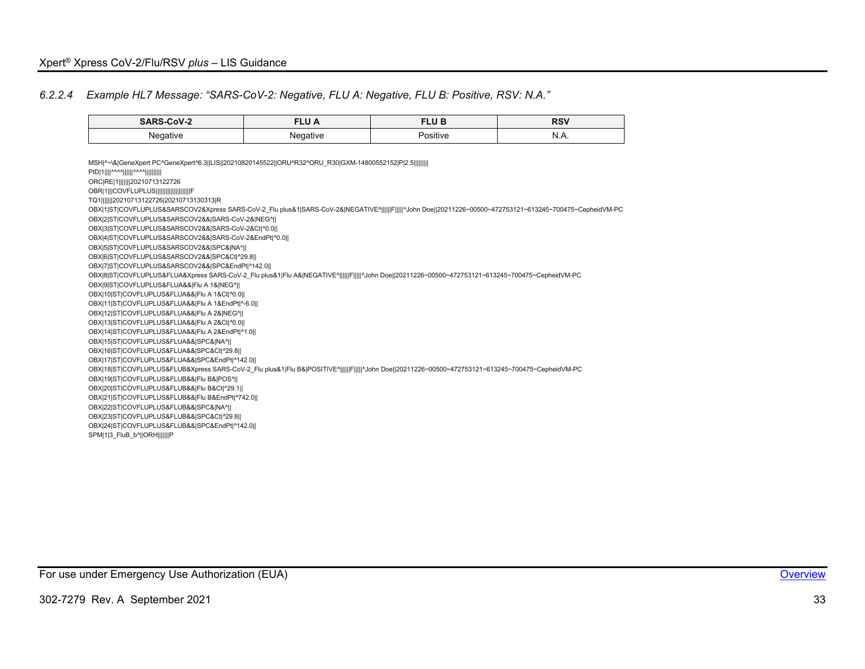#### *6.2.2.4 Example HL7 Message: "SARS-CoV-2: Negative, FLU A: Negative, FLU B: Positive, RSV: N.A."*

| CoV-2<br><b>SARS</b> | <b>CLU</b><br>·Lυ A<br>_________ | TLU B<br>_______ | <b>RSV</b><br>$- - -$ |
|----------------------|----------------------------------|------------------|-----------------------|
| Negative<br>$\sim$   | Negative<br>$\cdot$              | . .<br>'ositive  | N<br><b>V.IV.</b>     |

<span id="page-33-0"></span>MSH|^~\&|GeneXpert PC^GeneXpert^6.3||LIS||20210820145522||ORU^R32^ORU\_R30|GXM-14800552152|P|2.5||||||||| PID|1||||^^^^||||||^^^^|||||||||| ORC|RE|1|||||||20210713122726 OBR|1|||COVFLUPLUS|||||||| TQ1|||||||20210713122726|20210713130313|R OBX|1|ST|COVFLUPLUS&SARSCOV2&Xpress SARS-CoV-2\_Flu plus&1|SARS-CoV-2&|NEGATIVE^||||||F||||||^John Doe||20211226~00500~472753121~613245~700475~CepheidVM-PC OBX|2|ST|COVFLUPLUS&SARSCOV2&&|SARS-CoV-2&|NEG^|| OBX|3|ST|COVFLUPLUS&SARSCOV2&&|SARS-CoV-2&Ct|^0.0|| OBX|4|ST|COVFLUPLUS&SARSCOV2&&|SARS-CoV-2&EndPt|^0.0|| OBX|5|ST|COVFLUPLUS&SARSCOV2&&|SPC&|NA^|| OBX|6|ST|COVFLUPLUS&SARSCOV2&&|SPC&Ct|^29.8|| OBX|7|ST|COVFLUPLUS&SARSCOV2&&|SPC&EndPt|^142.0|| OBX|8|ST|COVFLUPLUS&FLUA&Xpress SARS-CoV-2 Flu plus&1|Flu A&|NEGATIVE^||||||F|||||^John Doe||20211226~00500~472753121~613245~700475~CepheidVM-PC OBX|9|ST|COVFLUPLUS&FLUA&&|Flu A 1&|NEG^|| OBX|10|ST|COVFLUPLUS&FLUA&&|Flu A 1&Ct|^0.0|| OBX|11|ST|COVFLUPLUS&FLUA&&|Flu A 1&EndPt|^-6.0|| OBX|12|ST|COVFLUPLUS&FLUA&&|Flu A 2&|NEG^|| OBX|13|ST|COVFLUPLUS&FLUA&&|Flu A 2&Ct|^0.0|| OBX|14|ST|COVFLUPLUS&FLUA&&|Flu A 2&EndPt|^1.0|| OBX|15|ST|COVFLUPLUS&FLUA&&|SPC&|NA^|| OBX|16|ST|COVFLUPLUS&FLUA&&|SPC&Ct|^29.8|| OBX|17|ST|COVFLUPLUS&FLUA&&|SPC&EndPt|^142.0|| OBX|18|ST|COVFLUPLUS&FLUB&Xpress SARS-CoV-2\_Flu plus&1|Flu B&|POSITIVE^||||||F||||||^John Doe||20211226~00500~472753121~613245~700475~CepheidVM-PC OBX|19|ST|COVFLUPLUS&FLUB&&|Flu B&|POS^|| OBX|20|ST|COVFLUPLUS&FLUB&&|Flu B&Ct|^29.1|| OBX|21|ST|COVFLUPLUS&FLUB&&|Flu B&EndPt|^742.0|| OBX|22|ST|COVFLUPLUS&FLUB&&|SPC&|NA^|| OBX|23|ST|COVFLUPLUS&FLUB&&|SPC&Ct|^29.8|| OBX|24|ST|COVFLUPLUS&FLUB&&|SPC&EndPt|^142.0|| SPM|1|3\_FluB\_b^||ORH|||||||P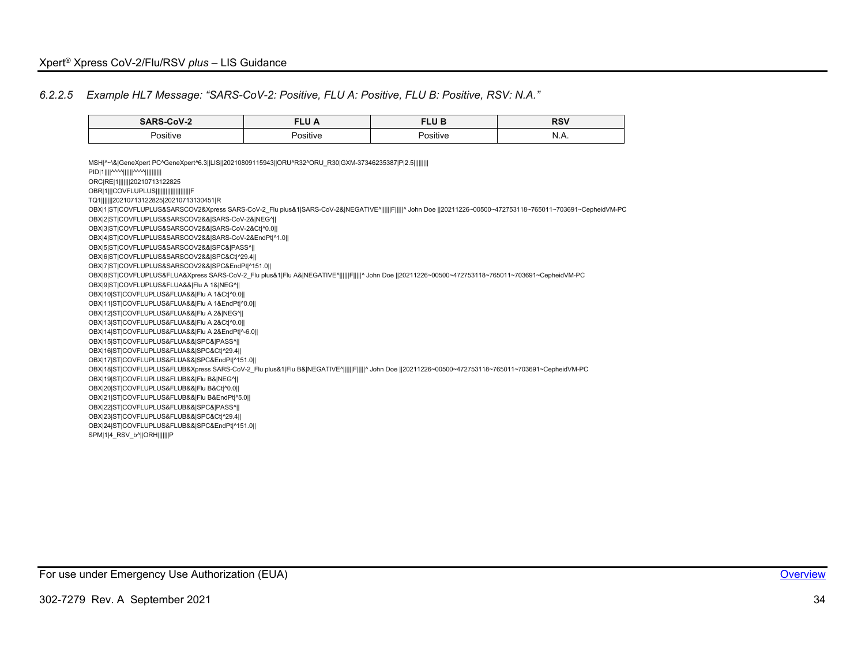#### *6.2.2.5 Example HL7 Message: "SARS-CoV-2: Positive, FLU A: Positive, FLU B: Positive, RSV: N.A."*

|        | --- - -<br>______ | 71100<br>LU D<br>________ | D <sub>C</sub> V<br>____ |
|--------|-------------------|---------------------------|--------------------------|
| ∿ositi | 1111/             | sitive                    | N                        |
|        |                   |                           |                          |

<span id="page-34-0"></span>MSH|^~\&|GeneXpert PC^GeneXpert^6.3||LIS||20210809115943||ORU^R32^ORU\_R30|GXM-37346235387|P|2.5||||||||| PID|1||||^^^^||||||^^^^|||||||||| ORC|RE|1|||||||20210713122825 OBR|1|||COVFLUPLUS|||||||| TQ1|||||||20210713122825|20210713130451|R OBX|1|ST|COVFLUPLUS&SARSCOV2&Xpress SARS-CoV-2\_Flu plus&1|SARS-CoV-2&|NEGATIVE^||||||F|||||^ John Doe ||20211226~00500~472753118~765011~703691~CepheidVM-PC OBX|2|ST|COVFLUPLUS&SARSCOV2&&|SARS-CoV-2&|NEG^|| OBX|3|ST|COVFLUPLUS&SARSCOV2&&|SARS-CoV-2&Ct|^0.0|| OBX|4|ST|COVFLUPLUS&SARSCOV2&&|SARS-CoV-2&EndPt|^1.0|| OBX|5|ST|COVFLUPLUS&SARSCOV2&&|SPC&|PASS^|| OBX|6|ST|COVFLUPLUS&SARSCOV2&&|SPC&Ct|^29.4|| OBX|7|ST|COVFLUPLUS&SARSCOV2&&|SPC&EndPt|^151.0|| OBX|8|ST|COVFLUPLUS&FLUA&Xpress SARS-CoV-2\_Flu plus&1|Flu A&|NEGATIVE^||||||F|||||^ John Doe ||20211226~00500~472753118~765011~703691~CepheidVM-PC OBX|9|ST|COVFLUPLUS&FLUA&&|Flu A 1&|NEG^|| OBX|10|ST|COVFLUPLUS&FLUA&&|Flu A 1&Ct|^0.0|| OBX|11|ST|COVFLUPLUS&FLUA&&|Flu A 1&EndPt|^0.0|| OBX|12|ST|COVFLUPLUS&FLUA&&|Flu A 2&|NEG^|| OBX|13|ST|COVFLUPLUS&FLUA&&|Flu A 2&Ct|^0.0|| OBX|14|ST|COVFLUPLUS&FLUA&&|Flu A 2&EndPt|^-6.0|| OBX|15|ST|COVFLUPLUS&FLUA&&|SPC&|PASS^|| OBX|16|ST|COVFLUPLUS&FLUA&&|SPC&Ct|^29.4|| OBX|17|ST|COVFLUPLUS&FLUA&&|SPC&EndPt|^151.0|| OBX|18|ST|COVFLUPLUS&FLUB&Xpress SARS-CoV-2\_Flu plus&1|Flu B&|NEGATIVE^||||||F|||||^ John Doe ||20211226~00500~472753118~765011~703691~CepheidVM-PC OBX|19|ST|COVFLUPLUS&FLUB&&|Flu B&|NEG^|| OBX|20|ST|COVFLUPLUS&FLUB&&|Flu B&Ct|^0.0|| OBX|21|ST|COVFLUPLUS&FLUB&&|Flu B&EndPt|^5.0|| OBX|22|ST|COVFLUPLUS&FLUB&&|SPC&|PASS^|| OBX|23|ST|COVFLUPLUS&FLUB&&|SPC&Ct|^29.4|| OBX|24|ST|COVFLUPLUS&FLUB&&|SPC&EndPt|^151.0|| SPM|1|4\_RSV\_b^||ORH|||||||P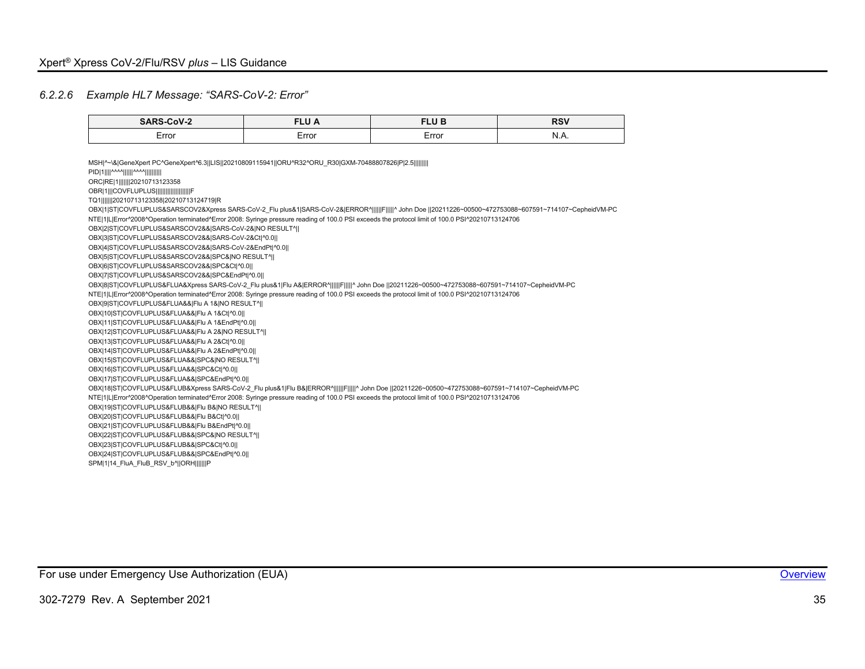### *6.2.2.6 Example HL7 Message: "SARS-CoV-2: Error"*

<span id="page-35-0"></span>

| SARS-CoV-2                                                                                                                                                                                         | <b>FLUA</b> | <b>FLUB</b> | <b>RSV</b> |
|----------------------------------------------------------------------------------------------------------------------------------------------------------------------------------------------------|-------------|-------------|------------|
| Error                                                                                                                                                                                              | Error       | Error       | N.A.       |
|                                                                                                                                                                                                    |             |             |            |
| MSH ^~\& GeneXpert PC^GeneXpert^6.3  LIS  20210809115941  ORU^R32^ORU R30 GXM-70488807826 P 2.5                                                                                                    |             |             |            |
| PID 1    ^^^^      ^^^^                                                                                                                                                                            |             |             |            |
| ORC RE 1        20210713123358                                                                                                                                                                     |             |             |            |
| OBR 1  COVFLUPLUS                     F                                                                                                                                                            |             |             |            |
| TQ1       20210713123358 20210713124719 R                                                                                                                                                          |             |             |            |
| OBX 1 ST COVFLUPLUS&SARSCOV2&Xpress SARS-CoV-2 Flu plus&1 SARS-CoV-2& ERROR^      F     ^ John Doe   20211226~00500~472753088~607591~714107~CepheidVM-PC                                           |             |             |            |
| NTE 1 L Error^2008^Operation terminated^Error 2008: Syringe pressure reading of 100.0 PSI exceeds the protocol limit of 100.0 PSI^20210713124706                                                   |             |             |            |
| OBX 2 ST COVFLUPLUS&SARSCOV2&& SARS-CoV-2& NO RESULT^                                                                                                                                              |             |             |            |
| OBX 3 ST COVFLUPLUS&SARSCOV2&& SARS-CoV-2&Ct ^0.0                                                                                                                                                  |             |             |            |
| OBX 4 ST COVFLUPLUS&SARSCOV2&& SARS-CoV-2&EndPt ^0.0                                                                                                                                               |             |             |            |
| OBX 5 ST COVFLUPLUS&SARSCOV2&& SPC& NO RESULT^                                                                                                                                                     |             |             |            |
| OBX 6 ST COVFLUPLUS&SARSCOV2&& SPC&Ct ^0.0                                                                                                                                                         |             |             |            |
| OBX 7 ST COVFLUPLUS&SARSCOV2&& SPC&EndPt ^0.0                                                                                                                                                      |             |             |            |
| OBX 8 ST COVFLUPLUS&FLUA&Xpress SARS-CoV-2 Flu plus&1 Flu A& ERROR^      F     ^ John Doe   20211226~00500~472753088~607591~714107~CepheidVM-PC                                                    |             |             |            |
| NTE 1 L Error^2008^Operation terminated^Error 2008: Syringe pressure reading of 100.0 PSI exceeds the protocol limit of 100.0 PSI^20210713124706<br>OBX 9 ST COVFLUPLUS&FLUA&& Flu A 1& NO RESULT^ |             |             |            |
| OBX 10 ST COVFLUPLUS&FLUA&& Flu A 1&Ct ^0.0                                                                                                                                                        |             |             |            |
| OBX 11 ST COVFLUPLUS&FLUA&& Flu A 1&EndPt ^0.0                                                                                                                                                     |             |             |            |
| OBX 12 ST COVFLUPLUS&FLUA&& Flu A 2& NO RESULT^                                                                                                                                                    |             |             |            |
| OBX 13 ST COVFLUPLUS&FLUA&& Flu A 2&Ct ^0.0                                                                                                                                                        |             |             |            |
| OBX 14 ST COVFLUPLUS&FLUA&& Flu A 2&EndPt ^0.0                                                                                                                                                     |             |             |            |
| OBX 15 ST COVFLUPLUS&FLUA&& SPC& NO RESULT^                                                                                                                                                        |             |             |            |
| OBX 16 ST COVFLUPLUS&FLUA&& SPC&Ct ^0.0                                                                                                                                                            |             |             |            |
| OBX 17 ST COVFLUPLUS&FLUA&& SPC&EndPt ^0.0                                                                                                                                                         |             |             |            |
| OBX 18 ST COVFLUPLUS&FLUB&Xpress SARS-CoV-2 Flu plus&1 Flu B& ERROR^      F     ^ John Doe   20211226~00500~472753088~607591~714107~CepheidVM-PC                                                   |             |             |            |
| NTE 1 L Error^2008^Operation terminated^Error 2008: Syringe pressure reading of 100.0 PSI exceeds the protocol limit of 100.0 PSI^20210713124706                                                   |             |             |            |
| OBX 19 ST COVFLUPLUS&FLUB&& Flu B& NO RESULT^                                                                                                                                                      |             |             |            |
| OBX 20 ST COVFLUPLUS&FLUB&& Flu B&Ct ^0.0                                                                                                                                                          |             |             |            |
| OBX 21 ST COVFLUPLUS&FLUB&& Flu B&EndPt ^0.0                                                                                                                                                       |             |             |            |
| OBX 22 ST COVFLUPLUS&FLUB&& SPC& NO RESULT^                                                                                                                                                        |             |             |            |
| OBX 23 ST COVFLUPLUS&FLUB&& SPC&Ct ^0.0                                                                                                                                                            |             |             |            |
| OBX 24 ST COVFLUPLUS&FLUB&& SPC&EndPt ^0.0                                                                                                                                                         |             |             |            |
| SPM 1 14 FluA FluB RSV b^  ORH       P                                                                                                                                                             |             |             |            |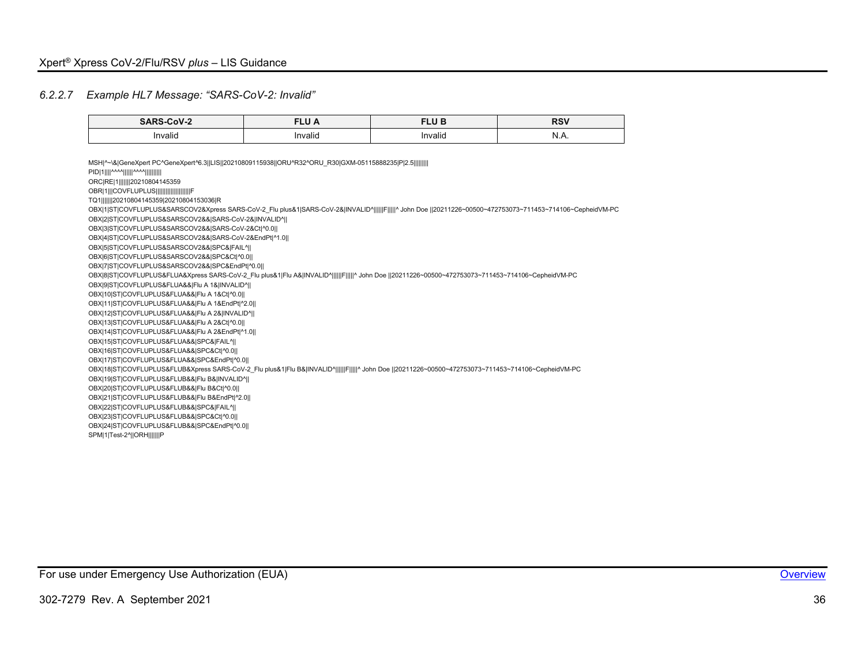#### *6.2.2.7 Example HL7 Message: "SARS-CoV-2: Invalid"*

| the property of the control of the control of | ______              | <b>ILD</b><br>ᄓ ᄓ<br>______ | P(1)<br>וכד<br>_____ |
|-----------------------------------------------|---------------------|-----------------------------|----------------------|
| $\cdot$ .<br>Invalid                          | $\cdots$<br>Invalid | Invalid                     | w<br>-<br>.          |

<span id="page-36-0"></span>MSH|^~\&|GeneXpert PC^GeneXpert^6.3||LIS||20210809115938||ORU^R32^ORU\_R30|GXM-05115888235|P|2.5||||||||| PID|1||||^^^^||||||^^^^|||||||||| ORC|RE|1|||||||20210804145359 OBR|1|||COVFLUPLUS||||||||| TQ1|||||||20210804145359|20210804153036|R OBX|1|ST|COVFLUPLUS&SARSCOV2&Xpress SARS-CoV-2 Flu plus&1|SARS-CoV-2&|INVALID^||||||F|||||^ John Doe ||20211226~00500~472753073~711453~714106~CepheidVM-PC OBX|2|ST|COVFLUPLUS&SARSCOV2&&|SARS-CoV-2&|INVALID^|| OBX|3|ST|COVFLUPLUS&SARSCOV2&&|SARS-CoV-2&Ct|^0.0|| OBX|4|ST|COVFLUPLUS&SARSCOV2&&|SARS-CoV-2&EndPt|^1.0|| OBX|5|ST|COVFLUPLUS&SARSCOV2&&|SPC&|FAIL^|| OBX|6|ST|COVFLUPLUS&SARSCOV2&&|SPC&Ct|^0.0|| OBX|7|ST|COVFLUPLUS&SARSCOV2&&|SPC&EndPt|^0.0|| OBX|8|ST|COVFLUPLUS&FLUA&Xpress SARS-CoV-2 Flu plus&1|Flu A&|INVALID^||||||F|||||^ John Doe ||20211226~00500~472753073~711453~714106~CepheidVM-PC OBX|9|ST|COVFLUPLUS&FLUA&&|Flu A 1&|INVALID^|| OBX|10|ST|COVFLUPLUS&FLUA&&|Flu A 1&Ct|^0.0|| OBX|11|ST|COVFLUPLUS&FLUA&&|Flu A 1&EndPt|^2.0|| OBX|12|ST|COVFLUPLUS&FLUA&&|Flu A 2&|INVALID^|| OBX|13|ST|COVFLUPLUS&FLUA&&|Flu A 2&Ct|^0.0|| OBX|14|ST|COVFLUPLUS&FLUA&&|Flu A 2&EndPt|^1.0|| OBX|15|ST|COVFLUPLUS&FLUA&&|SPC&|FAIL^|| OBX|16|ST|COVFLUPLUS&FLUA&&|SPC&Ct|^0.0|| OBX|17|ST|COVFLUPLUS&FLUA&&|SPC&EndPt|^0.0|| OBX|18|ST|COVFLUPLUS&FLUB&Xpress SARS-CoV-2\_Flu plus&1|Flu B&|INVALID^||||||F|||||^ John Doe ||20211226~00500~472753073~711453~714106~CepheidVM-PC OBX|19|ST|COVFLUPLUS&FLUB&&|Flu B&|INVALID^|| OBX|20|ST|COVFLUPLUS&FLUB&&|Flu B&Ct|^0.0|| OBX|21|ST|COVFLUPLUS&FLUB&&|Flu B&EndPt|^2.0|| OBX|22|ST|COVFLUPLUS&FLUB&&|SPC&|FAIL^|| OBX|23|ST|COVFLUPLUS&FLUB&&|SPC&Ct|^0.0|| OBX|24|ST|COVFLUPLUS&FLUB&&|SPC&EndPt|^0.0|| SPM|1|Test-2^||ORH|||||||P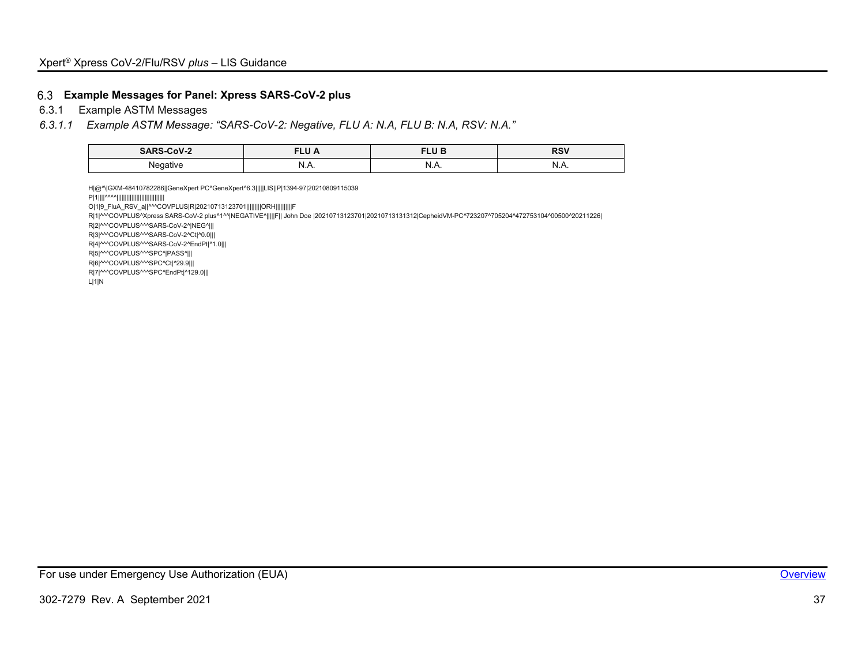#### **Example Messages for Panel: Xpress SARS-CoV-2 plus**

6.3.1 Example ASTM Messages

#### *6.3.1.1 Example ASTM Message: "SARS-CoV-2: Negative, FLU A: N.A, FLU B: N.A, RSV: N.A."*

| <b>SARS-CoV-2</b>  | <b>PLA1</b><br>⊾∪ ี<br>________ | <b>TID</b><br>Ð<br>-u<br>________ | <b>RSV</b>  |
|--------------------|---------------------------------|-----------------------------------|-------------|
| Negative<br>$\sim$ | N<br>19.73.                     | N<br>19.73.                       | M<br>19.73. |

H|@^\|GXM-48410782286||GeneXpert PC^GeneXpert^6.3|||||LIS||P|1394-97|20210809115039 P|1||||^^^^|||||||||||||||||||||||||||||

O|1|9\_FluA\_RSV\_a||^^^COVPLUS|R|20210713123701|||||||||ORH||||||||||F

R|1|^^^COVPLUS^Xpress SARS-CoV-2 plus^1^^|NEGATIVE^|||||F|| John Doe |20210713123701|20210713131312|CepheidVM-PC^723207^705204^472753104^00500^20211226|

R|2|^^^COVPLUS^^^SARS-CoV-2^|NEG^|||

R|3|^^^COVPLUS^^^SARS-CoV-2^Ct|^0.0|||

R|4|^^^COVPLUS^^^SARS-CoV-2^EndPt|^1.0|||

R|5|^^^COVPLUS^^^SPC^|PASS^|||

R|6|^^^COVPLUS^^^SPC^Ct|^29.9|||

R|7|^^^COVPLUS^^^SPC^EndPt|^129.0|||

<span id="page-37-0"></span>L|1|N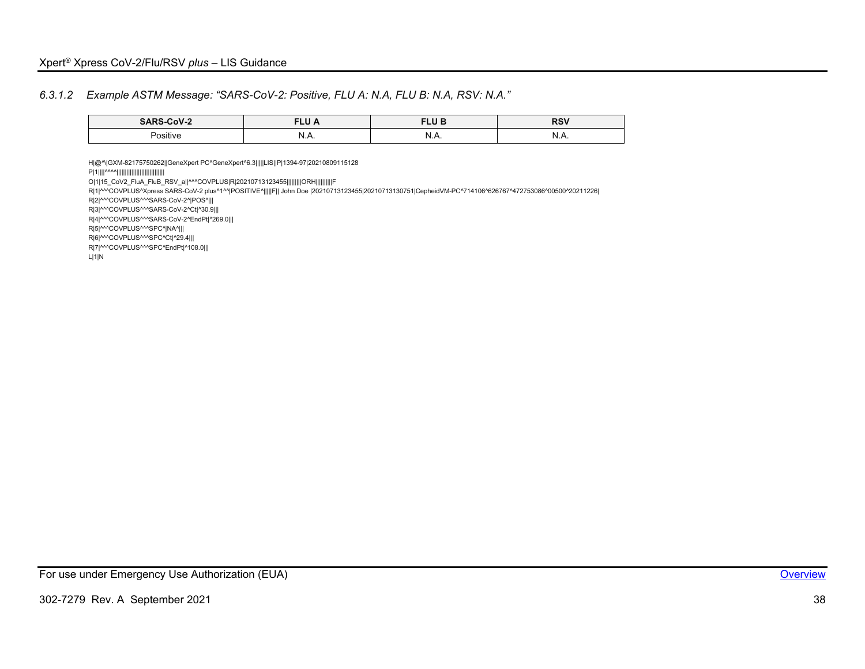#### *6.3.1.2 Example ASTM Message: "SARS-CoV-2: Positive, FLU A: N.A, FLU B: N.A, RSV: N.A."*

| SARS-CoV-2      | $- - - -$<br>_________ | ---<br>◡<br>________          | nnI<br>ΛOΥ<br>____ |
|-----------------|------------------------|-------------------------------|--------------------|
|                 | Л.                     | יי                            | -N)                |
| <b>Positive</b> |                        | . .                           |                    |
|                 |                        | $\mathbf{N}$ . $\mathbf{N}$ . |                    |

<span id="page-38-0"></span>H|@^\|GXM-82175750262||GeneXpert PC^GeneXpert^6.3|||||LIS||P|1394-97|20210809115128 P|1||||^^^^||||||||||||||||||||||||||||| O|1|15\_CoV2\_FluA\_FluB\_RSV\_a||^^^COVPLUS|R|20210713123455|||||||||ORH||||||||||F R|1|^^^COVPLUS^Xpress SARS-CoV-2 plus^1^^|POSITIVE^|||||F|| John Doe |20210713123455|20210713130751|CepheidVM-PC^714106^626767^472753086^00500^20211226| R|2|^^^COVPLUS^^^SARS-CoV-2^|POS^||| R|3|^^^COVPLUS^^^SARS-CoV-2^Ct|^30.9||| R|4|^^^COVPLUS^^^SARS-CoV-2^EndPt|^269.0||| R|5|^^^COVPLUS^^^SPC^|NA^||| R|6|^^^COVPLUS^^^SPC^Ct|^29.4||| R|7|^^^COVPLUS^^^SPC^EndPt|^108.0||| L|1|N

For use under Emergency Use Authorization (EUA) **[Overview](#page-4-1) Container and Container and Container Container and Container and Container and Container and Container and Container and Container and Container and Container an**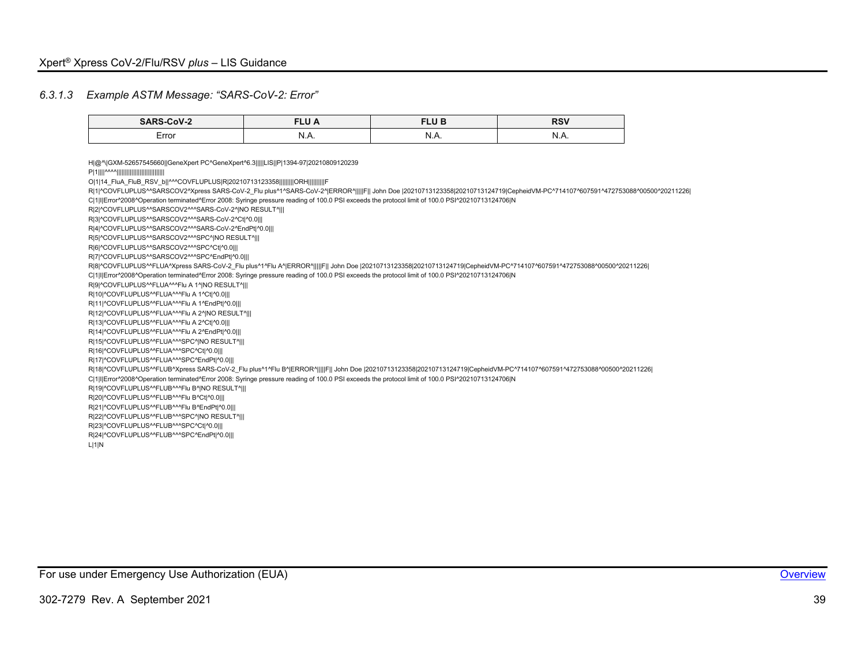#### *6.3.1.3 Example ASTM Message: "SARS-CoV-2: Error"*

| <b>SARS-CoV-2</b> | <b>CLU</b><br>ת ש<br>_________ | FLU B<br>________ | <b>RSV</b><br>_____ |
|-------------------|--------------------------------|-------------------|---------------------|
| Error             | A.<br>1Y.A.<br>.               | N<br>19.7         | N<br>N.A.           |

<span id="page-39-0"></span>H|@^\|GXM-52657545660||GeneXpert PC^GeneXpert^6.3|||||LIS||P|1394-97|20210809120239 P|1||||^^^^||||||||||||||||||||||||||||| O|1|14\_FluA\_FluB\_RSV\_b||^^^COVFLUPLUS|R|20210713123358|||||||||ORH||||||||||F R|1|^COVFLUPLUS^^SARSCOV2^Xpress SARS-CoV-2\_Flu plus^1^SARS-CoV-2^|ERROR^|||||F|| John Doe |20210713123358|20210713124719|CepheidVM-PC^714107^607591^472753088^00500^20211226| C|1|I|Error^2008^Operation terminated^Error 2008: Syringe pressure reading of 100.0 PSI exceeds the protocol limit of 100.0 PSI^20210713124706|N R|2|^COVFLUPLUS^^SARSCOV2^^^SARS-CoV-2^|NO RESULT^||| R|3|^COVFLUPLUS^^SARSCOV2^^^SARS-CoV-2^Ct|^0.0||| R|4|^COVFLUPLUS^^SARSCOV2^^^SARS-CoV-2^EndPt|^0.0||| R|5|^COVFLUPLUS^^SARSCOV2^^^SPC^|NO RESULT^||| R|6|^COVFLUPLUS^^SARSCOV2^^^SPC^Ct|^0.0||| R|7|^COVFLUPLUS^^SARSCOV2^^^SPC^EndPt|^0.0||| R|8|^COVFLUPLUS^^FLUA^Xpress SARS-CoV-2\_Flu plus^1^Flu A^|ERROR^|||||F|| John Doe |20210713123358|20210713124719|CepheidVM-PC^714107^607591^472753088^00500^20211226| C|1|I|Error^2008^Operation terminated^Error 2008: Syringe pressure reading of 100.0 PSI exceeds the protocol limit of 100.0 PSI^20210713124706|N R|9|^COVFLUPLUS^^FLUA^^^Flu A 1^|NO RESULT^||| R|10|^COVFLUPLUS^^FLUA^^^Flu A 1^Ct|^0.0||| R|11|^COVFLUPLUS^^FLUA^^^Flu A 1^EndPt|^0.0||| R|12|^COVFLUPLUS^^FLUA^^^Flu A 2^|NO RESULT^||| R|13|^COVFLUPLUS^^FLUA^^^Flu A 2^Ct|^0.0||| R|14|^COVFLUPLUS^^FLUA^^^Flu A 2^EndPt|^0.0||| R|15|^COVFLUPLUS^^FLUA^^^SPC^|NO RESULT^||| R|16|^COVFLUPLUS^^FLUA^^^SPC^Ct|^0.0||| R|17|^COVFLUPLUS^^FLUA^^^SPC^EndPt|^0.0||| R|18|^COVFLUPLUS^^FLUB^Xpress SARS-CoV-2\_Flu plus^1^Flu B^|ERROR^|||||F|| John Doe |20210713123358|20210713124719|CepheidVM-PC^714107^607591^472753088^00500^20211226| C|1|I|Error^2008^Operation terminated^Error 2008: Syringe pressure reading of 100.0 PSI exceeds the protocol limit of 100.0 PSI^20210713124706|N R|19|^COVFLUPLUS^^FLUB^^^Flu B^|NO RESULT^||| R|20|^COVFLUPLUS^^FLUB^^^Flu B^Ct|^0.0||| R|21|^COVFLUPLUS^^FLUB^^^Flu B^EndPt|^0.0||| R|22|^COVFLUPLUS^^FLUB^^^SPC^|NO RESULT^||| R|23|^COVFLUPLUS^^FLUB^^^SPC^Ct|^0.0||| R|24|^COVFLUPLUS^^FLUB^^^SPC^EndPt|^0.0||| L|1|N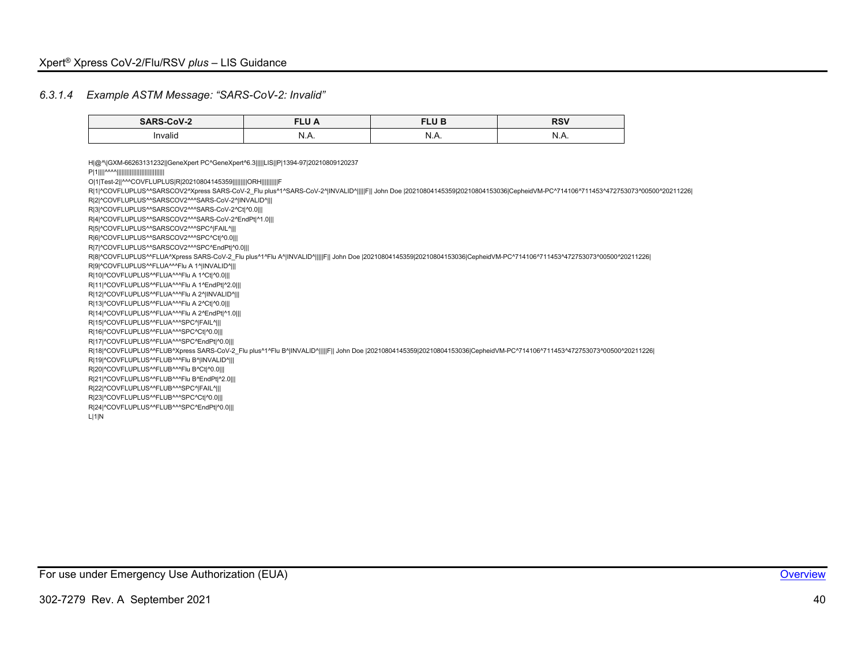#### *6.3.1.4 Example ASTM Message: "SARS-CoV-2: Invalid"*

| $\cdots$            | ________                         | <b>CULLO</b><br>- -<br>_______        | <b>RSV</b> |
|---------------------|----------------------------------|---------------------------------------|------------|
| $\cdots$<br>'nvalid | N<br>$\mathbf{v}$ . $\mathbf{r}$ | 18 I<br>$\mathbf{N} \cdot \mathbf{N}$ | <br>.      |

<span id="page-40-0"></span>H|@^\|GXM-66263131232||GeneXpert PC^GeneXpert^6.3|||||LIS||P|1394-97|20210809120237 P|1||||^^^^||||||||||||||||||||||||||||| O|1|Test-2||^^^COVFLUPLUS|R|20210804145359|||||||||ORH||||||||||F R|1|^COVFLUPLUS^^SARSCOV2^Xpress SARS-CoV-2\_Flu plus^1^SARS-CoV-2^|INVALID^||||F|| John Doe |20210804145359|20210804153036|CepheidVM-PC^714106^711453^472753073^00500^20211226| R|2|^COVFLUPLUS^^SARSCOV2^^^SARS-CoV-2^|INVALID^||| R|3|^COVFLUPLUS^^SARSCOV2^^^SARS-CoV-2^Ct|^0.0||| R|4|^COVFLUPLUS^^SARSCOV2^^^SARS-CoV-2^EndPt|^1.0||| R|5|^COVFLUPLUS^^SARSCOV2^^^SPC^|FAIL^||| R|6|^COVFLUPLUS^^SARSCOV2^^^SPC^Ct|^0.0||| R|7|^COVFLUPLUS^^SARSCOV2^^^SPC^EndPt|^0.0||| R|8|^COVFLUPLUS^^FLUA^Xpress SARS-CoV-2\_Flu plus^1^Flu A^|INVALID^|||||F|| John Doe |20210804145359|20210804153036|CepheidVM-PC^714106^711453^472753073^00500^20211226| R|9|^COVFLUPLUS^^FLUA^^^Flu A 1^|INVALID^||| R|10|^COVFLUPLUS^^FLUA^^^Flu A 1^Ct|^0.0||| R|11|^COVFLUPLUS^^FLUA^^^Flu A 1^EndPt|^2.0||| R|12|^COVFLUPLUS^^FLUA^^^Flu A 2^|INVALID^||| R|13|^COVFLUPLUS^^FLUA^^^Flu A 2^Ct|^0.0||| R|14|^COVFLUPLUS^^FLUA^^^Flu A 2^EndPt|^1.0||| R|15|^COVFLUPLUS^^FLUA^^^SPC^|FAIL^||| R|16|^COVFLUPLUS^^FLUA^^^SPC^Ct|^0.0||| R|17|^COVFLUPLUS^^FLUA^^^SPC^EndPt|^0.0||| R|18|^COVFLUPLUS^^FLUB^Xpress SARS-CoV-2\_Flu plus^1^Flu B^|INVALID^|||||F|| John Doe |20210804145359|20210804153036|CepheidVM-PC^714106^711453^472753073^00500^20211226| R|19|^COVFLUPLUS^^FLUB^^^Flu B^|INVALID^||| R|20|^COVFLUPLUS^^FLUB^^^Flu B^Ct|^0.0||| R|21|^COVFLUPLUS^^FLUB^^^Flu B^EndPt|^2.0||| R|22|^COVFLUPLUS^^FLUB^^^SPC^|FAIL^||| R|23|^COVFLUPLUS^^FLUB^^^SPC^Ct|^0.0||| R|24|^COVFLUPLUS^^FLUB^^^SPC^EndPt|^0.0||| L|1|N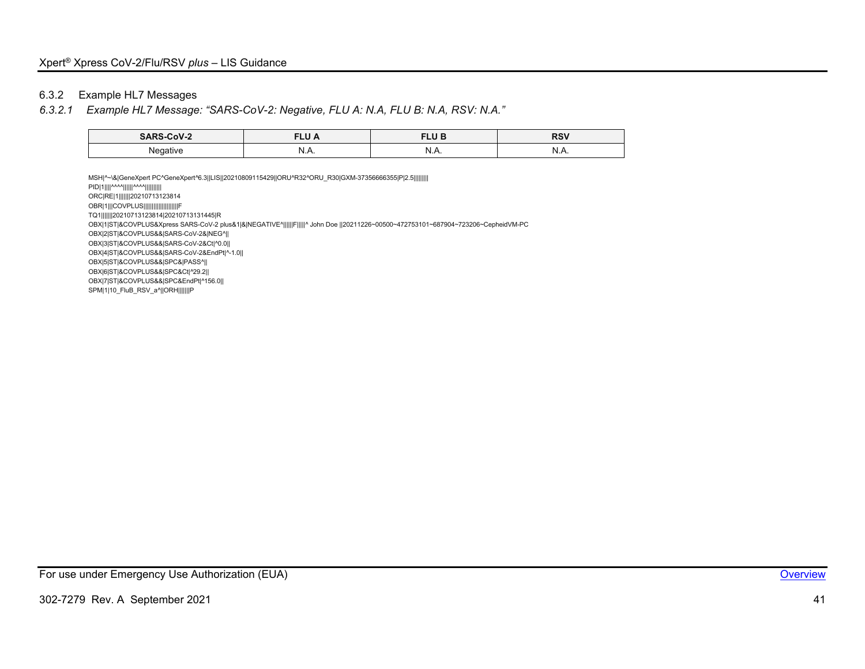#### 6.3.2 Example HL7 Messages

#### *6.3.2.1 Example HL7 Message: "SARS-CoV-2: Negative, FLU A: N.A, FLU B: N.A, RSV: N.A."*

| CoV-2    | −∼ ∼      | FLU B   | <b>RSV</b> |
|----------|-----------|---------|------------|
| ______   | .         | _______ |            |
| Negative | וא<br>1.A | M<br>   | N<br>19.7  |

<span id="page-41-0"></span>MSH|^~\&|GeneXpert PC^GeneXpert^6.3||LIS||20210809115429||ORU^R32^ORU\_R30|GXM-37356666355|P|2.5||||||||| PID|1||||^^^^||||||^^^^|||||||||| ORC|RE|1|||||||20210713123814 OBR|1|||COVPLUS|||||||||||||||||||||||F TQ1|||||||20210713123814|20210713131445|R OBX|1|ST|&COVPLUS&Xpress SARS-CoV-2 plus&1|&|NEGATIVE^||||||F|||||^ John Doe ||20211226~00500~472753101~687904~723206~CepheidVM-PC OBX|2|ST|&COVPLUS&&|SARS-CoV-2&|NEG^|| OBX|3|ST|&COVPLUS&&|SARS-CoV-2&Ct|^0.0|| OBX|4|ST|&COVPLUS&&|SARS-CoV-2&EndPt|^-1.0|| OBX|5|ST|&COVPLUS&&|SPC&|PASS^|| OBX|6|ST|&COVPLUS&&|SPC&Ct|^29.2|| OBX|7|ST|&COVPLUS&&|SPC&EndPt|^156.0|| SPM|1|10\_FluB\_RSV\_a^||ORH|||||||P

For use under Emergency Use Authorization (EUA) **[Overview](#page-4-1) Container and Container and Container Container and Container Container and Container Container Container Container Container Container Container Container Contai**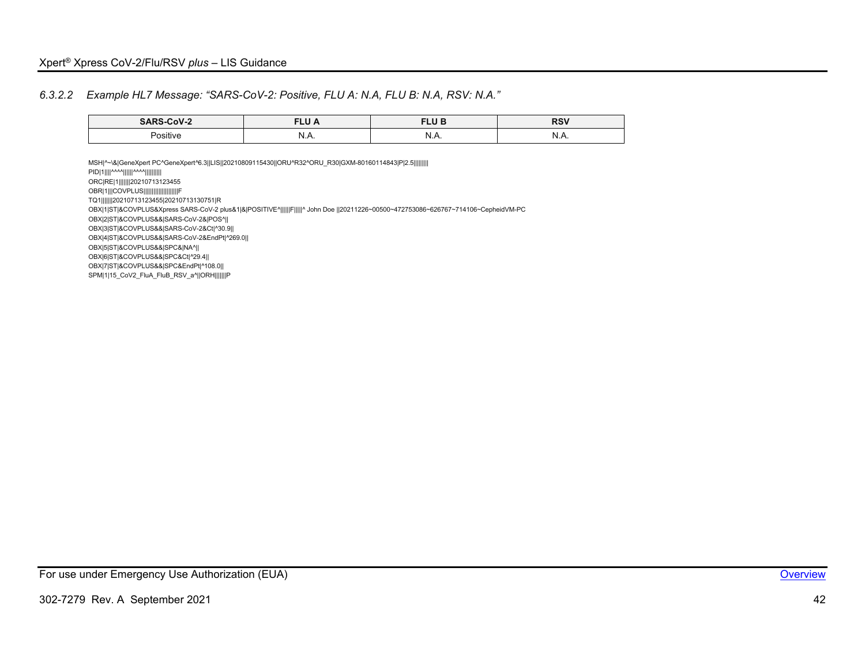#### *6.3.2.2 Example HL7 Message: "SARS-CoV-2: Positive, FLU A: N.A, FLU B: N.A, RSV: N.A."*

| 0.0000110<br>____          | $- - - -$<br>∼<br>. .<br>________ |           | D <sub>C</sub> <sub>1</sub><br><b>RJV</b><br>$- - -$ |  |
|----------------------------|-----------------------------------|-----------|------------------------------------------------------|--|
| $\cdots$<br><b>POSITIV</b> | 18 I<br>19.7                      | N<br>19.7 | N<br>                                                |  |

<span id="page-42-0"></span>MSH|^~\&|GeneXpert PC^GeneXpert^6.3||LIS||20210809115430||ORU^R32^ORU\_R30|GXM-80160114843|P|2.5||||||||| PID|1||||^^^^||||||^^^^|||||||||| ORC|RE|1|||||||20210713123455 OBR|1|||COVPLUS|||||||||||||||||||||||| TQ1|||||||20210713123455|20210713130751|R OBX|1|ST|&COVPLUS&Xpress SARS-CoV-2 plus&1|&|POSITIVE^||||||F|||||^ John Doe ||20211226~00500~472753086~626767~714106~CepheidVM-PC OBX|2|ST|&COVPLUS&&|SARS-CoV-2&|POS^|| OBX|3|ST|&COVPLUS&&|SARS-CoV-2&Ct|^30.9|| OBX|4|ST|&COVPLUS&&|SARS-CoV-2&EndPt|^269.0|| OBX|5|ST|&COVPLUS&&|SPC&|NA^|| OBX|6|ST|&COVPLUS&&|SPC&Ct|^29.4|| OBX|7|ST|&COVPLUS&&|SPC&EndPt|^108.0|| SPM|1|15\_CoV2\_FluA\_FluB\_RSV\_a^||ORH|||||||P

For use under Emergency Use Authorization (EUA) **[Overview](#page-4-1) Container and Container and Container Container and Container Container and Container Container Container Container Container Container Container Container Contai**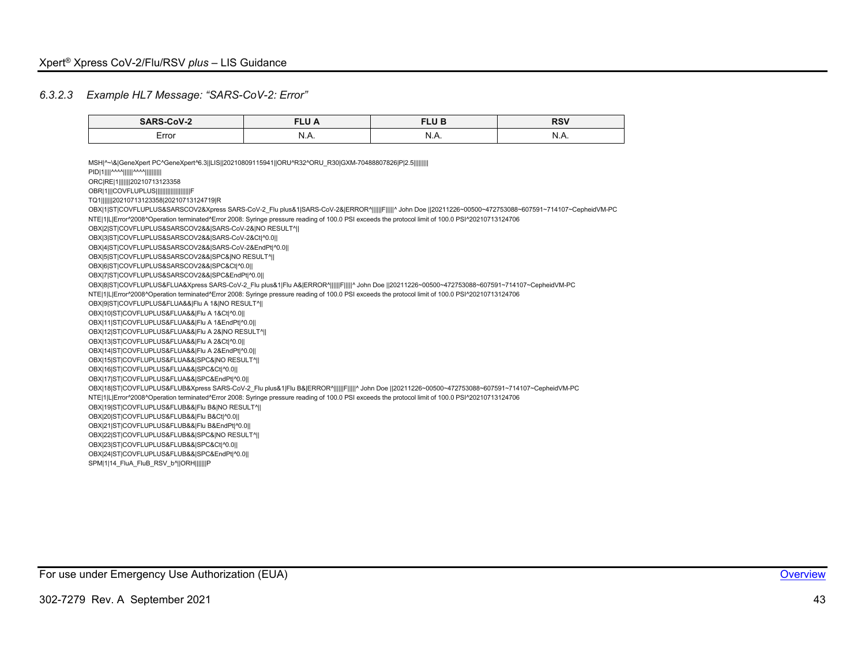#### *6.3.2.3 Example HL7 Message: "SARS-CoV-2: Error"*

| <b>SARS-CoV-2</b> | FLU A | <b>FLUB</b> | <b>RSV</b> |  |
|-------------------|-------|-------------|------------|--|
| Error             | N.A.  | N.A.        | N.A.       |  |
|                   |       |             |            |  |

<span id="page-43-0"></span>MSH|^~\&|GeneXpert PC^GeneXpert^6.3||LIS||20210809115941||ORU^R32^ORU\_R30|GXM-70488807826|P|2.5||||||||| PID|1||||^^^^||||||^^^^|||||||||| ORC|RE|1|||||||20210713123358 OBR|1|||COVFLUPLUS||||||| TQ1|||||||20210713123358|20210713124719|R OBX|1|ST|COVFLUPLUS&SARSCOV2&Xpress SARS-CoV-2 Flu plus&1|SARS-CoV-2&|ERROR^||||||F|||||^ John Doe ||20211226~00500~472753088~607591~714107~CepheidVM-PC NTE|1|L|Error^2008^Operation terminated^Error 2008: Syringe pressure reading of 100.0 PSI exceeds the protocol limit of 100.0 PSI^20210713124706 OBX|2|ST|COVFLUPLUS&SARSCOV2&&|SARS-CoV-2&|NO RESULT^|| OBX|3|ST|COVFLUPLUS&SARSCOV2&&|SARS-CoV-2&Ct|^0.0|| OBX|4|ST|COVFLUPLUS&SARSCOV2&&|SARS-CoV-2&EndPt|^0.0|| OBX|5|ST|COVFLUPLUS&SARSCOV2&&|SPC&|NO RESULT^|| OBX|6|ST|COVFLUPLUS&SARSCOV2&&|SPC&Ct|^0.0|| OBX|7|ST|COVFLUPLUS&SARSCOV2&&|SPC&EndPt|^0.0|| OBX|8|ST|COVFLUPLUS&FLUA&Xpress SARS-CoV-2\_Flu plus&1|Flu A&|ERROR^||||||F|||||^ John Doe ||20211226~00500~472753088~607591~714107~CepheidVM-PC NTE|1|L|Error^2008^Operation terminated^Error 2008: Syringe pressure reading of 100.0 PSI exceeds the protocol limit of 100.0 PSI^20210713124706 OBX|9|ST|COVFLUPLUS&FLUA&&|Flu A 1&|NO RESULT^|| OBX|10|ST|COVFLUPLUS&FLUA&&|Flu A 1&Ct|^0.0|| OBX|11|ST|COVFLUPLUS&FLUA&&|Flu A 1&EndPt|^0.0|| OBX|12|ST|COVFLUPLUS&FLUA&&|Flu A 2&|NO RESULT^|| OBX|13|ST|COVFLUPLUS&FLUA&&|Flu A 2&Ct|^0.0|| OBX|14|ST|COVFLUPLUS&FLUA&&|Flu A 2&EndPt|^0.0|| OBX|15|ST|COVFLUPLUS&FLUA&&|SPC&|NO RESULT^|| OBX|16|ST|COVFLUPLUS&FLUA&&|SPC&Ct|^0.0|| OBX|17|ST|COVFLUPLUS&FLUA&&|SPC&EndPt|^0.0|| OBX|18|ST|COVFLUPLUS&FLUB&Xpress SARS-CoV-2\_Flu plus&1|Flu B&|ERROR^||||||F|||||^ John Doe ||20211226~00500~472753088~607591~714107~CepheidVM-PC NTE|1|L|Error^2008^Operation terminated^Error 2008: Syringe pressure reading of 100.0 PSI exceeds the protocol limit of 100.0 PSI^20210713124706 OBX|19|ST|COVFLUPLUS&FLUB&&|Flu B&|NO RESULT^|| OBX|20|ST|COVFLUPLUS&FLUB&&|Flu B&Ct|^0.0|| OBX|21|ST|COVFLUPLUS&FLUB&&|Flu B&EndPt|^0.0|| OBX|22|ST|COVFLUPLUS&FLUB&&|SPC&|NO RESULT^|| OBX|23|ST|COVFLUPLUS&FLUB&&|SPC&Ct|^0.0|| OBX|24|ST|COVFLUPLUS&FLUB&&|SPC&EndPt|^0.0|| SPM|1|14\_FluA\_FluB\_RSV\_b^||ORH|||||||P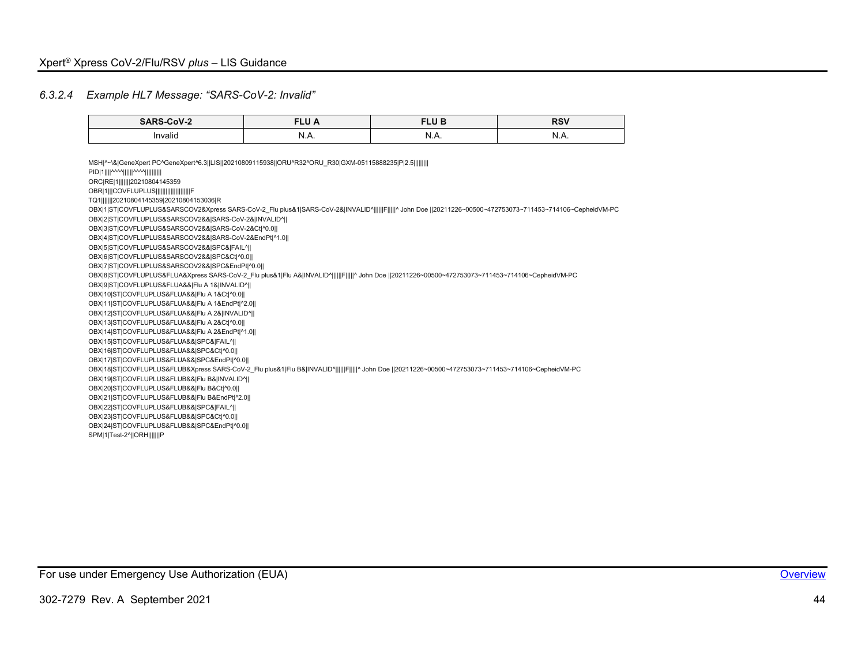#### *6.3.2.4 Example HL7 Message: "SARS-CoV-2: Invalid"*

| $\sim$ V $\sim$     | <b>CLU</b><br>--<br>_______                  | $\cdots$<br>ᄓ ᄓ<br>______ | P(1)<br>_____ |  |
|---------------------|----------------------------------------------|---------------------------|---------------|--|
| $\cdots$<br>Invalid | -13.1<br>$\mathsf{N} \cdot \mathsf{N} \cdot$ | "<br>19.79                | N<br>_<br>    |  |

<span id="page-44-0"></span>MSH|^~\&|GeneXpert PC^GeneXpert^6.3||LIS||20210809115938||ORU^R32^ORU\_R30|GXM-05115888235|P|2.5||||||||| PID|1||||^^^^||||||^^^^|||||||||| ORC|RE|1|||||||20210804145359 OBR|1|||COVFLUPLUS||||||||| TQ1|||||||20210804145359|20210804153036|R OBX|1|ST|COVFLUPLUS&SARSCOV2&Xpress SARS-CoV-2 Flu plus&1|SARS-CoV-2&|INVALID^||||||F|||||^ John Doe ||20211226~00500~472753073~711453~714106~CepheidVM-PC OBX|2|ST|COVFLUPLUS&SARSCOV2&&|SARS-CoV-2&|INVALID^|| OBX|3|ST|COVFLUPLUS&SARSCOV2&&|SARS-CoV-2&Ct|^0.0|| OBX|4|ST|COVFLUPLUS&SARSCOV2&&|SARS-CoV-2&EndPt|^1.0|| OBX|5|ST|COVFLUPLUS&SARSCOV2&&|SPC&|FAIL^|| OBX|6|ST|COVFLUPLUS&SARSCOV2&&|SPC&Ct|^0.0|| OBX|7|ST|COVFLUPLUS&SARSCOV2&&|SPC&EndPt|^0.0|| OBX|8|ST|COVFLUPLUS&FLUA&Xpress SARS-CoV-2 Flu plus&1|Flu A&|INVALID^||||||F|||||^ John Doe ||20211226~00500~472753073~711453~714106~CepheidVM-PC OBX|9|ST|COVFLUPLUS&FLUA&&|Flu A 1&|INVALID^|| OBX|10|ST|COVFLUPLUS&FLUA&&|Flu A 1&Ct|^0.0|| OBX|11|ST|COVFLUPLUS&FLUA&&|Flu A 1&EndPt|^2.0|| OBX|12|ST|COVFLUPLUS&FLUA&&|Flu A 2&|INVALID^|| OBX|13|ST|COVFLUPLUS&FLUA&&|Flu A 2&Ct|^0.0|| OBX|14|ST|COVFLUPLUS&FLUA&&|Flu A 2&EndPt|^1.0|| OBX|15|ST|COVFLUPLUS&FLUA&&|SPC&|FAIL^|| OBX|16|ST|COVFLUPLUS&FLUA&&|SPC&Ct|^0.0|| OBX|17|ST|COVFLUPLUS&FLUA&&|SPC&EndPt|^0.0|| OBX|18|ST|COVFLUPLUS&FLUB&Xpress SARS-CoV-2\_Flu plus&1|Flu B&|INVALID^||||||F|||||^ John Doe ||20211226~00500~472753073~711453~714106~CepheidVM-PC OBX|19|ST|COVFLUPLUS&FLUB&&|Flu B&|INVALID^|| OBX|20|ST|COVFLUPLUS&FLUB&&|Flu B&Ct|^0.0|| OBX|21|ST|COVFLUPLUS&FLUB&&|Flu B&EndPt|^2.0|| OBX|22|ST|COVFLUPLUS&FLUB&&|SPC&|FAIL^|| OBX|23|ST|COVFLUPLUS&FLUB&&|SPC&Ct|^0.0|| OBX|24|ST|COVFLUPLUS&FLUB&&|SPC&EndPt|^0.0|| SPM|1|Test-2^||ORH|||||||P

For use under Emergency Use Authorization (EUA) **[Overview](#page-4-1) Overview Overview Overview**